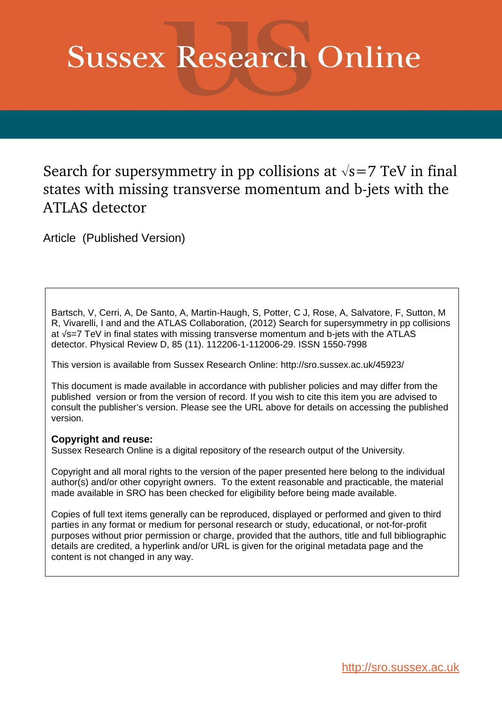# **Sussex Research Online**

## Search for supersymmetry in pp collisions at  $\sqrt{s}=7$  TeV in final states with missing transverse momentum and b-jets with the ATLAS detector

Article (Published Version)

Bartsch, V, Cerri, A, De Santo, A, Martin-Haugh, S, Potter, C J, Rose, A, Salvatore, F, Sutton, M R, Vivarelli, I and and the ATLAS Collaboration, (2012) Search for supersymmetry in pp collisions at √s=7 TeV in final states with missing transverse momentum and b-jets with the ATLAS detector. Physical Review D, 85 (11). 112206-1-112006-29. ISSN 1550-7998

This version is available from Sussex Research Online: http://sro.sussex.ac.uk/45923/

This document is made available in accordance with publisher policies and may differ from the published version or from the version of record. If you wish to cite this item you are advised to consult the publisher's version. Please see the URL above for details on accessing the published version.

## **Copyright and reuse:**

Sussex Research Online is a digital repository of the research output of the University.

Copyright and all moral rights to the version of the paper presented here belong to the individual author(s) and/or other copyright owners. To the extent reasonable and practicable, the material made available in SRO has been checked for eligibility before being made available.

Copies of full text items generally can be reproduced, displayed or performed and given to third parties in any format or medium for personal research or study, educational, or not-for-profit purposes without prior permission or charge, provided that the authors, title and full bibliographic details are credited, a hyperlink and/or URL is given for the original metadata page and the content is not changed in any way.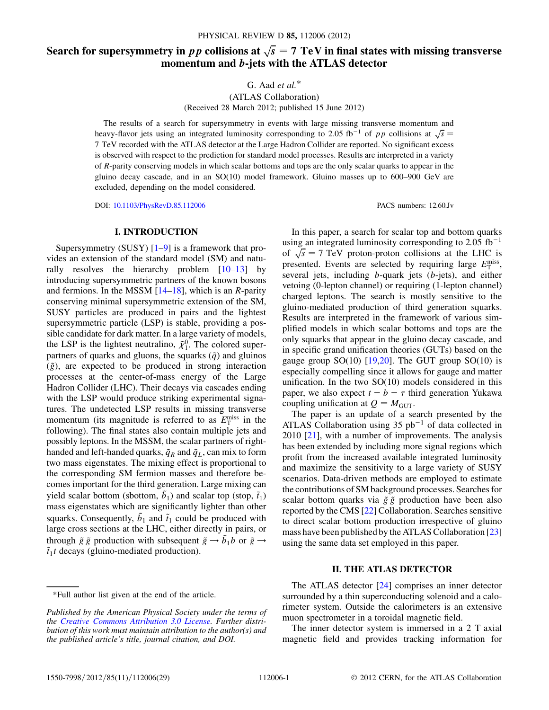## Search for supersymmetry in pp collisions at  $\sqrt{s} = 7$  TeV in final states with missing transverse momentum and b-jets with the ATLAS detector

<span id="page-1-0"></span>G. Aad *et al.*\*

(ATLAS Collaboration) (Received 28 March 2012; published 15 June 2012)

The results of a search for supersymmetry in events with large missing transverse momentum and heavy-flavor jets using an integrated luminosity corresponding to 2.05 fb<sup>-1</sup> of pp collisions at  $\sqrt{s}$ 7 TeV recorded with the ATLAS detector at the Large Hadron Collider are reported. No significant excess is observed with respect to the prediction for standard model processes. Results are interpreted in a variety of R-parity conserving models in which scalar bottoms and tops are the only scalar quarks to appear in the gluino decay cascade, and in an  $SO(10)$  model framework. Gluino masses up to  $600-900$  GeV are excluded, depending on the model considered.

DOI: [10.1103/PhysRevD.85.112006](http://dx.doi.org/10.1103/PhysRevD.85.112006) PACS numbers: 12.60.Jv

### I. INTRODUCTION

Supersymmetry (SUSY)  $[1-9]$  $[1-9]$  $[1-9]$  is a framework that provides an extension of the standard model (SM) and naturally resolves the hierarchy problem  $[10-13]$  $[10-13]$  $[10-13]$  $[10-13]$  by introducing supersymmetric partners of the known bosons and fermions. In the MSSM  $[14–18]$  $[14–18]$  $[14–18]$ , which is an R-parity conserving minimal supersymmetric extension of the SM, SUSY particles are produced in pairs and the lightest supersymmetric particle (LSP) is stable, providing a possible candidate for dark matter. In a large variety of models, the LSP is the lightest neutralino,  $\tilde{\chi}_1^0$ . The colored superpartners of quarks and gluons, the squarks  $(\tilde{q})$  and gluinos  $(\tilde{g})$ , are expected to be produced in strong interaction processes at the center-of-mass energy of the Large Hadron Collider (LHC). Their decays via cascades ending with the LSP would produce striking experimental signatures. The undetected LSP results in missing transverse momentum (its magnitude is referred to as  $E_{\rm T}^{\rm miss}$  in the following). The final states also contain multiple jets and possibly leptons. In the MSSM, the scalar partners of righthanded and left-handed quarks,  $\tilde{q}_R$  and  $\tilde{q}_L$ , can mix to form two mass eigenstates. The mixing effect is proportional to the corresponding SM fermion masses and therefore becomes important for the third generation. Large mixing can yield scalar bottom (sbottom,  $\tilde{b}_1$ ) and scalar top (stop,  $\tilde{t}_1$ ) mass eigenstates which are significantly lighter than other squarks. Consequently,  $\tilde{b}_1$  and  $\tilde{t}_1$  could be produced with large cross sections at the LHC, either directly in pairs, or through  $\tilde{g} \tilde{g}$  production with subsequent  $\tilde{g} \rightarrow \tilde{b}_1 b$  or  $\tilde{g} \rightarrow \tilde{g}$  $\tilde{t}_1 t$  decays (gluino-mediated production).

In this paper, a search for scalar top and bottom quarks using an integrated luminosity corresponding to 2.05 fb<sup>-1</sup> of  $\sqrt{s} = 7$  TeV proton-proton collisions at the LHC is presented. Events are selected by requiring large  $E_{\rm T}^{\rm miss}$ , several jets, including b-quark jets (b-jets), and either vetoing (0-lepton channel) or requiring (1-lepton channel) charged leptons. The search is mostly sensitive to the gluino-mediated production of third generation squarks. Results are interpreted in the framework of various simplified models in which scalar bottoms and tops are the only squarks that appear in the gluino decay cascade, and in specific grand unification theories (GUTs) based on the gauge group  $SO(10)$  [[19,](#page-14-6)[20](#page-14-7)]. The GUT group  $SO(10)$  is especially compelling since it allows for gauge and matter unification. In the two  $SO(10)$  models considered in this paper, we also expect  $t - b - \tau$  third generation Yukawa coupling unification at  $Q = M<sub>GUT</sub>$ .

The paper is an update of a search presented by the ATLAS Collaboration using  $35$  pb<sup>-1</sup> of data collected in  $2010$   $[21]$  $[21]$  $[21]$ , with a number of improvements. The analysis has been extended by including more signal regions which profit from the increased available integrated luminosity and maximize the sensitivity to a large variety of SUSY scenarios. Data-driven methods are employed to estimate the contributions of SM background processes. Searches for scalar bottom quarks via  $\tilde{g} \tilde{g}$  production have been also reported by the CMS [\[22\]](#page-14-9) Collaboration. Searches sensitive to direct scalar bottom production irrespective of gluino mass have been published by the ATLAS Collaboration [\[23\]](#page-14-10) using the same data set employed in this paper.

#### II. THE ATLAS DETECTOR

The ATLAS detector [\[24\]](#page-14-11) comprises an inner detector surrounded by a thin superconducting solenoid and a calorimeter system. Outside the calorimeters is an extensive muon spectrometer in a toroidal magnetic field.

The inner detector system is immersed in a 2 T axial magnetic field and provides tracking information for

<sup>\*</sup>Full author list given at the end of the article.

*Published by the American Physical Society under the terms of the [Creative Commons Attribution 3.0 License.](http://creativecommons.org/licenses/by/3.0/) Further distribution of this work must maintain attribution to the author(s) and the published article's title, journal citation, and DOI.*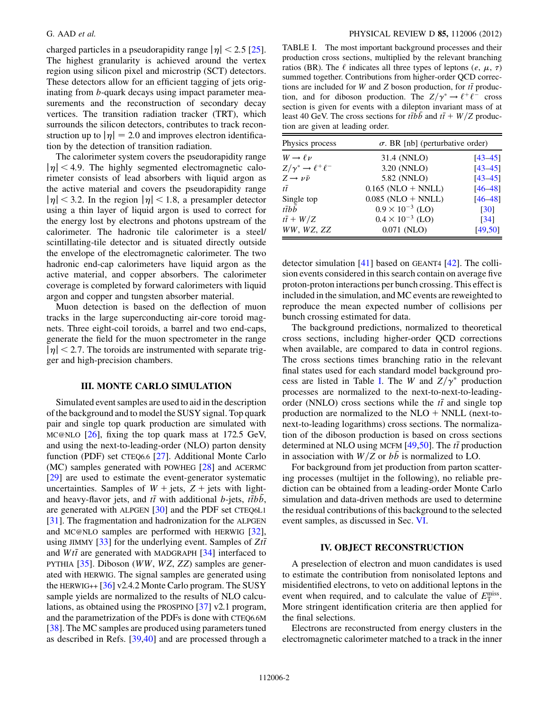charged particles in a pseudorapidity range  $|\eta|$  < 2.5 [[25\]](#page-14-12). The highest granularity is achieved around the vertex region using silicon pixel and microstrip (SCT) detectors. These detectors allow for an efficient tagging of jets originating from b-quark decays using impact parameter measurements and the reconstruction of secondary decay vertices. The transition radiation tracker (TRT), which surrounds the silicon detectors, contributes to track reconstruction up to  $|\eta| = 2.0$  and improves electron identification by the detection of transition radiation.

The calorimeter system covers the pseudorapidity range  $|\eta|$  < 4.9. The highly segmented electromagnetic calorimeter consists of lead absorbers with liquid argon as the active material and covers the pseudorapidity range  $|\eta|$  < 3.2. In the region  $|\eta|$  < 1.8, a presampler detector using a thin layer of liquid argon is used to correct for the energy lost by electrons and photons upstream of the calorimeter. The hadronic tile calorimeter is a steel/ scintillating-tile detector and is situated directly outside the envelope of the electromagnetic calorimeter. The two hadronic end-cap calorimeters have liquid argon as the active material, and copper absorbers. The calorimeter coverage is completed by forward calorimeters with liquid argon and copper and tungsten absorber material.

Muon detection is based on the deflection of muon tracks in the large superconducting air-core toroid magnets. Three eight-coil toroids, a barrel and two end-caps, generate the field for the muon spectrometer in the range  $|\eta|$  < 2.7. The toroids are instrumented with separate trigger and high-precision chambers.

#### III. MONTE CARLO SIMULATION

Simulated event samples are used to aid in the description of the background and to model the SUSY signal. Top quark pair and single top quark production are simulated with MC@NLO [[26](#page-14-13)], fixing the top quark mass at 172.5 GeV, and using the next-to-leading-order (NLO) parton density function (PDF) set CTEQ6.6 [\[27\]](#page-14-14). Additional Monte Carlo (MC) samples generated with POWHEG [[28](#page-14-15)] and ACERMC [\[29\]](#page-14-16) are used to estimate the event-generator systematic uncertainties. Samples of  $W + \text{jets}$ ,  $Z + \text{jets}$  with lightand heavy-flavor jets, and  $t\bar{t}$  with additional b-jets,  $t\bar{t}bb$ , are generated with ALPGEN [\[30\]](#page-14-17) and the PDF set CTEQ6L1 [\[31\]](#page-14-18). The fragmentation and hadronization for the ALPGEN and MC@NLO samples are performed with HERWIG [\[32\]](#page-14-19), using JIMMY [\[33\]](#page-14-20) for the underlying event. Samples of  $Zt\bar{t}$ and  $Wt\bar{t}$  are generated with MADGRAPH [\[34\]](#page-14-21) interfaced to PYTHIA [\[35\]](#page-14-22). Diboson (WW, WZ, ZZ) samples are generated with HERWIG. The signal samples are generated using the HERWIG++ [[36](#page-14-23)] v2.4.2 Monte Carlo program. The SUSY sample yields are normalized to the results of NLO calculations, as obtained using the PROSPINO [\[37](#page-14-24)] v2.1 program, and the parametrization of the PDFs is done with CTEQ6.6M [\[38\]](#page-15-0). The MC samples are produced using parameters tuned as described in Refs. [\[39](#page-15-1)[,40\]](#page-15-2) and are processed through a

TABLE I. The most important background processes and their production cross sections, multiplied by the relevant branching ratios (BR). The  $\ell$  indicates all three types of leptons  $(e, \mu, \tau)$ summed together. Contributions from higher-order QCD corrections are included for W and Z boson production, for  $t\bar{t}$  production, and for diboson production. The  $Z/\gamma^* \rightarrow \ell^+ \ell^-$  cross section is given for events with a dilepton invariant mass of at least 40 GeV. The cross sections for the b and  $t\bar{t} + W/Z$  production are given at leading order.

| Physics process                        | $\sigma$ . BR [nb] (perturbative order) |                    |  |
|----------------------------------------|-----------------------------------------|--------------------|--|
| $W \rightarrow \ell \nu$               | 31.4 (NNLO)                             | $[43 - 45]$        |  |
| $Z/\gamma^* \rightarrow \ell^+ \ell^-$ | 3.20 (NNLO)                             | $[43 - 45]$        |  |
| $Z \rightarrow \nu \bar{\nu}$          | 5.82 (NNLO)                             | $[43 - 45]$        |  |
| $t\overline{t}$                        | $0.165$ (NLO + NNLL)                    | $[46 - 48]$        |  |
| Single top                             | $0.085$ (NLO + NNLL)                    | $[46 - 48]$        |  |
| $t\bar{t}bb$                           | $0.9 \times 10^{-3}$ (LO)               | [30]               |  |
| $t\overline{t} + W/Z$                  | $0.4 \times 10^{-3}$ (LO)               | $\lceil 34 \rceil$ |  |
| WW, WZ, ZZ                             | 0.071 (NLO)                             | [49, 50]           |  |

detector simulation [[41](#page-15-3)] based on GEANT4 [[42](#page-15-4)]. The collision events considered in this search contain on average five proton-proton interactions per bunch crossing. This effect is included in the simulation, and MC events are reweighted to reproduce the mean expected number of collisions per bunch crossing estimated for data.

The background predictions, normalized to theoretical cross sections, including higher-order QCD corrections when available, are compared to data in control regions. The cross sections times branching ratio in the relevant final states used for each standard model background pro-cess are listed in Table [I.](#page-1-0) The W and  $Z/\gamma^*$  production processes are normalized to the next-to-next-to-leadingorder (NNLO) cross sections while the  $t\bar{t}$  and single top production are normalized to the  $NLO + NNLL$  (next-tonext-to-leading logarithms) cross sections. The normalization of the diboson production is based on cross sections determined at NLO using MCFM  $[49,50]$  $[49,50]$  $[49,50]$  $[49,50]$  $[49,50]$ . The  $t\bar{t}$  production in association with  $W/Z$  or bb is normalized to LO.

For background from jet production from parton scattering processes (multijet in the following), no reliable prediction can be obtained from a leading-order Monte Carlo simulation and data-driven methods are used to determine the residual contributions of this background to the selected event samples, as discussed in Sec. [VI](#page-3-0).

#### IV. OBJECT RECONSTRUCTION

A preselection of electron and muon candidates is used to estimate the contribution from nonisolated leptons and misidentified electrons, to veto on additional leptons in the event when required, and to calculate the value of  $E_{\rm T}^{\rm miss}$ . More stringent identification criteria are then applied for the final selections.

Electrons are reconstructed from energy clusters in the electromagnetic calorimeter matched to a track in the inner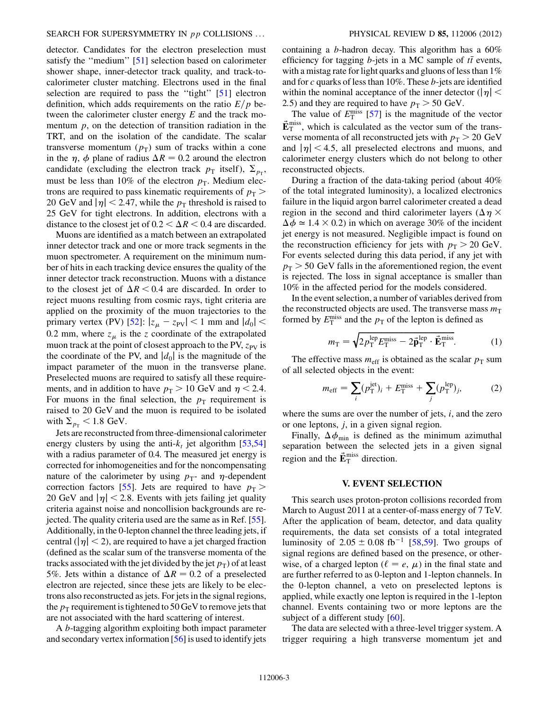detector. Candidates for the electron preselection must satisfy the "medium" [\[51\]](#page-15-11) selection based on calorimeter shower shape, inner-detector track quality, and track-tocalorimeter cluster matching. Electrons used in the final selection are required to pass the "tight" [\[51\]](#page-15-11) electron definition, which adds requirements on the ratio  $E/p$  between the calorimeter cluster energy E and the track momentum  $p$ , on the detection of transition radiation in the TRT, and on the isolation of the candidate. The scalar transverse momentum  $(p_T)$  sum of tracks within a cone in the  $\eta$ ,  $\phi$  plane of radius  $\Delta R = 0.2$  around the electron candidate (excluding the electron track  $p_{\text{T}}$  itself),  $\Sigma_{p_{\text{T}}}$ , must be less than 10% of the electron  $p<sub>T</sub>$ . Medium electrons are required to pass kinematic requirements of  $p<sub>T</sub>$  > 20 GeV and  $|\eta|$  < 2.47, while the  $p_T$  threshold is raised to 25 GeV for tight electrons. In addition, electrons with a distance to the closest jet of  $0.2 < \Delta R < 0.4$  are discarded.

Muons are identified as a match between an extrapolated inner detector track and one or more track segments in the muon spectrometer. A requirement on the minimum number of hits in each tracking device ensures the quality of the inner detector track reconstruction. Muons with a distance to the closest jet of  $\Delta R < 0.4$  are discarded. In order to reject muons resulting from cosmic rays, tight criteria are applied on the proximity of the muon trajectories to the primary vertex (PV) [[52](#page-15-12)]:  $|z_{\mu} - z_{\text{PV}}| < 1$  mm and  $|d_0| <$ 0.2 mm, where  $z_{\mu}$  is the z coordinate of the extrapolated muon track at the point of closest approach to the PV,  $z_{PV}$  is the coordinate of the PV, and  $|d_0|$  is the magnitude of the impact parameter of the muon in the transverse plane. Preselected muons are required to satisfy all these requirements, and in addition to have  $p_T > 10$  GeV and  $\eta < 2.4$ . For muons in the final selection, the  $p_T$  requirement is raised to 20 GeV and the muon is required to be isolated with  $\Sigma_{p_{\rm T}}$  < 1.8 GeV.

<span id="page-3-1"></span>Jets are reconstructed from three-dimensional calorimeter energy clusters by using the anti- $k_t$  jet algorithm [\[53,](#page-15-13)[54\]](#page-15-14) with a radius parameter of 0.4. The measured jet energy is corrected for inhomogeneities and for the noncompensating nature of the calorimeter by using  $p_T$ - and  $\eta$ -dependent correction factors [\[55\]](#page-15-15). Jets are required to have  $p<sub>T</sub>$  > 20 GeV and  $|\eta|$  < 2.8. Events with jets failing jet quality criteria against noise and noncollision backgrounds are rejected. The quality criteria used are the same as in Ref. [[55](#page-15-15)]. Additionally, in the 0-lepton channel the three leading jets, if central ( $|\eta|$  < 2), are required to have a jet charged fraction (defined as the scalar sum of the transverse momenta of the tracks associated with the jet divided by the jet  $p_T$ ) of at least 5%. Jets within a distance of  $\Delta R = 0.2$  of a preselected electron are rejected, since these jets are likely to be electrons also reconstructed as jets. For jets in the signal regions, the  $p_T$  requirement is tightened to 50 GeV to remove jets that are not associated with the hard scattering of interest.

A b-tagging algorithm exploiting both impact parameter and secondary vertex information [\[56](#page-15-16)] is used to identify jets <span id="page-3-0"></span>containing a *b*-hadron decay. This algorithm has a  $60\%$ efficiency for tagging *b*-jets in a MC sample of  $t\bar{t}$  events, with a mistag rate for light quarks and gluons of less than  $1\%$ and for c quarks of less than 10%. These b-jets are identified within the nominal acceptance of the inner detector ( $|\eta|$  < 2.5) and they are required to have  $p_T > 50$  GeV.

The value of  $E_{\rm T}^{\rm miss}$  [\[57](#page-15-17)] is the magnitude of the vector  $\vec{E}_{\rm T}^{\rm miss}$ , which is calculated as the vector sum of the transverse momenta of all reconstructed jets with  $p_T > 20 \text{ GeV}$ and  $|\eta|$  < 4.5, all preselected electrons and muons, and calorimeter energy clusters which do not belong to other reconstructed objects.

During a fraction of the data-taking period (about 40% of the total integrated luminosity), a localized electronics failure in the liquid argon barrel calorimeter created a dead region in the second and third calorimeter layers ( $\Delta \eta \times$  $\Delta \phi \approx 1.4 \times 0.2$ ) in which on average 30% of the incident jet energy is not measured. Negligible impact is found on the reconstruction efficiency for jets with  $p_T > 20$  GeV. For events selected during this data period, if any jet with  $p_T > 50$  GeV falls in the aforementioned region, the event is rejected. The loss in signal acceptance is smaller than 10% in the affected period for the models considered.

<span id="page-3-2"></span>In the event selection, a number of variables derived from the reconstructed objects are used. The transverse mass  $m<sub>T</sub>$ formed by  $E_{\text{T}}^{\text{miss}}$  and the  $p_{\text{T}}$  of the lepton is defined as

$$
m_{\rm T} = \sqrt{2p_{\rm T}^{\rm lep} E_{\rm T}^{\rm miss} - 2\vec{\mathbf{p}}_{\rm T}^{\rm lep} \cdot \vec{\mathbf{E}}_{\rm T}^{\rm miss}}.
$$
 (1)

The effective mass  $m_{\text{eff}}$  is obtained as the scalar  $p_{\text{T}}$  sum of all selected objects in the event:

$$
m_{\text{eff}} = \sum_{i} (p_{\text{T}}^{\text{jet}})_{i} + E_{\text{T}}^{\text{miss}} + \sum_{j} (p_{\text{T}}^{\text{lep}})_{j}, \tag{2}
$$

where the sums are over the number of jets,  $i$ , and the zero or one leptons, j, in a given signal region.

Finally,  $\Delta\phi_{\min}$  is defined as the minimum azimuthal separation between the selected jets in a given signal region and the  $\vec{E}_{\text{T}}^{\text{miss}}$  direction.

#### V. EVENT SELECTION

This search uses proton-proton collisions recorded from March to August 2011 at a center-of-mass energy of 7 TeV. After the application of beam, detector, and data quality requirements, the data set consists of a total integrated luminosity of  $2.05 \pm 0.08$  fb<sup>-1</sup> [[58](#page-15-18),[59](#page-15-19)]. Two groups of signal regions are defined based on the presence, or otherwise, of a charged lepton ( $\ell = e, \mu$ ) in the final state and are further referred to as 0-lepton and 1-lepton channels. In the 0-lepton channel, a veto on preselected leptons is applied, while exactly one lepton is required in the 1-lepton channel. Events containing two or more leptons are the subject of a different study [\[60\]](#page-15-20).

The data are selected with a three-level trigger system. A trigger requiring a high transverse momentum jet and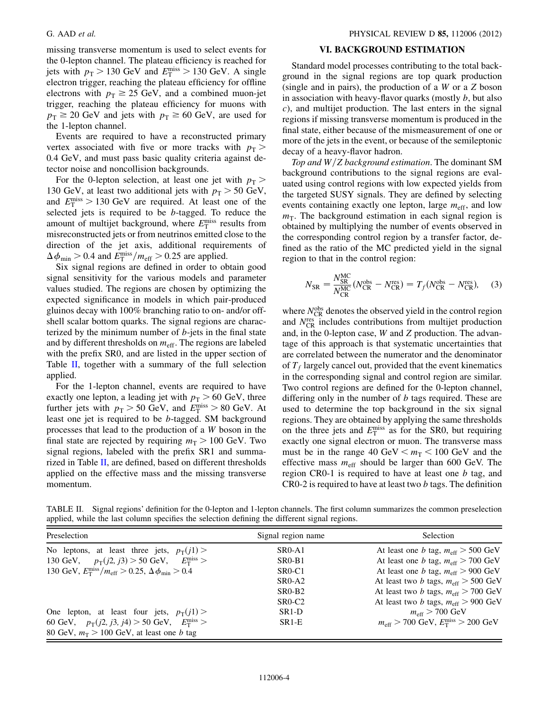<span id="page-4-0"></span>missing transverse momentum is used to select events for the 0-lepton channel. The plateau efficiency is reached for jets with  $p_T > 130 \text{ GeV}$  and  $E_T^{\text{miss}} > 130 \text{ GeV}$ . A single electron trigger, reaching the plateau efficiency for offline electrons with  $p_T \geq 25$  GeV, and a combined muon-jet trigger, reaching the plateau efficiency for muons with  $p_T \geq 20$  GeV and jets with  $p_T \geq 60$  GeV, are used for the 1-lepton channel.

Events are required to have a reconstructed primary vertex associated with five or more tracks with  $p<sub>T</sub>$  > 0:4 GeV, and must pass basic quality criteria against detector noise and noncollision backgrounds.

<span id="page-4-1"></span>For the 0-lepton selection, at least one jet with  $p<sub>T</sub>$  > 130 GeV, at least two additional jets with  $p_T > 50$  GeV, and  $E_{\rm T}^{\rm miss} > 130$  GeV are required. At least one of the selected jets is required to be b-tagged. To reduce the amount of multijet background, where  $E_{\rm T}^{\rm miss}$  results from misreconstructed jets or from neutrinos emitted close to the direction of the jet axis, additional requirements of  $\Delta\phi_{\text{min}} > 0.4$  and  $E_{\text{T}}^{\text{miss}}/m_{\text{eff}} > 0.25$  are applied.

Six signal regions are defined in order to obtain good signal sensitivity for the various models and parameter values studied. The regions are chosen by optimizing the expected significance in models in which pair-produced gluinos decay with 100% branching ratio to on- and/or offshell scalar bottom quarks. The signal regions are characterized by the minimum number of  $b$ -jets in the final state and by different thresholds on  $m_{\text{eff}}$ . The regions are labeled with the prefix SR0, and are listed in the upper section of Table [II,](#page-3-1) together with a summary of the full selection applied.

For the 1-lepton channel, events are required to have exactly one lepton, a leading jet with  $p_T > 60$  GeV, three further jets with  $p_T > 50$  GeV, and  $E_T^{\text{miss}} > 80$  GeV. At least one jet is required to be b-tagged. SM background processes that lead to the production of a W boson in the final state are rejected by requiring  $m<sub>T</sub> > 100$  GeV. Two signal regions, labeled with the prefix SR1 and summarized in Table [II](#page-3-1), are defined, based on different thresholds applied on the effective mass and the missing transverse momentum.

#### VI. BACKGROUND ESTIMATION

Standard model processes contributing to the total background in the signal regions are top quark production (single and in pairs), the production of a W or a Z boson in association with heavy-flavor quarks (mostly  $b$ , but also c), and multijet production. The last enters in the signal regions if missing transverse momentum is produced in the final state, either because of the mismeasurement of one or more of the jets in the event, or because of the semileptonic decay of a heavy-flavor hadron.

*Top and*  $W/Z$  *background estimation*. The dominant SM background contributions to the signal regions are evaluated using control regions with low expected yields from the targeted SUSY signals. They are defined by selecting events containing exactly one lepton, large  $m_{\text{eff}}$ , and low  $m<sub>T</sub>$ . The background estimation in each signal region is obtained by multiplying the number of events observed in the corresponding control region by a transfer factor, defined as the ratio of the MC predicted yield in the signal region to that in the control region:

$$
N_{\rm SR} = \frac{N_{\rm SR}^{\rm MC}}{N_{\rm CR}^{\rm MC}} (N_{\rm CR}^{\rm obs} - N_{\rm CR}^{\rm res}) = T_f (N_{\rm CR}^{\rm obs} - N_{\rm CR}^{\rm res}),\tag{3}
$$

where  $N_{CR}^{obs}$  denotes the observed yield in the control region and  $N_{\text{CR}}^{\text{res}}$  includes contributions from multijet production and, in the 0-lepton case, W and Z production. The advantage of this approach is that systematic uncertainties that are correlated between the numerator and the denominator of  $T_f$  largely cancel out, provided that the event kinematics in the corresponding signal and control region are similar. Two control regions are defined for the 0-lepton channel, differing only in the number of  $b$  tags required. These are used to determine the top background in the six signal regions. They are obtained by applying the same thresholds on the three jets and  $E_{\rm T}^{\rm miss}$  as for the SR0, but requiring exactly one signal electron or muon. The transverse mass must be in the range 40 GeV  $\le m_T < 100$  GeV and the effective mass  $m_{\text{eff}}$  should be larger than 600 GeV. The region CR0-1 is required to have at least one  $b$  tag, and CR0-2 is required to have at least two b tags. The definition

TABLE II. Signal regions' definition for the 0-lepton and 1-lepton channels. The first column summarizes the common preselection applied, while the last column specifies the selection defining the different signal regions.

| Preselection                                                                       | Signal region name              | <b>Selection</b>                                               |
|------------------------------------------------------------------------------------|---------------------------------|----------------------------------------------------------------|
| No leptons, at least three jets, $p_T(i)$                                          | $SR0-A1$                        | At least one <i>b</i> tag, $m_{\text{eff}} > 500 \text{ GeV}$  |
| 130 GeV, $p_T(j2, j3) > 50$ GeV, $E_T^{\text{miss}} >$                             | $SR0-B1$                        | At least one <i>b</i> tag, $m_{\text{eff}} > 700 \text{ GeV}$  |
| 130 GeV, $E_{\rm T}^{\rm miss}/m_{\rm eff} > 0.25$ , $\Delta \phi_{\rm min} > 0.4$ | SR <sub>0</sub> -C <sub>1</sub> | At least one <i>b</i> tag, $m_{\text{eff}} > 900 \text{ GeV}$  |
|                                                                                    | $SR0-A2$                        | At least two b tags, $m_{\text{eff}} > 500 \text{ GeV}$        |
|                                                                                    | $SR0-B2$                        | At least two b tags, $m_{\text{eff}} > 700 \text{ GeV}$        |
|                                                                                    | SR <sub>0</sub> -C <sub>2</sub> | At least two <i>b</i> tags, $m_{\text{eff}} > 900 \text{ GeV}$ |
| One lepton, at least four jets, $p_T(i)$                                           | SR <sub>1</sub> -D              | $m_{\text{eff}}$ > 700 GeV                                     |
| 60 GeV, $p_T(j2, j3, j4) > 50$ GeV, $E_T^{\text{miss}} >$                          | $SR1-E$                         | $m_{\rm eff} > 700$ GeV, $E_{\rm T}^{\rm miss} > 200$ GeV      |
| 80 GeV, $m_T > 100$ GeV, at least one <i>b</i> tag                                 |                                 |                                                                |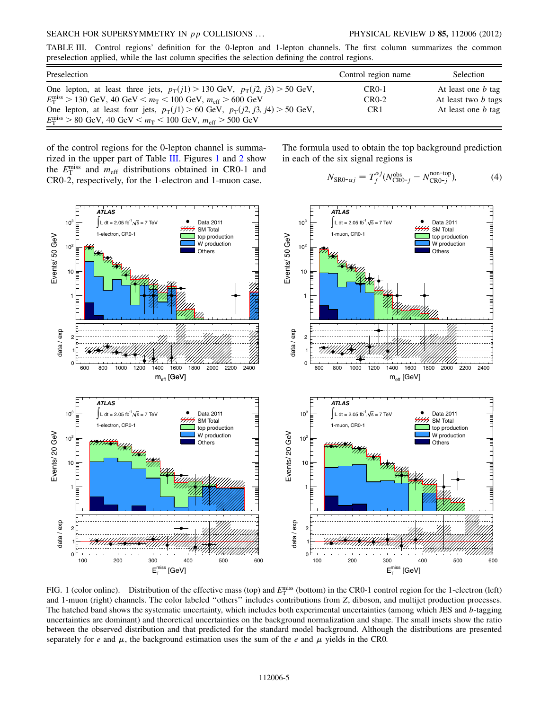#### SEARCH FOR SUPERSYMMETRY IN *pp* COLLISIONS ... PHYSICAL REVIEW D 85, 112006 (2012)

<span id="page-5-0"></span>TABLE III. Control regions' definition for the 0-lepton and 1-lepton channels. The first column summarizes the common preselection applied, while the last column specifies the selection defining the control regions.

| Preselection                                                                                                         | Control region name | <b>Selection</b>           |
|----------------------------------------------------------------------------------------------------------------------|---------------------|----------------------------|
| One lepton, at least three jets, $p_T(j1) > 130$ GeV, $p_T(j2, j3) > 50$ GeV,                                        | $CR0-1$             | At least one <i>b</i> tag  |
| $E_{\rm T}^{\rm miss}$ > 130 GeV, 40 GeV $\lt m_{\rm T}$ $\lt$ 100 GeV, $m_{\rm eff}$ > 600 GeV                      | $CR0-2$             | At least two <i>b</i> tags |
| One lepton, at least four jets, $p_T(i) > 60$ GeV, $p_T(i) > 50$ GeV,                                                | CR <sub>1</sub>     | At least one <i>b</i> tag  |
| $E_{\rm T}^{\rm miss} > 80 \text{ GeV}, 40 \text{ GeV} < m_{\rm T} < 100 \text{ GeV}, m_{\rm eff} > 500 \text{ GeV}$ |                     |                            |

of the control regions for the 0-lepton channel is summarized in the upper part of Table [III](#page-4-0). Figures [1](#page-4-1) and [2](#page-5-0) show the  $E_{\rm T}^{\rm miss}$  and  $m_{\rm eff}$  distributions obtained in CR0-1 and CR0-2, respectively, for the 1-electron and 1-muon case.

The formula used to obtain the top background prediction in each of the six signal regions is

$$
N_{\text{SRO-}\alpha j} = T_f^{\alpha j} (N_{\text{CRO-}j}^{\text{obs}} - N_{\text{CRO-}j}^{\text{non-top}}),\tag{4}
$$



FIG. 1 (color online). Distribution of the effective mass (top) and  $E_T^{\text{miss}}$  (bottom) in the CR0-1 control region for the 1-electron (left) and 1-muon (right) channels. The color labeled ''others'' includes contributions from Z, diboson, and multijet production processes. The hatched band shows the systematic uncertainty, which includes both experimental uncertainties (among which JES and b-tagging uncertainties are dominant) and theoretical uncertainties on the background normalization and shape. The small insets show the ratio between the observed distribution and that predicted for the standard model background. Although the distributions are presented separately for e and  $\mu$ , the background estimation uses the sum of the e and  $\mu$  yields in the CR0.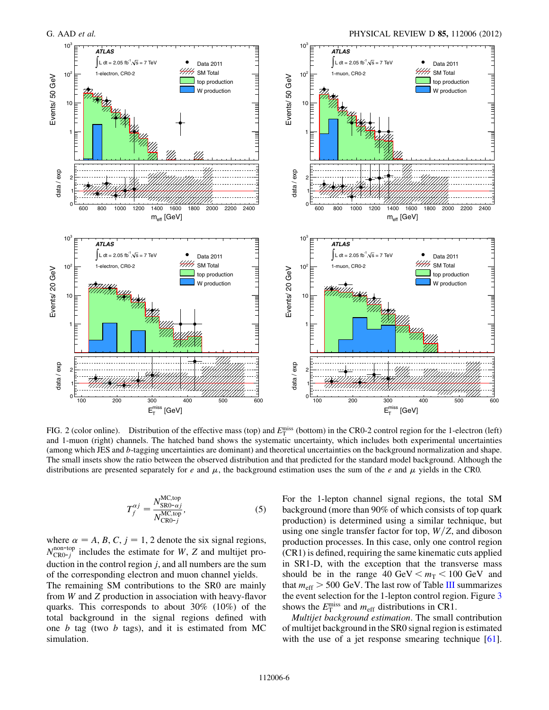<span id="page-6-0"></span>

FIG. 2 (color online). Distribution of the effective mass (top) and  $E_T^{\text{miss}}$  (bottom) in the CR0-2 control region for the 1-electron (left) and 1-muon (right) channels. The hatched band shows the systematic uncertainty, which includes both experimental uncertainties (among which JES and b-tagging uncertainties are dominant) and theoretical uncertainties on the background normalization and shape. The small insets show the ratio between the observed distribution and that predicted for the standard model background. Although the distributions are presented separately for e and  $\mu$ , the background estimation uses the sum of the e and  $\mu$  yields in the CR0.

<span id="page-6-1"></span>
$$
T_f^{\alpha j} = \frac{N_{\text{SRO}-\alpha j}^{\text{MC,top}}}{N_{\text{CRO}-j}^{\text{MC,top}}},\tag{5}
$$

where  $\alpha = A, B, C, j = 1, 2$  denote the six signal regions,  $N_{\text{CRO}-i}^{\text{non-top}}$  $\frac{100-10p}{CRO-j}$  includes the estimate for W, Z and multijet production in the control region j, and all numbers are the sum of the corresponding electron and muon channel yields.

The remaining SM contributions to the SR0 are mainly from W and Z production in association with heavy-flavor quarks. This corresponds to about 30% (10%) of the total background in the signal regions defined with one  $b$  tag (two  $b$  tags), and it is estimated from MC simulation.

For the 1-lepton channel signal regions, the total SM background (more than 90% of which consists of top quark production) is determined using a similar technique, but using one single transfer factor for top,  $W/Z$ , and diboson production processes. In this case, only one control region (CR1) is defined, requiring the same kinematic cuts applied in SR1-D, with the exception that the transverse mass should be in the range  $40 \text{ GeV} < m_T < 100 \text{ GeV}$  and that  $m_{\text{eff}} > 500 \text{ GeV}$ . The last row of Table [III](#page-4-0) summarizes the event selection for the 1-lepton control region. Figure [3](#page-6-0) shows the  $E_{\rm T}^{\rm miss}$  and  $m_{\rm eff}$  distributions in CR1.

*Multijet background estimation*. The small contribution of multijet background in the SR0 signal region is estimated with the use of a jet response smearing technique [[61\]](#page-15-21).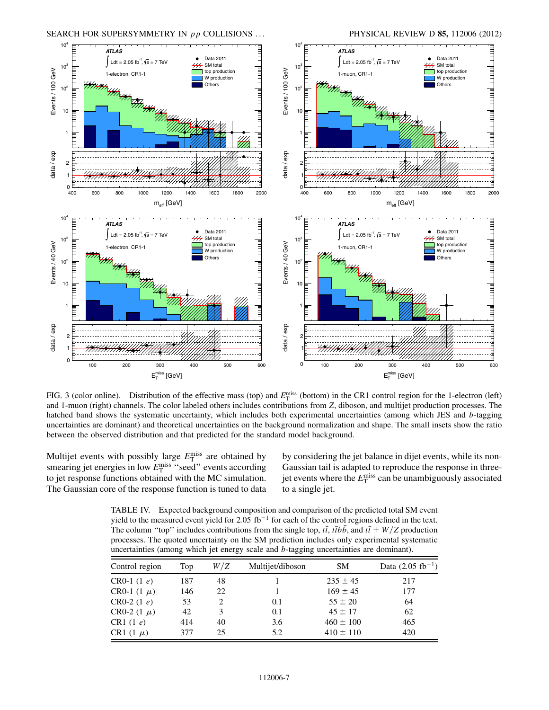

FIG. 3 (color online). Distribution of the effective mass (top) and  $E_T^{\text{miss}}$  (bottom) in the CR1 control region for the 1-electron (left) and 1-muon (right) channels. The color labeled others includes contributions from Z, diboson, and multijet production processes. The hatched band shows the systematic uncertainty, which includes both experimental uncertainties (among which JES and b-tagging uncertainties are dominant) and theoretical uncertainties on the background normalization and shape. The small insets show the ratio between the observed distribution and that predicted for the standard model background.

Multijet events with possibly large  $E_{\rm T}^{\rm miss}$  are obtained by smearing jet energies in low  $E_{\rm T}^{\rm miss}$  "seed" events according to jet response functions obtained with the MC simulation. The Gaussian core of the response function is tuned to data

by considering the jet balance in dijet events, while its non-Gaussian tail is adapted to reproduce the response in threejet events where the  $E_{\rm T}^{\rm miss}$  can be unambiguously associated to a single jet.

TABLE IV. Expected background composition and comparison of the predicted total SM event yield to the measured event yield for 2.05  $fb^{-1}$  for each of the control regions defined in the text. The column "top" includes contributions from the single top,  $t\bar{t}$ ,  $t\bar{t}b\bar{b}$ , and  $t\bar{t} + W/Z$  production processes. The quoted uncertainty on the SM prediction includes only experimental systematic uncertainties (among which jet energy scale and b-tagging uncertainties are dominant).

| Control region  | Top | W/Z                         | Multijet/diboson | <b>SM</b>     | Data $(2.05 \text{ fb}^{-1})$ |
|-----------------|-----|-----------------------------|------------------|---------------|-------------------------------|
| CR0-1 $(1 e)$   | 187 | 48                          |                  | $235 \pm 45$  | 217                           |
| CR0-1 $(1 \mu)$ | 146 | 22                          |                  | $169 \pm 45$  | 177                           |
| $CR0-2(1e)$     | 53  | $\mathcal{D}_{\mathcal{L}}$ | 0.1              | $55 \pm 20$   | 64                            |
| CR0-2 $(1 \mu)$ | 42  | 3                           | 0.1              | $45 \pm 17$   | 62                            |
| CR1 $(1e)$      | 414 | 40                          | 3.6              | $460 \pm 100$ | 465                           |
| CR1 $(1 \mu)$   | 377 | 25                          | 5.2              | $410 \pm 110$ | 420                           |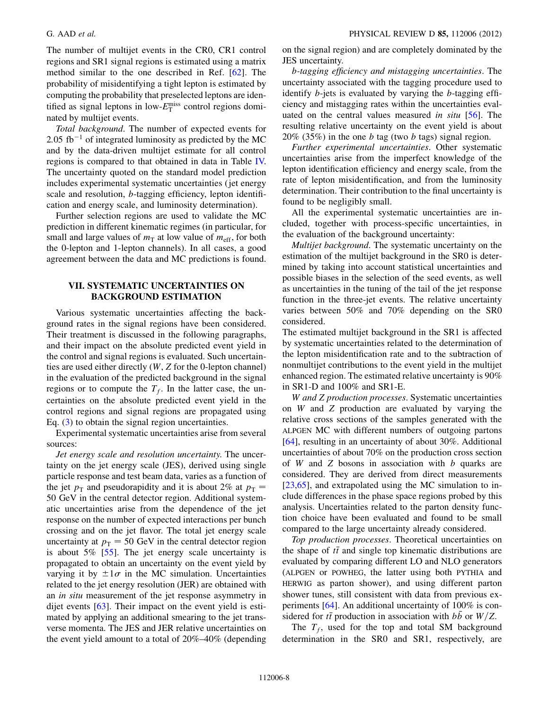<span id="page-8-0"></span>The number of multijet events in the CR0, CR1 control regions and SR1 signal regions is estimated using a matrix method similar to the one described in Ref. [\[62\]](#page-15-22). The probability of misidentifying a tight lepton is estimated by computing the probability that preselected leptons are identified as signal leptons in low- $E_{\rm T}^{\rm miss}$  control regions dominated by multijet events.

*Total background*. The number of expected events for 2.05 fb<sup>-1</sup> of integrated luminosity as predicted by the MC and by the data-driven multijet estimate for all control regions is compared to that obtained in data in Table [IV.](#page-6-1) The uncertainty quoted on the standard model prediction includes experimental systematic uncertainties (jet energy scale and resolution, b-tagging efficiency, lepton identification and energy scale, and luminosity determination).

Further selection regions are used to validate the MC prediction in different kinematic regimes (in particular, for small and large values of  $m<sub>T</sub>$  at low value of  $m<sub>eff</sub>$ , for both the 0-lepton and 1-lepton channels). In all cases, a good agreement between the data and MC predictions is found.

### <span id="page-8-1"></span>VII. SYSTEMATIC UNCERTAINTIES ON BACKGROUND ESTIMATION

Various systematic uncertainties affecting the background rates in the signal regions have been considered. Their treatment is discussed in the following paragraphs, and their impact on the absolute predicted event yield in the control and signal regions is evaluated. Such uncertainties are used either directly (W, Z for the 0-lepton channel) in the evaluation of the predicted background in the signal regions or to compute the  $T_f$ . In the latter case, the uncertainties on the absolute predicted event yield in the control regions and signal regions are propagated using Eq. ([3\)](#page-3-2) to obtain the signal region uncertainties.

Experimental systematic uncertainties arise from several sources:

*Jet energy scale and resolution uncertainty*. The uncertainty on the jet energy scale (JES), derived using single particle response and test beam data, varies as a function of the jet  $p_{\text{T}}$  and pseudorapidity and it is about 2% at  $p_{\text{T}} =$ 50 GeV in the central detector region. Additional systematic uncertainties arise from the dependence of the jet response on the number of expected interactions per bunch crossing and on the jet flavor. The total jet energy scale uncertainty at  $p_T = 50$  GeV in the central detector region is about 5% [\[55\]](#page-15-15). The jet energy scale uncertainty is propagated to obtain an uncertainty on the event yield by varying it by  $\pm 1\sigma$  in the MC simulation. Uncertainties related to the jet energy resolution (JER) are obtained with an *in situ* measurement of the jet response asymmetry in dijet events [[63](#page-15-23)]. Their impact on the event yield is estimated by applying an additional smearing to the jet transverse momenta. The JES and JER relative uncertainties on the event yield amount to a total of 20%–40% (depending on the signal region) and are completely dominated by the JES uncertainty.

b*-tagging efficiency and mistagging uncertainties*. The uncertainty associated with the tagging procedure used to identify b-jets is evaluated by varying the b-tagging efficiency and mistagging rates within the uncertainties evaluated on the central values measured *in situ* [\[56\]](#page-15-16). The resulting relative uncertainty on the event yield is about  $20\%$  (35%) in the one b tag (two b tags) signal region.

*Further experimental uncertainties*. Other systematic uncertainties arise from the imperfect knowledge of the lepton identification efficiency and energy scale, from the rate of lepton misidentification, and from the luminosity determination. Their contribution to the final uncertainty is found to be negligibly small.

All the experimental systematic uncertainties are included, together with process-specific uncertainties, in the evaluation of the background uncertainty:

*Multijet background*. The systematic uncertainty on the estimation of the multijet background in the SR0 is determined by taking into account statistical uncertainties and possible biases in the selection of the seed events, as well as uncertainties in the tuning of the tail of the jet response function in the three-jet events. The relative uncertainty varies between 50% and 70% depending on the SR0 considered.

The estimated multijet background in the SR1 is affected by systematic uncertainties related to the determination of the lepton misidentification rate and to the subtraction of nonmultijet contributions to the event yield in the multijet enhanced region. The estimated relative uncertainty is 90% in SR1-D and 100% and SR1-E.

W *and* Z *production processes*. Systematic uncertainties on W and Z production are evaluated by varying the relative cross sections of the samples generated with the ALPGEN MC with different numbers of outgoing partons [\[64\]](#page-15-24), resulting in an uncertainty of about 30%. Additional uncertainties of about 70% on the production cross section of W and Z bosons in association with  $b$  quarks are considered. They are derived from direct measurements [\[23](#page-14-10)[,65\]](#page-15-25), and extrapolated using the MC simulation to include differences in the phase space regions probed by this analysis. Uncertainties related to the parton density function choice have been evaluated and found to be small compared to the large uncertainty already considered.

*Top production processes*. Theoretical uncertainties on the shape of  $t\bar{t}$  and single top kinematic distributions are evaluated by comparing different LO and NLO generators (ALPGEN or POWHEG, the latter using both PYTHIA and HERWIG as parton shower), and using different parton shower tunes, still consistent with data from previous experiments [[64](#page-15-24)]. An additional uncertainty of 100% is considered for  $t\bar{t}$  production in association with  $b\bar{b}$  or  $W/Z$ .

The  $T_f$ , used for the top and total SM background determination in the SR0 and SR1, respectively, are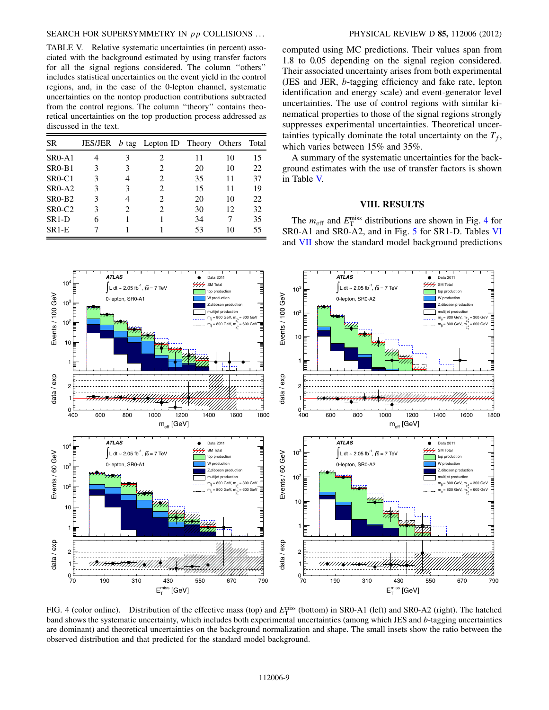#### SEARCH FOR SUPERSYMMETRY IN pp COLLISIONS ... PHYSICAL REVIEW D 85, 112006 (2012)

<span id="page-9-0"></span>TABLE V. Relative systematic uncertainties (in percent) associated with the background estimated by using transfer factors for all the signal regions considered. The column ''others'' includes statistical uncertainties on the event yield in the control regions, and, in the case of the 0-lepton channel, systematic uncertainties on the nontop production contributions subtracted from the control regions. The column ''theory'' contains theoretical uncertainties on the top production process addressed as discussed in the text.

| <b>SR</b>                       |   |                             | JES/JER $b$ tag Lepton ID Theory |    | Others | Total |
|---------------------------------|---|-----------------------------|----------------------------------|----|--------|-------|
| $SR0-A1$                        |   | 3                           | $\mathcal{D}_{\mathcal{A}}$      | 11 | 10     | 15    |
| <b>SR0-B1</b>                   | 3 | 3                           | $\mathfrak{D}$                   | 20 | 10     | 22    |
| $SR0-C1$                        | 3 | 4                           | $\mathfrak{D}$                   | 35 | 11     | 37    |
| SR <sub>0</sub> -A <sub>2</sub> | 3 | 3                           | $\mathfrak{D}$                   | 15 | 11     | 19    |
| SR <sub>0</sub> -B <sub>2</sub> | 3 | 4                           | $\mathfrak{D}$                   | 20 | 10     | 22    |
| $SR0-C2$                        | 3 | $\mathcal{D}_{\mathcal{L}}$ | $\mathcal{D}_{\mathcal{A}}$      | 30 | 12     | 32    |
| $SR1-D$                         | 6 |                             |                                  | 34 |        | 35    |
| SR <sub>1</sub> -E              |   |                             |                                  | 53 | 10     | 55    |

computed using MC predictions. Their values span from 1.8 to 0.05 depending on the signal region considered. Their associated uncertainty arises from both experimental (JES and JER, b-tagging efficiency and fake rate, lepton identification and energy scale) and event-generator level uncertainties. The use of control regions with similar kinematical properties to those of the signal regions strongly suppresses experimental uncertainties. Theoretical uncertainties typically dominate the total uncertainty on the  $T_f$ , which varies between 15% and 35%.

A summary of the systematic uncertainties for the background estimates with the use of transfer factors is shown in Table [V.](#page-8-0)

#### VIII. RESULTS

The  $m_{\text{eff}}$  and  $E_{\text{T}}^{\text{miss}}$  distributions are shown in Fig. [4](#page-8-1) for SR0-A1 and SR0-A2, and in Fig. [5](#page-9-0) for SR1-D. Tables [VI](#page-9-1) and [VII](#page-10-0) show the standard model background predictions



<span id="page-9-1"></span>FIG. 4 (color online). Distribution of the effective mass (top) and  $E_T^{\text{miss}}$  (bottom) in SR0-A1 (left) and SR0-A2 (right). The hatched band shows the systematic uncertainty, which includes both experimental uncertainties (among which JES and b-tagging uncertainties are dominant) and theoretical uncertainties on the background normalization and shape. The small insets show the ratio between the observed distribution and that predicted for the standard model background.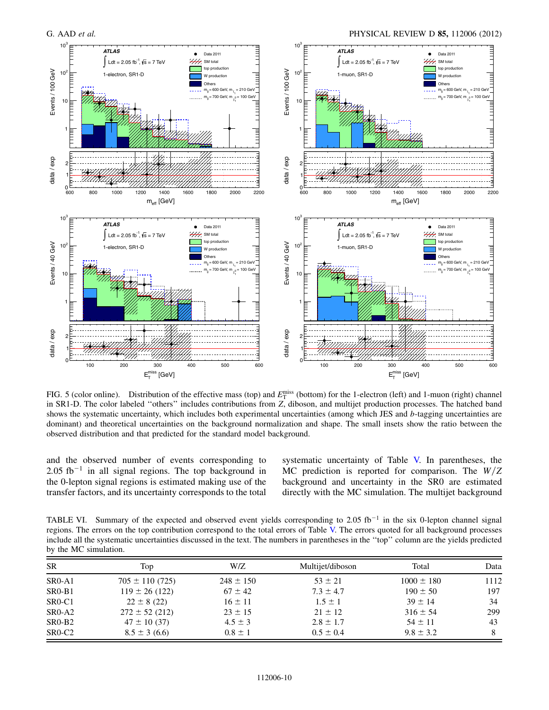<span id="page-10-0"></span>

FIG. 5 (color online). Distribution of the effective mass (top) and  $E_T^{\text{miss}}$  (bottom) for the 1-electron (left) and 1-muon (right) channel in SR1-D. The color labeled ''others'' includes contributions from Z, diboson, and multijet production processes. The hatched band shows the systematic uncertainty, which includes both experimental uncertainties (among which JES and b-tagging uncertainties are dominant) and theoretical uncertainties on the background normalization and shape. The small insets show the ratio between the observed distribution and that predicted for the standard model background.

<span id="page-10-1"></span>and the observed number of events corresponding to  $2.05$  fb<sup>-1</sup> in all signal regions. The top background in the 0-lepton signal regions is estimated making use of the transfer factors, and its uncertainty corresponds to the total systematic uncertainty of Table [V.](#page-8-0) In parentheses, the MC prediction is reported for comparison. The  $W/Z$ background and uncertainty in the SR0 are estimated directly with the MC simulation. The multijet background

TABLE VI. Summary of the expected and observed event yields corresponding to 2.05 fb<sup>-1</sup> in the six 0-lepton channel signal regions. The errors on the top contribution correspond to the total errors of Table [V.](#page-8-0) The errors quoted for all background processes include all the systematic uncertainties discussed in the text. The numbers in parentheses in the ''top'' column are the yields predicted by the MC simulation.

| <b>SR</b>                       | Top                 | W/Z           | Multijet/diboson | Total          | Data |
|---------------------------------|---------------------|---------------|------------------|----------------|------|
| $SR0-A1$                        | $705 \pm 110$ (725) | $248 \pm 150$ | $53 \pm 21$      | $1000 \pm 180$ | 1112 |
| $SR0-B1$                        | $119 \pm 26$ (122)  | $67 \pm 42$   | $7.3 \pm 4.7$    | $190 \pm 50$   | 197  |
| SR <sub>0</sub> -C <sub>1</sub> | $22 \pm 8(22)$      | $16 \pm 11$   | $1.5 \pm 1$      | $39 \pm 14$    | 34   |
| $SR0-A2$                        | $272 \pm 52$ (212)  | $23 \pm 15$   | $21 \pm 12$      | $316 \pm 54$   | 299  |
| $SR0-B2$                        | $47 \pm 10(37)$     | $4.5 \pm 3$   | $2.8 \pm 1.7$    | $54 \pm 11$    | 43   |
| SR <sub>0</sub> -C <sub>2</sub> | $8.5 \pm 3(6.6)$    | $0.8 \pm 1$   | $0.5 \pm 0.4$    | $9.8 \pm 3.2$  | 8    |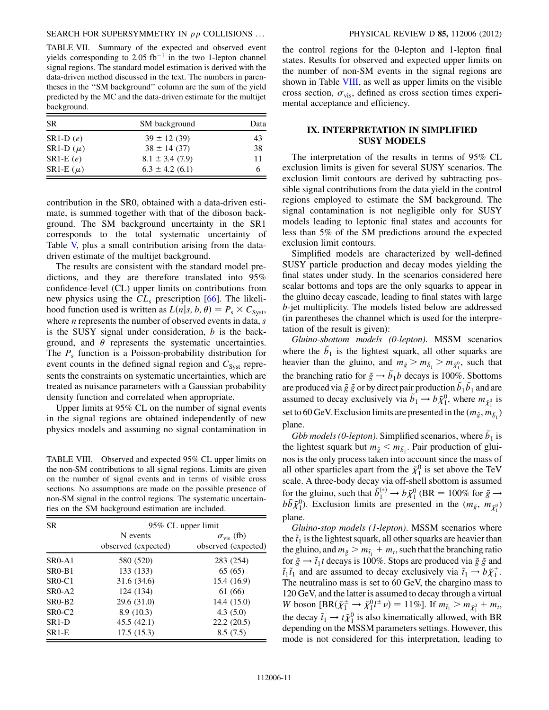TABLE VII. Summary of the expected and observed event yields corresponding to 2.05  $fb^{-1}$  in the two 1-lepton channel signal regions. The standard model estimation is derived with the data-driven method discussed in the text. The numbers in parentheses in the ''SM background'' column are the sum of the yield predicted by the MC and the data-driven estimate for the multijet background.

| <b>SR</b>     | SM background       | Data |
|---------------|---------------------|------|
| $SR1-D(e)$    | $39 \pm 12(39)$     | 43   |
| SR1-D $(\mu)$ | $38 \pm 14$ (37)    | 38   |
| $SR1-E(e)$    | $8.1 \pm 3.4$ (7.9) | 11   |
| SR1-E $(\mu)$ | $6.3 \pm 4.2$ (6.1) | 6    |

contribution in the SR0, obtained with a data-driven estimate, is summed together with that of the diboson background. The SM background uncertainty in the SR1 corresponds to the total systematic uncertainty of Table [V,](#page-8-0) plus a small contribution arising from the datadriven estimate of the multijet background.

The results are consistent with the standard model predictions, and they are therefore translated into 95% confidence-level (CL) upper limits on contributions from new physics using the  $CL<sub>s</sub>$  prescription [[66](#page-15-26)]. The likelihood function used is written as  $L(n|s, b, \theta) = P_s \times C_{\text{Syst}}$ , where  $n$  represents the number of observed events in data,  $s$ is the SUSY signal under consideration,  $b$  is the background, and  $\theta$  represents the systematic uncertainties. The  $P_s$  function is a Poisson-probability distribution for event counts in the defined signal region and  $C_{\text{Syst}}$  represents the constraints on systematic uncertainties, which are treated as nuisance parameters with a Gaussian probability density function and correlated when appropriate.

Upper limits at 95% CL on the number of signal events in the signal regions are obtained independently of new physics models and assuming no signal contamination in

TABLE VIII. Observed and expected 95% CL upper limits on the non-SM contributions to all signal regions. Limits are given on the number of signal events and in terms of visible cross sections. No assumptions are made on the possible presence of non-SM signal in the control regions. The systematic uncertainties on the SM background estimation are included.

| <b>SR</b>                       | 95% CL upper limit  |                         |  |  |
|---------------------------------|---------------------|-------------------------|--|--|
|                                 | N events            | $\sigma_{\rm vis}$ (fb) |  |  |
|                                 | observed (expected) | observed (expected)     |  |  |
| $SR0-A1$                        | 580 (520)           | 283 (254)               |  |  |
| $SR0-B1$                        | 133 (133)           | 65(65)                  |  |  |
| SR <sub>0</sub> -C <sub>1</sub> | 31.6 (34.6)         | 15.4(16.9)              |  |  |
| $SR0-A2$                        | 124 (134)           | 61 (66)                 |  |  |
| $SR0-B2$                        | 29.6(31.0)          | 14.4 (15.0)             |  |  |
| SR <sub>0</sub> -C <sub>2</sub> | 8.9(10.3)           | 4.3(5.0)                |  |  |
| SR <sub>1</sub> -D              | 45.5(42.1)          | 22.2(20.5)              |  |  |
| $SR1-E$                         | 17.5(15.3)          | 8.5(7.5)                |  |  |

<span id="page-11-0"></span>the control regions for the 0-lepton and 1-lepton final states. Results for observed and expected upper limits on the number of non-SM events in the signal regions are shown in Table [VIII,](#page-10-1) as well as upper limits on the visible cross section,  $\sigma_{\text{vis}}$ , defined as cross section times experimental acceptance and efficiency.

### IX. INTERPRETATION IN SIMPLIFIED SUSY MODELS

The interpretation of the results in terms of 95% CL exclusion limits is given for several SUSY scenarios. The exclusion limit contours are derived by subtracting possible signal contributions from the data yield in the control regions employed to estimate the SM background. The signal contamination is not negligible only for SUSY models leading to leptonic final states and accounts for less than 5% of the SM predictions around the expected exclusion limit contours.

Simplified models are characterized by well-defined SUSY particle production and decay modes yielding the final states under study. In the scenarios considered here scalar bottoms and tops are the only squarks to appear in the gluino decay cascade, leading to final states with large b-jet multiplicity. The models listed below are addressed (in parentheses the channel which is used for the interpretation of the result is given):

*Gluino-sbottom models (0-lepton)*. MSSM scenarios where the  $\tilde{b}_1$  is the lightest squark, all other squarks are heavier than the gluino, and  $m_{\tilde{g}} > m_{\tilde{b}_1} > m_{\tilde{\chi}_1^0}$ , such that the branching ratio for  $\tilde{g} \rightarrow \tilde{b}_1 b$  decays is 100%. Sbottoms are produced via  $\tilde{g}~\tilde{g}$  or by direct pair production  $\tilde{b}_1 \tilde{b}_1$  and are assumed to decay exclusively via  $\tilde{b}_1 \rightarrow b \tilde{\chi}_1^0$ , where  $m_{\tilde{\chi}_1^0}$  is set to 60 GeV. Exclusion limits are presented in the  $(m_{\tilde{g}}, m_{\tilde{b}_1})$ plane.

*Gbb models (0-lepton)*. Simplified scenarios, where  $\tilde{b}_1$  is the lightest squark but  $m_{\tilde{g}} < m_{\tilde{b}_1}$ . Pair production of gluinos is the only process taken into account since the mass of all other sparticles apart from the  $\tilde{\chi}_1^0$  is set above the TeV scale. A three-body decay via off-shell sbottom is assumed for the gluino, such that  $\tilde{b}_1^{(*)} \rightarrow b \tilde{\chi}_1^0$  (BR = 100% for  $\tilde{g} \rightarrow$  $b\bar{b}\tilde{\chi}_1^0$ ). Exclusion limits are presented in the  $(m_{\tilde{g}}, m_{\tilde{\chi}_1^0})$ plane.

*Gluino-stop models (1-lepton)*. MSSM scenarios where the  $\tilde{t}_1$  is the lightest squark, all other squarks are heavier than the gluino, and  $m_{\tilde{g}} > m_{\tilde{t}_1} + m_t$ , such that the branching ratio for  $\tilde{g} \rightarrow \tilde{t}_1 t$  decays is 100%. Stops are produced via  $\tilde{g} \tilde{g}$  and  $\tilde{t}_1 \tilde{t}_1$  and are assumed to decay exclusively via  $\tilde{t}_1 \rightarrow b \tilde{\chi}_1^{\pm}$ . The neutralino mass is set to 60 GeV, the chargino mass to 120 GeV, and the latter is assumed to decay through a virtual W boson  $[BR(\tilde{\chi}_1^{\pm} \to \tilde{\chi}_1^0 l^{\pm} \nu) = 11\%]$ . If  $m_{\tilde{t}_1} > m_{\tilde{\chi}_1^0} + m_t$ , the decay  $\tilde{t}_1 \rightarrow t \tilde{\chi}_1^0$  is also kinematically allowed, with BR depending on the MSSM parameters settings. However, this mode is not considered for this interpretation, leading to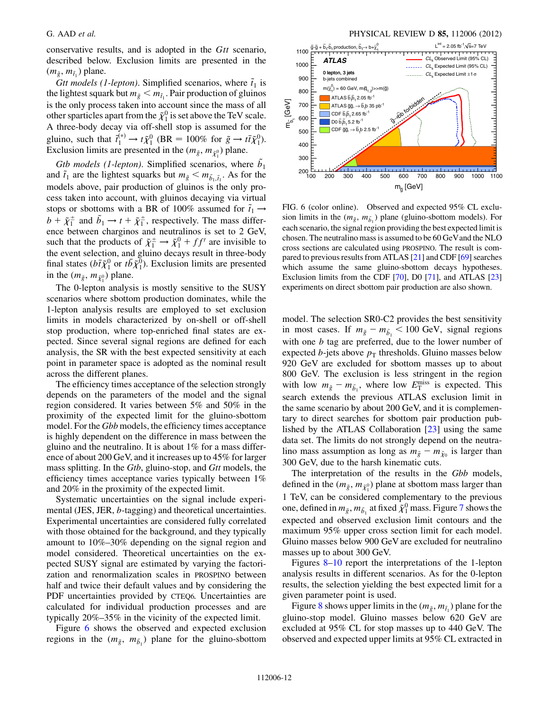<span id="page-12-0"></span>conservative results, and is adopted in the Gtt scenario, described below. Exclusion limits are presented in the  $(m_{\tilde{g}}, m_{\tilde{t}_1})$  plane.

*Gtt models (1-lepton)*. Simplified scenarios, where  $\tilde{t}_1$  is the lightest squark but  $m_{\tilde{g}} < m_{\tilde{t}_1}$ . Pair production of gluinos is the only process taken into account since the mass of all other sparticles apart from the  $\tilde{\chi}_1^0$  is set above the TeV scale. A three-body decay via off-shell stop is assumed for the gluino, such that  $\tilde{t}_1^{(*)} \rightarrow t \tilde{\chi}_1^0$  (BR = 100% for  $\tilde{g} \rightarrow t \tilde{t} \tilde{\chi}_1^0$ ). Exclusion limits are presented in the  $(m_{\tilde{g}}, m_{\tilde{\chi}_1^0})$  plane.

*Gtb models (1-lepton)*. Simplified scenarios, where  $\tilde{b}_1$ and  $\tilde{t}_1$  are the lightest squarks but  $m_{\tilde{g}} < m_{\tilde{b}_1, \tilde{t}_1}$ . As for the models above, pair production of gluinos is the only process taken into account, with gluinos decaying via virtual stops or sbottoms with a BR of 100% assumed for  $\tilde{t}_1 \rightarrow$  $b + \tilde{\chi}_1^{\pm}$  and  $\tilde{b}_1 \rightarrow t + \tilde{\chi}_1^{\pm}$ , respectively. The mass difference between charginos and neutralinos is set to 2 GeV, such that the products of  $\tilde{\chi}_1^{\pm} \rightarrow \tilde{\chi}_1^0 + ff'$  are invisible to the event selection, and gluino decays result in three-body final states ( $b\bar{t}\tilde{\chi}_{1}^{0}$  or  $t\bar{b}\tilde{\chi}_{1}^{0}$ ). Exclusion limits are presented in the  $(m_{\tilde{g}}, m_{\tilde{\chi}_1^0})$  plane.

<span id="page-12-1"></span>The 0-lepton analysis is mostly sensitive to the SUSY scenarios where sbottom production dominates, while the 1-lepton analysis results are employed to set exclusion limits in models characterized by on-shell or off-shell stop production, where top-enriched final states are expected. Since several signal regions are defined for each analysis, the SR with the best expected sensitivity at each point in parameter space is adopted as the nominal result across the different planes.

The efficiency times acceptance of the selection strongly depends on the parameters of the model and the signal region considered. It varies between 5% and 50% in the proximity of the expected limit for the gluino-sbottom model. For the *Gbb* models, the efficiency times acceptance is highly dependent on the difference in mass between the gluino and the neutralino. It is about 1% for a mass difference of about 200 GeV, and it increases up to 45% for larger mass splitting. In the *Gtb*, gluino-stop, and *Gtt* models, the efficiency times acceptance varies typically between 1% and 20% in the proximity of the expected limit.

Systematic uncertainties on the signal include experimental (JES, JER, b-tagging) and theoretical uncertainties. Experimental uncertainties are considered fully correlated with those obtained for the background, and they typically amount to 10%–30% depending on the signal region and model considered. Theoretical uncertainties on the expected SUSY signal are estimated by varying the factorization and renormalization scales in PROSPINO between half and twice their default values and by considering the PDF uncertainties provided by CTEQ6. Uncertainties are calculated for individual production processes and are typically 20%–35% in the vicinity of the expected limit.

Figure [6](#page-11-0) shows the observed and expected exclusion regions in the  $(m_{\tilde{g}}, m_{\tilde{b}_1})$  plane for the gluino-sbottom

<span id="page-12-3"></span>

FIG. 6 (color online). Observed and expected 95% CL exclusion limits in the  $(m_{\tilde{g}}, m_{\tilde{b}_1})$  plane (gluino-sbottom models). For each scenario, the signal region providing the best expected limit is chosen. The neutralino mass is assumed to be 60 GeVand the NLO cross sections are calculated using PROSPINO. The result is compared to previous results from ATLAS [\[21](#page-14-8)] and CDF [\[69](#page-15-27)] searches which assume the same gluino-sbottom decays hypotheses. Exclusion limits from the CDF [\[70\]](#page-15-28), D0 [\[71](#page-15-29)], and ATLAS [[23\]](#page-14-10) experiments on direct sbottom pair production are also shown.

<span id="page-12-2"></span>model. The selection SR0-C2 provides the best sensitivity in most cases. If  $m_{\tilde{g}} - m_{\tilde{b}_1} < 100$  GeV, signal regions with one  $b$  tag are preferred, due to the lower number of expected b-jets above  $p_T$  thresholds. Gluino masses below 920 GeV are excluded for sbottom masses up to about 800 GeV. The exclusion is less stringent in the region with low  $m_{\tilde{g}} - m_{\tilde{b}_1}$ , where low  $E_{\text{T}}^{\text{miss}}$  is expected. This search extends the previous ATLAS exclusion limit in the same scenario by about 200 GeV, and it is complementary to direct searches for sbottom pair production published by the ATLAS Collaboration [\[23\]](#page-14-10) using the same data set. The limits do not strongly depend on the neutralino mass assumption as long as  $m_{\tilde{g}} - m_{\tilde{\chi}_0}$  is larger than 300 GeV, due to the harsh kinematic cuts.

The interpretation of the results in the *Gbb* models, defined in the  $(m_{\tilde{g}}, m_{\tilde{\chi}_{1}^{0}})$  plane at sbottom mass larger than 1 TeV, can be considered complementary to the previous one, defined in  $m_{\tilde{g}}, m_{\tilde{b}_1}$  at fixed  $\tilde{\chi}_1^0$  mass. Figure [7](#page-12-0) shows the expected and observed exclusion limit contours and the maximum 95% upper cross section limit for each model. Gluino masses below 900 GeV are excluded for neutralino masses up to about 300 GeV.

Figures [8](#page-12-1)[–10](#page-12-2) report the interpretations of the 1-lepton analysis results in different scenarios. As for the 0-lepton results, the selection yielding the best expected limit for a given parameter point is used.

Figure [8](#page-12-1) shows upper limits in the  $(m_{\tilde{g}}, m_{\tilde{t}_1})$  plane for the gluino-stop model. Gluino masses below 620 GeV are excluded at 95% CL for stop masses up to 440 GeV. The observed and expected upper limits at 95% CL extracted in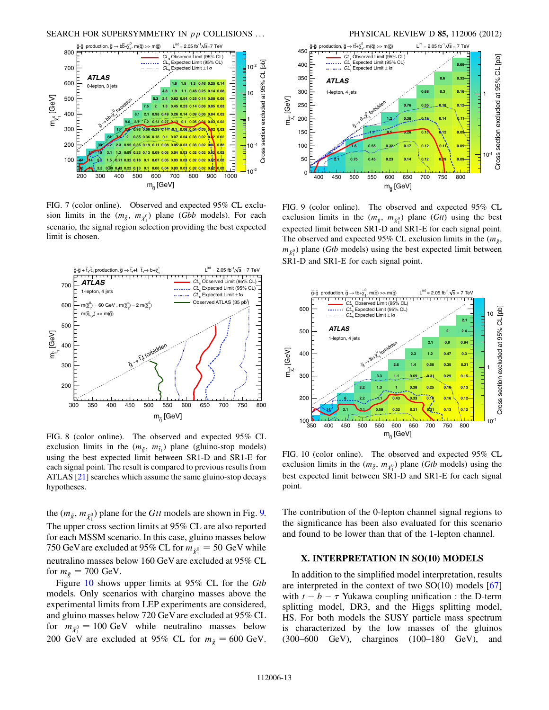<span id="page-13-0"></span>

<span id="page-13-1"></span>FIG. 7 (color online). Observed and expected 95% CL exclusion limits in the  $(m_{\tilde{g}}, m_{\tilde{\chi}_1^0})$  plane (*Gbb* models). For each scenario, the signal region selection providing the best expected limit is chosen.



FIG. 8 (color online). The observed and expected 95% CL exclusion limits in the  $(m_{\tilde{g}}, m_{\tilde{t}_1})$  plane (gluino-stop models) using the best expected limit between SR1-D and SR1-E for each signal point. The result is compared to previous results from ATLAS [[21](#page-14-8)] searches which assume the same gluino-stop decays hypotheses.

the  $(m_{\tilde{g}}, m_{\tilde{\chi}_1^0})$  plane for the *Gtt* models are shown in Fig. [9.](#page-12-3) The upper cross section limits at 95% CL are also reported for each MSSM scenario. In this case, gluino masses below 750 GeV are excluded at 95% CL for  $m_{\tilde{\chi}^0_1} = 50 \text{ GeV}$  while neutralino masses below 160 GeV are excluded at 95% CL for  $m_{\tilde{g}} = 700$  GeV.

Figure [10](#page-12-2) shows upper limits at 95% CL for the *Gtb* models. Only scenarios with chargino masses above the experimental limits from LEP experiments are considered, and gluino masses below 720 GeV are excluded at 95% CL for  $m_{\tilde{\chi}_1^0} = 100 \text{ GeV}$  while neutralino masses below 200 GeV are excluded at 95% CL for  $m_{\tilde{g}} = 600$  GeV.



FIG. 9 (color online). The observed and expected 95% CL exclusion limits in the  $(m_{\tilde{g}}, m_{\tilde{\chi}_1^0})$  plane (*Gtt*) using the best expected limit between SR1-D and SR1-E for each signal point. The observed and expected 95% CL exclusion limits in the  $(m_{\tilde{g}},$  $m_{\tilde{\chi}_1^0}$ ) plane (*Gtb* models) using the best expected limit between SR1-D and SR1-E for each signal point.



FIG. 10 (color online). The observed and expected 95% CL exclusion limits in the  $(m_{\tilde{g}}, m_{\tilde{\chi}_1^0})$  plane (*Gtb* models) using the best expected limit between SR1-D and SR1-E for each signal point.

The contribution of the 0-lepton channel signal regions to the significance has been also evaluated for this scenario and found to be lower than that of the 1-lepton channel.

#### X. INTERPRETATION IN SO(10) MODELS

In addition to the simplified model interpretation, results are interpreted in the context of two  $SO(10)$  models  $[67]$ with  $t - b - \tau$  Yukawa coupling unification : the D-term splitting model, DR3, and the Higgs splitting model, HS. For both models the SUSY particle mass spectrum is characterized by the low masses of the gluinos (300–600 GeV), charginos (100–180 GeV), and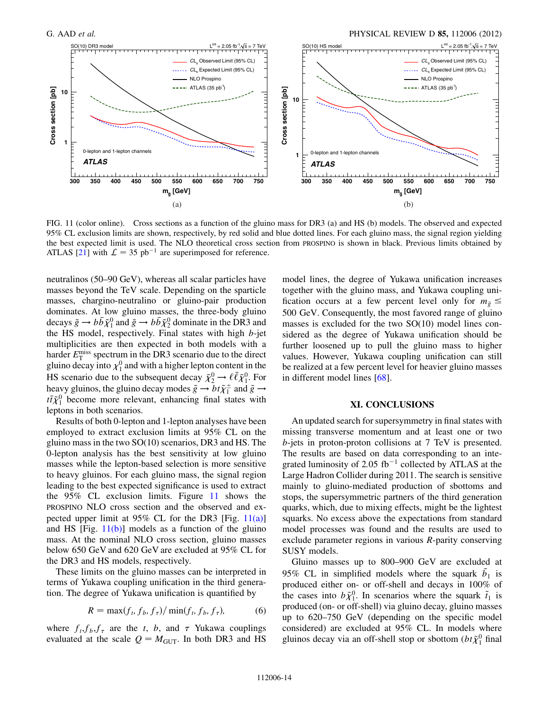

FIG. 11 (color online). Cross sections as a function of the gluino mass for DR3 (a) and HS (b) models. The observed and expected 95% CL exclusion limits are shown, respectively, by red solid and blue dotted lines. For each gluino mass, the signal region yielding the best expected limit is used. The NLO theoretical cross section from PROSPINO is shown in black. Previous limits obtained by ATLAS [[21](#page-14-8)] with  $\mathcal{L} = 35 \text{ pb}^{-1}$  are superimposed for reference.

<span id="page-14-0"></span>neutralinos (50–90 GeV), whereas all scalar particles have masses beyond the TeV scale. Depending on the sparticle masses, chargino-neutralino or gluino-pair production dominates. At low gluino masses, the three-body gluino decays  $\tilde{g} \to b\bar{b}\tilde{\chi}_1^0$  and  $\tilde{g} \to b\bar{b}\tilde{\chi}_2^0$  dominate in the DR3 and the HS model, respectively. Final states with high  $b$ -jet multiplicities are then expected in both models with a harder  $E_{\rm T}^{\rm miss}$  spectrum in the DR3 scenario due to the direct gluino decay into  $\chi_1^0$  and with a higher lepton content in the HS scenario due to the subsequent decay  $\tilde{\chi}_2^0 \rightarrow \ell \bar{\ell} \tilde{\chi}_1^0$ . For heavy gluinos, the gluino decay modes  $\tilde{g} \to bt\tilde{\chi}_1^{\pm}$  and  $\tilde{g} \to$  $t\bar{t}\tilde{\chi}_{1}^{0}$  become more relevant, enhancing final states with leptons in both scenarios.

<span id="page-14-4"></span><span id="page-14-3"></span><span id="page-14-2"></span><span id="page-14-1"></span>Results of both 0-lepton and 1-lepton analyses have been employed to extract exclusion limits at 95% CL on the gluino mass in the two SO(10) scenarios, DR3 and HS. The 0-lepton analysis has the best sensitivity at low gluino masses while the lepton-based selection is more sensitive to heavy gluinos. For each gluino mass, the signal region leading to the best expected significance is used to extract the 95% CL exclusion limits. Figure [11](#page-13-0) shows the PROSPINO NLO cross section and the observed and expected upper limit at  $95\%$  CL for the DR3 [Fig. [11\(a\)\]](#page-13-1) and HS  $[Fig. 11(b)]$  $[Fig. 11(b)]$  $[Fig. 11(b)]$  models as a function of the gluino mass. At the nominal NLO cross section, gluino masses below 650 GeV and 620 GeV are excluded at 95% CL for the DR3 and HS models, respectively.

<span id="page-14-9"></span><span id="page-14-8"></span><span id="page-14-7"></span><span id="page-14-6"></span><span id="page-14-5"></span>These limits on the gluino masses can be interpreted in terms of Yukawa coupling unification in the third generation. The degree of Yukawa unification is quantified by

$$
R = \max(f_t, f_b, f_\tau) / \min(f_t, f_b, f_\tau), \tag{6}
$$

<span id="page-14-11"></span><span id="page-14-10"></span>where  $f_t, f_b, f_\tau$  are the t, b, and  $\tau$  Yukawa couplings evaluated at the scale  $Q = M<sub>GUT</sub>$ . In both DR3 and HS <span id="page-14-12"></span>model lines, the degree of Yukawa unification increases together with the gluino mass, and Yukawa coupling unification occurs at a few percent level only for  $m_{\tilde{g}} \leq$ 500 GeV. Consequently, the most favored range of gluino masses is excluded for the two SO(10) model lines considered as the degree of Yukawa unification should be further loosened up to pull the gluino mass to higher values. However, Yukawa coupling unification can still be realized at a few percent level for heavier gluino masses in different model lines [[68](#page-15-31)].

#### XI. CONCLUSIONS

<span id="page-14-18"></span><span id="page-14-17"></span><span id="page-14-16"></span><span id="page-14-15"></span><span id="page-14-14"></span><span id="page-14-13"></span>An updated search for supersymmetry in final states with missing transverse momentum and at least one or two b-jets in proton-proton collisions at 7 TeV is presented. The results are based on data corresponding to an integrated luminosity of 2.05 fb<sup>-1</sup> collected by ATLAS at the Large Hadron Collider during 2011. The search is sensitive mainly to gluino-mediated production of sbottoms and stops, the supersymmetric partners of the third generation quarks, which, due to mixing effects, might be the lightest squarks. No excess above the expectations from standard model processes was found and the results are used to exclude parameter regions in various R-parity conserving SUSY models.

<span id="page-14-24"></span><span id="page-14-23"></span><span id="page-14-22"></span><span id="page-14-21"></span><span id="page-14-20"></span><span id="page-14-19"></span>Gluino masses up to 800–900 GeV are excluded at 95% CL in simplified models where the squark  $\tilde{b}_1$  is produced either on- or off-shell and decays in 100% of the cases into  $b\tilde{\chi}_1^0$ . In scenarios where the squark  $\tilde{t}_1$  is produced (on- or off-shell) via gluino decay, gluino masses up to 620–750 GeV (depending on the specific model considered) are excluded at 95% CL. In models where gluinos decay via an off-shell stop or sbottom  $(bt\tilde{\chi}_1^0$  final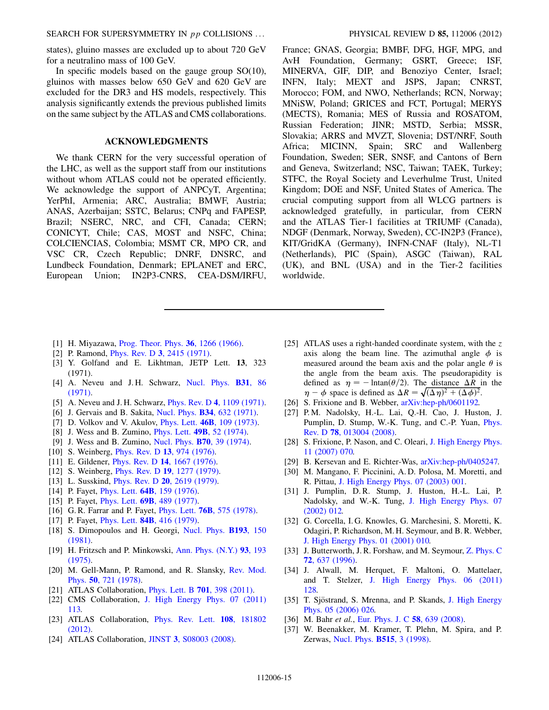SEARCH FOR SUPERSYMMETRY IN *pp* COLLISIONS ... PHYSICAL REVIEW D 85, 112006 (2012)

<span id="page-15-0"></span>states), gluino masses are excluded up to about 720 GeV for a neutralino mass of 100 GeV.

<span id="page-15-3"></span><span id="page-15-2"></span><span id="page-15-1"></span>In specific models based on the gauge group  $SO(10)$ , gluinos with masses below 650 GeV and 620 GeV are excluded for the DR3 and HS models, respectively. This analysis significantly extends the previous published limits on the same subject by the ATLAS and CMS collaborations.

#### ACKNOWLEDGMENTS

<span id="page-15-10"></span><span id="page-15-9"></span><span id="page-15-8"></span><span id="page-15-7"></span><span id="page-15-4"></span>We thank CERN for the very successful operation of the LHC, as well as the support staff from our institutions without whom ATLAS could not be operated efficiently. We acknowledge the support of ANPCyT, Argentina; YerPhI, Armenia; ARC, Australia; BMWF, Austria; ANAS, Azerbaijan; SSTC, Belarus; CNPq and FAPESP, Brazil; NSERC, NRC, and CFI, Canada; CERN; CONICYT, Chile; CAS, MOST and NSFC, China; COLCIENCIAS, Colombia; MSMT CR, MPO CR, and VSC CR, Czech Republic; DNRF, DNSRC, and Lundbeck Foundation, Denmark; EPLANET and ERC, European Union; IN2P3-CNRS, CEA-DSM/IRFU, <span id="page-15-23"></span><span id="page-15-22"></span><span id="page-15-21"></span><span id="page-15-20"></span><span id="page-15-19"></span><span id="page-15-18"></span><span id="page-15-17"></span><span id="page-15-16"></span><span id="page-15-15"></span><span id="page-15-14"></span>France; GNAS, Georgia; BMBF, DFG, HGF, MPG, and AvH Foundation, Germany; GSRT, Greece; ISF, MINERVA, GIF, DIP, and Benoziyo Center, Israel; INFN, Italy; MEXT and JSPS, Japan; CNRST, Morocco; FOM, and NWO, Netherlands; RCN, Norway; MNiSW, Poland; GRICES and FCT, Portugal; MERYS (MECTS), Romania; MES of Russia and ROSATOM, Russian Federation; JINR; MSTD, Serbia; MSSR, Slovakia; ARRS and MVZT, Slovenia; DST/NRF, South Africa; MICINN, Spain; SRC and Wallenberg Foundation, Sweden; SER, SNSF, and Cantons of Bern and Geneva, Switzerland; NSC, Taiwan; TAEK, Turkey; STFC, the Royal Society and Leverhulme Trust, United Kingdom; DOE and NSF, United States of America. The crucial computing support from all WLCG partners is acknowledged gratefully, in particular, from CERN and the ATLAS Tier-1 facilities at TRIUMF (Canada), NDGF (Denmark, Norway, Sweden), CC-IN2P3 (France), KIT/GridKA (Germany), INFN-CNAF (Italy), NL-T1 (Netherlands), PIC (Spain), ASGC (Taiwan), RAL (UK), and BNL (USA) and in the Tier-2 facilities worldwide.

- <span id="page-15-13"></span><span id="page-15-12"></span><span id="page-15-11"></span><span id="page-15-6"></span><span id="page-15-5"></span>[1] H. Miyazawa, [Prog. Theor. Phys.](http://dx.doi.org/10.1143/PTP.36.1266) 36, 1266 (1966).
- [2] P. Ramond, *Phys. Rev. D* 3[, 2415 \(1971\).](http://dx.doi.org/10.1103/PhysRevD.3.2415)
- [3] Y. Golfand and E. Likhtman, JETP Lett. 13, 323 (1971).
- [4] A. Neveu and J. H. Schwarz, [Nucl. Phys.](http://dx.doi.org/10.1016/0550-3213(71)90448-2) B31, 86 [\(1971\)](http://dx.doi.org/10.1016/0550-3213(71)90448-2).
- <span id="page-15-33"></span>[5] A. Neveu and J. H. Schwarz, *Phys. Rev. D* 4[, 1109 \(1971\).](http://dx.doi.org/10.1103/PhysRevD.4.1109)
- [6] J. Gervais and B. Sakita, Nucl. Phys. **B34**[, 632 \(1971\)](http://dx.doi.org/10.1016/0550-3213(71)90351-8).
- [7] D. Volkov and V. Akulov, *Phys. Lett.* **46B**[, 109 \(1973\).](http://dx.doi.org/10.1016/0370-2693(73)90490-5)
- [8] J. Wess and B. Zumino, Phys. Lett. 49B[, 52 \(1974\)](http://dx.doi.org/10.1016/0370-2693(74)90578-4).
- [9] J. Wess and B. Zumino, [Nucl. Phys.](http://dx.doi.org/10.1016/0550-3213(74)90355-1) B70, 39 (1974).
- [10] S. Weinberg, *[Phys. Rev. D](http://dx.doi.org/10.1103/PhysRevD.13.974)* **13**, 974 (1976).
- [11] E. Gildener, *Phys. Rev. D* **14**[, 1667 \(1976\).](http://dx.doi.org/10.1103/PhysRevD.14.1667)
- [12] S. Weinberg, *Phys. Rev. D* **19**[, 1277 \(1979\)](http://dx.doi.org/10.1103/PhysRevD.19.1277).
- <span id="page-15-34"></span>[13] L. Susskind, *Phys. Rev. D* **20**[, 2619 \(1979\)](http://dx.doi.org/10.1103/PhysRevD.20.2619).
- [14] P. Fayet, *Phys. Lett.* **64B**[, 159 \(1976\)](http://dx.doi.org/10.1016/0370-2693(76)90319-1).
- [15] P. Fayet, *Phys. Lett.* **69B**[, 489 \(1977\)](http://dx.doi.org/10.1016/0370-2693(77)90852-8).
- [16] G. R. Farrar and P. Fayet, *Phys. Lett.* **76B**[, 575 \(1978\)](http://dx.doi.org/10.1016/0370-2693(78)90858-4).
- <span id="page-15-32"></span>[17] P. Fayet, *Phys. Lett.* **84B**[, 416 \(1979\)](http://dx.doi.org/10.1016/0370-2693(79)91229-2).
- [18] S. Dimopoulos and H. Georgi, [Nucl. Phys.](http://dx.doi.org/10.1016/0550-3213(81)90522-8) **B193**, 150 [\(1981\)](http://dx.doi.org/10.1016/0550-3213(81)90522-8).
- [19] H. Fritzsch and P. Minkowski, [Ann. Phys. \(N.Y.\)](http://dx.doi.org/10.1016/0003-4916(75)90211-0) 93, 193 [\(1975\)](http://dx.doi.org/10.1016/0003-4916(75)90211-0).
- <span id="page-15-35"></span>[20] M. Gell-Mann, P. Ramond, and R. Slansky, [Rev. Mod.](http://dx.doi.org/10.1103/RevModPhys.50.721) Phys. 50[, 721 \(1978\).](http://dx.doi.org/10.1103/RevModPhys.50.721)
- [21] ATLAS Collaboration, *[Phys. Lett. B](http://dx.doi.org/10.1016/j.physletb.2011.06.015)* **701**, 398 (2011).
- [22] CMS Collaboration, [J. High Energy Phys. 07 \(2011\)](http://dx.doi.org/10.1007/JHEP07(2011)113) [113.](http://dx.doi.org/10.1007/JHEP07(2011)113)
- [23] ATLAS Collaboration, [Phys. Rev. Lett.](http://dx.doi.org/10.1103/PhysRevLett.108.181802) 108, 181802 [\(2012\)](http://dx.doi.org/10.1103/PhysRevLett.108.181802).
- [24] ATLAS Collaboration, JINST 3[, S08003 \(2008\).](http://dx.doi.org/10.1088/1748-0221/3/08/S08003)
- <span id="page-15-31"></span><span id="page-15-30"></span><span id="page-15-29"></span><span id="page-15-28"></span><span id="page-15-27"></span><span id="page-15-26"></span><span id="page-15-25"></span><span id="page-15-24"></span>[25] ATLAS uses a right-handed coordinate system, with the z axis along the beam line. The azimuthal angle  $\phi$  is measured around the beam axis and the polar angle  $\theta$  is the angle from the beam axis. The pseudorapidity is defined as  $\eta = -\text{Intan}(\theta/2)$ . The distance  $\Delta R$  in the  $\eta - \phi$  space is defined as  $\Delta R = \sqrt{(\Delta \eta)^2 + (\Delta \phi)^2}$ .
- [26] S. Frixione and B. Webber,  $arXiv:hep-ph/0601192$ .
- [27] P. M. Nadolsky, H.-L. Lai, Q.-H. Cao, J. Huston, J. Pumplin, D. Stump, W.-K. Tung, and C.-P. Yuan, [Phys.](http://dx.doi.org/10.1103/PhysRevD.78.013004) Rev. D 78[, 013004 \(2008\)](http://dx.doi.org/10.1103/PhysRevD.78.013004).
- [28] S. Frixione, P. Nason, and C. Oleari, [J. High Energy Phys.](http://dx.doi.org/10.1088/1126-6708/2007/11/070) [11 \(2007\) 070.](http://dx.doi.org/10.1088/1126-6708/2007/11/070)
- [29] B. Kersevan and E. Richter-Was, [arXiv:hep-ph/0405247.](http://arXiv.org/abs/hep-ph/0405247)
- [30] M. Mangano, F. Piccinini, A. D. Polosa, M. Moretti, and R. Pittau, [J. High Energy Phys. 07 \(2003\) 001](http://dx.doi.org/10.1088/1126-6708/2003/07/001).
- [31] J. Pumplin, D. R. Stump, J. Huston, H.-L. Lai, P. Nadolsky, and W.-K. Tung, [J. High Energy Phys. 07](http://dx.doi.org/10.1088/1126-6708/2002/07/012) [\(2002\) 012.](http://dx.doi.org/10.1088/1126-6708/2002/07/012)
- [32] G. Corcella, I. G. Knowles, G. Marchesini, S. Moretti, K. Odagiri, P. Richardson, M. H. Seymour, and B. R. Webber, [J. High Energy Phys. 01 \(2001\) 010.](http://dx.doi.org/10.1088/1126-6708/2001/01/010)
- [33] J. Butterworth, J. R. Forshaw, and M. Seymour, [Z. Phys. C](http://dx.doi.org/10.1007/s002880050286) 72[, 637 \(1996\)](http://dx.doi.org/10.1007/s002880050286).
- [34] J. Alwall, M. Herquet, F. Maltoni, O. Mattelaer, and T. Stelzer, [J. High Energy Phys. 06 \(2011\)](http://dx.doi.org/10.1007/JHEP06(2011)128) [128.](http://dx.doi.org/10.1007/JHEP06(2011)128)
- [35] T. Sjöstrand, S. Mrenna, and P. Skands, [J. High Energy](http://dx.doi.org/10.1088/1126-6708/2006/05/026) [Phys. 05 \(2006\) 026.](http://dx.doi.org/10.1088/1126-6708/2006/05/026)
- [36] M. Bahr *et al.*, [Eur. Phys. J. C](http://dx.doi.org/10.1140/epjc/s10052-008-0798-9) 58, 639 (2008).
- [37] W. Beenakker, M. Kramer, T. Plehn, M. Spira, and P. Zerwas, [Nucl. Phys.](http://dx.doi.org/10.1016/S0550-3213(98)00014-5) B515, 3 (1998).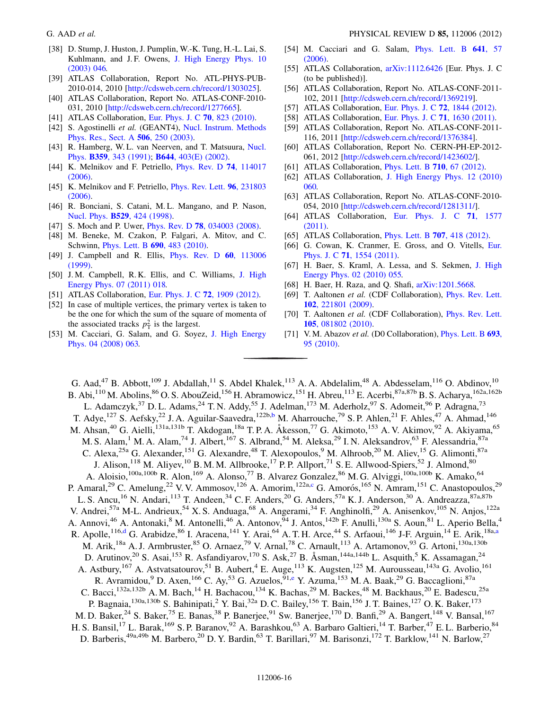- [38] D. Stump, J. Huston, J. Pumplin, W.-K. Tung, H.-L. Lai, S. Kuhlmann, and J.F. Owens, [J. High Energy Phys. 10](http://dx.doi.org/10.1088/1126-6708/2003/10/046) [\(2003\) 046.](http://dx.doi.org/10.1088/1126-6708/2003/10/046)
- <span id="page-16-0"></span>[39] ATLAS Collaboration, Report No. ATL-PHYS-PUB-2010-014, 2010 [<http://cdsweb.cern.ch/record/1303025>].
- [40] ATLAS Collaboration, Report No. ATLAS-CONF-2010- 031, 2010 [<http://cdsweb.cern.ch/record/1277665>].
- <span id="page-16-1"></span>[41] ATLAS Collaboration, [Eur. Phys. J. C](http://dx.doi.org/10.1140/epjc/s10052-010-1429-9) **70**, 823 (2010).
- [42] S. Agostinelli *et al.* (GEANT4), [Nucl. Instrum. Methods](http://dx.doi.org/10.1016/S0168-9002(03)01368-8) [Phys. Res., Sect. A](http://dx.doi.org/10.1016/S0168-9002(03)01368-8) 506, 250 (2003).
- [43] R. Hamberg, W. L. van Neerven, and T. Matsuura, [Nucl.](http://dx.doi.org/10.1016/0550-3213(91)90064-5) Phys. B359[, 343 \(1991\);](http://dx.doi.org/10.1016/0550-3213(91)90064-5) B644[, 403\(E\) \(2002\)](http://dx.doi.org/10.1016/S0550-3213(02)00814-3).
- [44] K. Melnikov and F. Petriello, *[Phys. Rev. D](http://dx.doi.org/10.1103/PhysRevD.74.114017)* **74**, 114017 [\(2006\)](http://dx.doi.org/10.1103/PhysRevD.74.114017).
- [45] K. Melnikov and F. Petriello, *[Phys. Rev. Lett.](http://dx.doi.org/10.1103/PhysRevLett.96.231803)* **96**, 231803 [\(2006\)](http://dx.doi.org/10.1103/PhysRevLett.96.231803).
- [46] R. Bonciani, S. Catani, M. L. Mangano, and P. Nason, Nucl. Phys. B529[, 424 \(1998\).](http://dx.doi.org/10.1016/S0550-3213(98)00335-6)
- [47] S. Moch and P. Uwer, *Phys. Rev. D* **78**[, 034003 \(2008\)](http://dx.doi.org/10.1103/PhysRevD.78.034003).
- [48] M. Beneke, M. Czakon, P. Falgari, A. Mitov, and C. Schwinn, [Phys. Lett. B](http://dx.doi.org/10.1016/j.physletb.2010.05.038) 690, 483 (2010).
- [49] J. Campbell and R. Ellis, *[Phys. Rev. D](http://dx.doi.org/10.1103/PhysRevD.60.113006)* 60, 113006 [\(1999\)](http://dx.doi.org/10.1103/PhysRevD.60.113006).
- [50] J. M. Campbell, R. K. Ellis, and C. Williams, [J. High](http://dx.doi.org/10.1007/JHEP07(2011)018) [Energy Phys. 07 \(2011\) 018.](http://dx.doi.org/10.1007/JHEP07(2011)018)
- [51] ATLAS Collaboration, [Eur. Phys. J. C](http://dx.doi.org/10.1140/epjc/s10052-012-1909-1) **72**, 1909 (2012).
- [52] In case of multiple vertices, the primary vertex is taken to be the one for which the sum of the square of momenta of the associated tracks  $p_{\rm T}^2$  is the largest.
- [53] M. Cacciari, G. Salam, and G. Soyez, [J. High Energy](http://dx.doi.org/10.1088/1126-6708/2008/04/063) [Phys. 04 \(2008\) 063.](http://dx.doi.org/10.1088/1126-6708/2008/04/063)
- [54] M. Cacciari and G. Salam, [Phys. Lett. B](http://dx.doi.org/10.1016/j.physletb.2006.08.037) 641, 57 [\(2006\)](http://dx.doi.org/10.1016/j.physletb.2006.08.037).
- [55] ATLAS Collaboration, [arXiv:1112.6426](http://arXiv.org/abs/1112.6426) [Eur. Phys. J. C (to be published)].
- [56] ATLAS Collaboration, Report No. ATLAS-CONF-2011- 102, 2011 [<http://cdsweb.cern.ch/record/1369219>].
- [57] ATLAS Collaboration, [Eur. Phys. J. C](http://dx.doi.org/10.1140/epjc/s10052-011-1844-6) 72, 1844 (2012).
- [58] ATLAS Collaboration, [Eur. Phys. J. C](http://dx.doi.org/10.1140/epjc/s10052-011-1630-5) 71, 1630 (2011).
- [59] ATLAS Collaboration, Report No. ATLAS-CONF-2011- 116, 2011 [<http://cdsweb.cern.ch/record/1376384>].
- [60] ATLAS Collaboration, Report No. CERN-PH-EP-2012- 061, 2012 [[http://cdsweb.cern.ch/record/1423602/\]](http://cdsweb.cern.ch/record/1423602/).
- [61] ATLAS Collaboration, *[Phys. Lett. B](http://dx.doi.org/10.1016/j.physletb.2012.02.051)* **710**, 67 (2012).
- [62] ATLAS Collaboration, [J. High Energy Phys. 12 \(2010\)](http://dx.doi.org/10.1007/JHEP12(2010)060) [060.](http://dx.doi.org/10.1007/JHEP12(2010)060)
- [63] ATLAS Collaboration, Report No. ATLAS-CONF-2010-054, 2010 [[http://cdsweb.cern.ch/record/1281311/\]](http://cdsweb.cern.ch/record/1281311/).
- [64] ATLAS Collaboration, [Eur. Phys. J. C](http://dx.doi.org/10.1140/epjc/s10052-011-1577-6) 71, 1577 [\(2011\)](http://dx.doi.org/10.1140/epjc/s10052-011-1577-6).
- [65] ATLAS Collaboration, *[Phys. Lett. B](http://dx.doi.org/10.1016/j.physletb.2011.12.046)* **707**, 418 (2012).
- [66] G. Cowan, K. Cranmer, E. Gross, and O. Vitells, [Eur.](http://dx.doi.org/10.1140/epjc/s10052-011-1554-0) Phys. J. C 71[, 1554 \(2011\)](http://dx.doi.org/10.1140/epjc/s10052-011-1554-0).
- [67] H. Baer, S. Kraml, A. Lessa, and S. Sekmen, [J. High](http://dx.doi.org/10.1007/JHEP02(2010)055) [Energy Phys. 02 \(2010\) 055.](http://dx.doi.org/10.1007/JHEP02(2010)055)
- [68] H. Baer, H. Raza, and Q. Shafi, [arXiv:1201.5668.](http://arXiv.org/abs/1201.5668)
- [69] T. Aaltonen *et al.* (CDF Collaboration), [Phys. Rev. Lett.](http://dx.doi.org/10.1103/PhysRevLett.102.221801) 102[, 221801 \(2009\)](http://dx.doi.org/10.1103/PhysRevLett.102.221801).
- [70] T. Aaltonen et al. (CDF Collaboration), *[Phys. Rev. Lett.](http://dx.doi.org/10.1103/PhysRevLett.105.081802)* 105[, 081802 \(2010\)](http://dx.doi.org/10.1103/PhysRevLett.105.081802).
- [71] V.M. Abazov et al. (D0 Collaboration), *[Phys. Lett. B](http://dx.doi.org/10.1016/j.physletb.2010.08.028)* 693, [95 \(2010\).](http://dx.doi.org/10.1016/j.physletb.2010.08.028)

<span id="page-16-3"></span><span id="page-16-2"></span>G. Aad,<sup>47</sup> B. Abbott,<sup>109</sup> J. Abdallah,<sup>11</sup> S. Abdel Khalek,<sup>113</sup> A. A. Abdelalim,<sup>48</sup> A. Abdesselam,<sup>116</sup> O. Abdinov,<sup>10</sup> B. Abi,  $^{110}$  M. Abolins,  $^{86}$  O. S. AbouZeid,  $^{156}$  H. Abramowicz,  $^{151}$  H. Abreu,  $^{113}$  E. Acerbi,  $^{87a,87b}$  B. S. Acharya,  $^{162a,162b}$ L. Adamczyk,<sup>37</sup> D. L. Adams,<sup>24</sup> T. N. Addy,<sup>55</sup> J. Adelman,<sup>173</sup> M. Aderholz,<sup>97</sup> S. Adomeit,<sup>96</sup> P. Adragna,<sup>73</sup> T. Adye,<sup>127</sup> S. Aefsky,<sup>22</sup> J. A. Aguilar-Saavedra,<sup>122[b](#page-27-0),b</sup> M. Aharrouche,<sup>79</sup> S. P. Ahlen,<sup>21</sup> F. Ahles,<sup>47</sup> A. Ahmad,<sup>146</sup> M. Ahsan,<sup>40</sup> G. Aielli,<sup>131a,131b</sup> T. Akdogan,<sup>18a</sup> T. P. A. Åkesson,<sup>77</sup> G. Akimoto,<sup>153</sup> A. V. Akimov,<sup>92</sup> A. Akiyama,<sup>65</sup> M. S. Alam,<sup>1</sup> M. A. Alam,<sup>74</sup> J. Albert,<sup>167</sup> S. Albrand,<sup>54</sup> M. Aleksa,<sup>29</sup> I. N. Aleksandrov,<sup>63</sup> F. Alessandria,<sup>87a</sup> C. Alexa,<sup>25a</sup> G. Alexander,<sup>151</sup> G. Alexandre,<sup>48</sup> T. Alexopoulos,<sup>9</sup> M. Alhroob,<sup>20</sup> M. Aliev,<sup>15</sup> G. Alimonti,<sup>87a</sup> J. Alison,<sup>118</sup> M. Aliyev,<sup>10</sup> B. M. M. Allbrooke,<sup>17</sup> P. P. Allport,<sup>71</sup> S. E. Allwood-Spiers,<sup>52</sup> J. Almond,<sup>80</sup> A. Aloisio,<sup>100a,100b</sup> R. Alon,<sup>169</sup> A. Alonso,<sup>77</sup> B. Alvarez Gonzalez,<sup>86</sup> M. G. Alviggi,<sup>100a,100b</sup> K. Amako,<sup>64</sup> P. Amaral,<sup>29</sup> C. Amelung,<sup>22</sup> V. V. Ammosov,<sup>126</sup> A. Amorim,<sup>122a,[c](#page-27-1)</sup> G. Amorós,<sup>165</sup> N. Amram,<sup>151</sup> C. Anastopoulos,<sup>29</sup> L. S. Ancu,<sup>16</sup> N. Andari,<sup>113</sup> T. Andeen,<sup>34</sup> C. F. Anders,<sup>20</sup> G. Anders,<sup>57a</sup> K. J. Anderson,<sup>30</sup> A. Andreazza,<sup>87a,87b</sup> V. Andrei,<sup>57a</sup> M-L. Andrieux,<sup>54</sup> X. S. Anduaga,<sup>68</sup> A. Angerami,<sup>34</sup> F. Anghinolfi,<sup>29</sup> A. Anisenkov,<sup>105</sup> N. Anjos,<sup>122a</sup> A. Annovi,<sup>46</sup> A. Antonaki,<sup>8</sup> M. Antonelli,<sup>46</sup> A. Antonov,<sup>94</sup> J. Antos,<sup>142b</sup> F. Anulli,<sup>130a</sup> S. Aoun,<sup>81</sup> L. Aperio Bella,<sup>4</sup> R. Apolle,<sup>116,[d](#page-27-2)</sup> G. Ar[a](#page-27-3)bidze,<sup>86</sup> I. Aracena,<sup>141</sup> Y. Arai,<sup>64</sup> A. T. H. Arce,<sup>44</sup> S. Arfaoui,<sup>146</sup> J-F. Arguin,<sup>14</sup> E. Arik,<sup>18a,a</sup> M. Arik,<sup>18a</sup> A. J. Armbruster,<sup>85</sup> O. Arnaez,<sup>79</sup> V. Arnal,<sup>78</sup> C. Arnault,<sup>113</sup> A. Artamonov,<sup>93</sup> G. Artoni,<sup>130a,130b</sup> D. Arutinov,<sup>20</sup> S. Asai,<sup>153</sup> R. Asfandiyarov,<sup>170</sup> S. Ask,<sup>27</sup> B. Åsman,<sup>144a,144b</sup> L. Asquith,<sup>5</sup> K. Assamagan,<sup>24</sup> A. Astbury, <sup>167</sup> A. Astvatsatourov, <sup>51</sup> B. Aubert, <sup>4</sup> E. Auge, <sup>113</sup> K. Augsten, <sup>125</sup> M. Aurousseau, <sup>143a</sup> G. Avolio, <sup>161</sup> R. Avramidou,<sup>9</sup> D. Axen,<sup>166</sup> C. Ay,<sup>53</sup> G. Azuelos,<sup>91[,e](#page-27-4)</sup> Y. Azuma,<sup>153</sup> M. A. Baak,<sup>29</sup> G. Baccaglioni,<sup>87a</sup> C. Bacci,<sup>132a,132b</sup> A. M. Bach,<sup>14</sup> H. Bachacou,<sup>134</sup> K. Bachas,<sup>29</sup> M. Backes,<sup>48</sup> M. Backhaus,<sup>20</sup> E. Badescu,<sup>25a</sup> P. Bagnaia,<sup>130a,130b</sup> S. Bahinipati,<sup>2</sup> Y. Bai,<sup>32a</sup> D. C. Bailey,<sup>156</sup> T. Bain,<sup>156</sup> J. T. Baines,<sup>127</sup> O. K. Baker,<sup>173</sup> M. D. Baker,<sup>24</sup> S. Baker,<sup>75</sup> E. Banas,<sup>38</sup> P. Banerjee,<sup>91</sup> Sw. Banerjee,<sup>170</sup> D. Banfi,<sup>29</sup> A. Bangert,<sup>148</sup> V. Bansal,<sup>167</sup> H. S. Bansil,<sup>17</sup> L. Barak,<sup>169</sup> S. P. Baranov,<sup>92</sup> A. Barashkou,<sup>63</sup> A. Barbaro Galtieri,<sup>14</sup> T. Barber,<sup>47</sup> E. L. Barberio,<sup>84</sup> D. Barberis,<sup>49a,49b</sup> M. Barbero,<sup>20</sup> D. Y. Bardin,<sup>63</sup> T. Barillari,<sup>97</sup> M. Barisonzi,<sup>172</sup> T. Barklow,<sup>141</sup> N. Barlow,<sup>27</sup>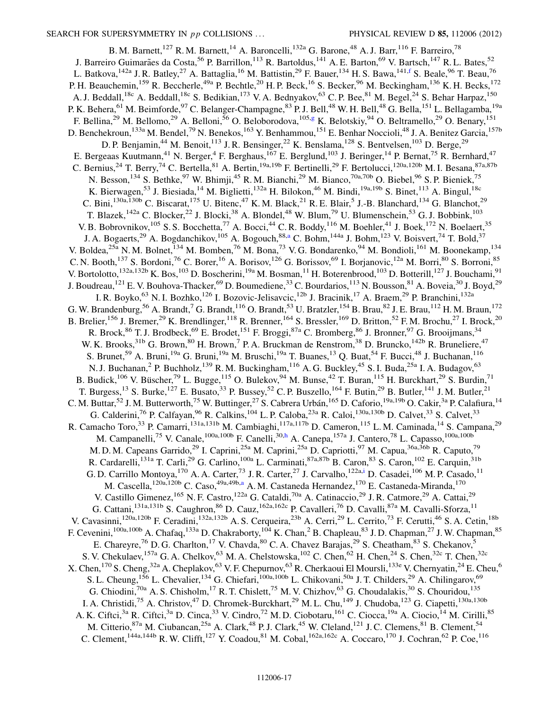<span id="page-17-4"></span><span id="page-17-3"></span><span id="page-17-2"></span><span id="page-17-1"></span><span id="page-17-0"></span>B. M. Barnett,<sup>127</sup> R. M. Barnett,<sup>14</sup> A. Baroncelli,<sup>132a</sup> G. Barone,<sup>48</sup> A. J. Barr,<sup>116</sup> F. Barreiro,<sup>78</sup> J. Barreiro Guimarães da Costa,<sup>56</sup> P. Barrillon,<sup>113</sup> R. Bartoldus,<sup>141</sup> A. E. Barton,<sup>69</sup> V. Bartsch,<sup>147</sup> R. L. Bates,<sup>52</sup> L. Batkova,  $142a$  J. R. Batley,  $27$  A. Battaglia,  $16$  M. Battistin,  $29$  F. Bauer,  $134$  H. S. Bawa,  $141,f$  $141,f$  S. Beale,  $96$  T. Beau,  $76$ P. H. Beauchemin,<sup>159</sup> R. Beccherle,<sup>49a</sup> P. Bechtle,<sup>20</sup> H. P. Beck,<sup>16</sup> S. Becker,<sup>96</sup> M. Beckingham,<sup>136</sup> K. H. Becks,<sup>172</sup> A. J. Beddall,<sup>18c</sup> A. Beddall,<sup>18c</sup> S. Bedikian,<sup>173</sup> V. A. Bednyakov,<sup>63</sup> C. P. Bee,<sup>81</sup> M. Begel,<sup>24</sup> S. Behar Harpaz,<sup>150</sup> P. K. Behera,<sup>61</sup> M. Beimforde,<sup>97</sup> C. Belanger-Champagne,<sup>83</sup> P. J. Bell,<sup>48</sup> W. H. Bell,<sup>48</sup> G. Bella,<sup>151</sup> L. Bellagamba,<sup>19a</sup> F. Bellina,<sup>29</sup> M. Bellomo,<sup>29</sup> A. Belloni,<sup>56</sup> O. Beloborodova,<sup>105[,g](#page-27-6)</sup> K. Belotskiy,<sup>94</sup> O. Beltramello,<sup>29</sup> O. Benary,<sup>151</sup> D. Benchekroun,<sup>133a</sup> M. Bendel,<sup>79</sup> N. Benekos,<sup>163</sup> Y. Benhammou,<sup>151</sup> E. Benhar Noccioli,<sup>48</sup> J. A. Benitez Garcia,<sup>157b</sup> D. P. Benjamin,<sup>44</sup> M. Benoit,<sup>113</sup> J. R. Bensinger,<sup>22</sup> K. Benslama,<sup>128</sup> S. Bentvelsen,<sup>103</sup> D. Berge,<sup>29</sup> E. Bergeaas Kuutmann,<sup>41</sup> N. Berger,<sup>4</sup> F. Berghaus,<sup>167</sup> E. Berglund,<sup>103</sup> J. Beringer,<sup>14</sup> P. Bernat,<sup>75</sup> R. Bernhard,<sup>47</sup> C. Bernius,<sup>24</sup> T. Berry,<sup>74</sup> C. Bertella,<sup>81</sup> A. Bertin,<sup>19a,19b</sup> F. Bertinelli,<sup>29</sup> F. Bertolucci,<sup>120a,120b</sup> M. I. Besana,<sup>87a,87b</sup> N. Besson,<sup>134</sup> S. Bethke,<sup>97</sup> W. Bhimji,<sup>45</sup> R. M. Bianchi,<sup>29</sup> M. Bianco,<sup>70a,70b</sup> O. Biebel,<sup>96</sup> S. P. Bieniek,<sup>75</sup> K. Bierwagen,<sup>53</sup> J. Biesiada,<sup>14</sup> M. Biglietti,<sup>132a</sup> H. Bilokon,<sup>46</sup> M. Bindi,<sup>19a,19b</sup> S. Binet,<sup>113</sup> A. Bingul,<sup>18c</sup> C. Bini,<sup>130a,130b</sup> C. Biscarat,<sup>175</sup> U. Bitenc,<sup>47</sup> K. M. Black,<sup>21</sup> R. E. Blair,<sup>5</sup> J.-B. Blanchard,<sup>134</sup> G. Blanchot,<sup>29</sup> T. Blazek,<sup>142a</sup> C. Blocker,<sup>22</sup> J. Blocki,<sup>38</sup> A. Blondel,<sup>48</sup> W. Blum,<sup>79</sup> U. Blumenschein,<sup>53</sup> G. J. Bobbink,<sup>103</sup> V. B. Bobrovnikov,<sup>105</sup> S. S. Bocchetta,<sup>77</sup> A. Bocci,<sup>44</sup> C. R. Boddy,<sup>116</sup> M. Boehler,<sup>41</sup> J. Boek,<sup>172</sup> N. Boelaert,<sup>35</sup> J. A. Bog[a](#page-27-3)erts,<sup>29</sup> A. Bogdanchikov,<sup>105</sup> A. Bogouch,<sup>88,a</sup> C. Bohm,<sup>144a</sup> J. Bohm,<sup>123</sup> V. Boisvert,<sup>74</sup> T. Bold,<sup>37</sup> V. Boldea,<sup>25a</sup> N. M. Bolnet,<sup>134</sup> M. Bomben,<sup>76</sup> M. Bona,<sup>73</sup> V. G. Bondarenko,<sup>94</sup> M. Bondioli,<sup>161</sup> M. Boonekamp,<sup>134</sup> C. N. Booth,<sup>137</sup> S. Bordoni,<sup>76</sup> C. Borer,<sup>16</sup> A. Borisov,<sup>126</sup> G. Borissov,<sup>69</sup> I. Borjanovic,<sup>12a</sup> M. Borri,<sup>80</sup> S. Borroni,<sup>85</sup> V. Bortolotto,<sup>132a,132b</sup> K. Bos,<sup>103</sup> D. Boscherini,<sup>19a</sup> M. Bosman,<sup>11</sup> H. Boterenbrood,<sup>103</sup> D. Botterill,<sup>127</sup> J. Bouchami,<sup>91</sup> J. Boudreau,<sup>121</sup> E. V. Bouhova-Thacker,<sup>69</sup> D. Boumediene,<sup>33</sup> C. Bourdarios,<sup>113</sup> N. Bousson,<sup>81</sup> A. Boveia,<sup>30</sup> J. Boyd,<sup>29</sup> I. R. Boyko,<sup>63</sup> N. I. Bozhko,<sup>126</sup> I. Bozovic-Jelisavcic,<sup>12b</sup> J. Bracinik,<sup>17</sup> A. Braem,<sup>29</sup> P. Branchini,<sup>132a</sup> G. W. Brandenburg, <sup>56</sup> A. Brandt, <sup>7</sup> G. Brandt, <sup>116</sup> O. Brandt, <sup>53</sup> U. Bratzler, <sup>154</sup> B. Brau, <sup>82</sup> J. E. Brau, <sup>112</sup> H. M. Braun, <sup>172</sup> B. Brelier,<sup>156</sup> J. Bremer,<sup>29</sup> K. Brendlinger,<sup>118</sup> R. Brenner,<sup>164</sup> S. Bressler,<sup>169</sup> D. Britton,<sup>52</sup> F. M. Brochu,<sup>27</sup> I. Brock,<sup>20</sup> R. Brock,<sup>86</sup> T. J. Brodbeck,<sup>69</sup> E. Brodet,<sup>151</sup> F. Broggi,<sup>87a</sup> C. Bromberg,<sup>86</sup> J. Bronner,<sup>97</sup> G. Brooijmans,<sup>34</sup> W. K. Brooks, <sup>31b</sup> G. Brown, <sup>80</sup> H. Brown, <sup>7</sup> P. A. Bruckman de Renstrom, <sup>38</sup> D. Bruncko, <sup>142b</sup> R. Bruneliere, <sup>47</sup> S. Brunet,<sup>59</sup> A. Bruni,<sup>19a</sup> G. Bruni,<sup>19a</sup> M. Bruschi,<sup>19a</sup> T. Buanes,<sup>13</sup> O. Buat,<sup>54</sup> F. Bucci,<sup>48</sup> J. Buchanan,<sup>116</sup> N. J. Buchanan, <sup>2</sup> P. Buchholz, <sup>139</sup> R. M. Buckingham, <sup>116</sup> A. G. Buckley, <sup>45</sup> S. I. Buda, <sup>25a</sup> I. A. Budagov, <sup>63</sup> B. Budick,<sup>106</sup> V. Büscher,<sup>79</sup> L. Bugge,<sup>115</sup> O. Bulekov,<sup>94</sup> M. Bunse,<sup>42</sup> T. Buran,<sup>115</sup> H. Burckhart,<sup>29</sup> S. Burdin,<sup>71</sup> T. Burgess,<sup>13</sup> S. Burke,<sup>127</sup> E. Busato,<sup>33</sup> P. Bussey,<sup>52</sup> C. P. Buszello,<sup>164</sup> F. Butin,<sup>29</sup> B. Butler,<sup>141</sup> J. M. Butler,<sup>21</sup> C. M. Buttar,<sup>52</sup> J. M. Butterworth,<sup>75</sup> W. Buttinger,<sup>27</sup> S. Cabrera Urbán,<sup>165</sup> D. Caforio,<sup>19a,19b</sup> O. Cakir,<sup>3a</sup> P. Calafiura,<sup>14</sup> G. Calderini,<sup>76</sup> P. Calfayan, <sup>96</sup> R. Calkins, <sup>104</sup> L. P. Caloba, <sup>23a</sup> R. Caloi, <sup>130a,130b</sup> D. Calvet, <sup>33</sup> S. Calvet, <sup>33</sup> R. Camacho Toro,<sup>33</sup> P. Camarri,<sup>131a,131b</sup> M. Cambiaghi,<sup>117a,117b</sup> D. Cameron,<sup>115</sup> L. M. Caminada,<sup>14</sup> S. Campana,<sup>29</sup> M. Campanelli,<sup>75</sup> V. Canale,<sup>100a,100b</sup> F. Canelli,<sup>30[,h](#page-27-7)</sup> A. Canepa,<sup>157a</sup> J. Cantero,<sup>78</sup> L. Capasso,<sup>100a,100b</sup> M. D. M. Capeans Garrido,<sup>29</sup> I. Caprini,<sup>25a</sup> M. Caprini,<sup>25a</sup> D. Capriotti,<sup>97</sup> M. Capua,<sup>36a,36b</sup> R. Caputo,<sup>79</sup> R. Cardarelli,<sup>131a</sup> T. Carli,<sup>29</sup> G. Carlino,<sup>100a</sup> L. Carminati,<sup>87a,87b</sup> B. Caron,<sup>83</sup> S. Caron,<sup>102</sup> E. Carquin,<sup>31b</sup> G. D. Carrillo Montoya, <sup>170</sup> A. A. Carter, <sup>73</sup> J. R. Carter, <sup>27</sup> J. Carvalho, <sup>122a[,i](#page-27-8)</sup> D. Casadei, <sup>106</sup> M. P. Casado, <sup>11</sup> M. C[a](#page-27-3)scella,<sup>120a,120b</sup> C. Caso,<sup>49a,49b,a</sup> A. M. Castaneda Hernandez,<sup>170</sup> E. Castaneda-Miranda,<sup>170</sup> V. Castillo Gimenez,<sup>165</sup> N. F. Castro,<sup>122a</sup> G. Cataldi,<sup>70a</sup> A. Catinaccio,<sup>29</sup> J. R. Catmore,<sup>29</sup> A. Cattai,<sup>29</sup> G. Cattani,<sup>131a,131b</sup> S. Caughron,<sup>86</sup> D. Cauz,<sup>162a,162c</sup> P. Cavalleri,<sup>76</sup> D. Cavalli,<sup>87a</sup> M. Cavalli-Sforza,<sup>11</sup> V. Cavasinni,<sup>120a,120b</sup> F. Ceradini,<sup>132a,132b</sup> A. S. Cerqueira,<sup>23b</sup> A. Cerri,<sup>29</sup> L. Cerrito,<sup>73</sup> F. Cerutti,<sup>46</sup> S. A. Cetin,<sup>18b</sup> F. Cevenini,<sup>100a,100b</sup> A. Chafaq,<sup>133a</sup> D. Chakraborty,<sup>104</sup> K. Chan,<sup>2</sup> B. Chapleau,<sup>83</sup> J. D. Chapman,<sup>27</sup> J. W. Chapman,<sup>85</sup> E. Chareyre,<sup>76</sup> D. G. Charlton,<sup>17</sup> V. Chavda,<sup>80</sup> C. A. Chavez Barajas,<sup>29</sup> S. Cheatham,<sup>83</sup> S. Chekanov,<sup>5</sup> S. V. Chekulaev,  $^{157a}$  G. A. Chelkov,  $^{63}$  M. A. Chelstowska,  $^{102}$  C. Chen,  $^{62}$  H. Chen,  $^{24}$  S. Chen,  $^{32c}$  T. Chen,  $^{32c}$ X. Chen, <sup>170</sup> S. Cheng, <sup>32a</sup> A. Cheplakov, <sup>63</sup> V. F. Chepurnov, <sup>63</sup> R. Cherkaoui El Moursli, <sup>133e</sup> V. Chernyatin, <sup>24</sup> E. Cheu, <sup>6</sup> S. L. Cheung,<sup>156</sup> L. Chevalier,<sup>134</sup> G. Chiefari,<sup>100a,100b</sup> L. Chikovani,<sup>50a</sup> J. T. Childers,<sup>29</sup> A. Chilingarov,<sup>69</sup> G. Chiodini,<sup>70a</sup> A. S. Chisholm,<sup>17</sup> R. T. Chislett,<sup>75</sup> M. V. Chizhov,<sup>63</sup> G. Choudalakis,<sup>30</sup> S. Chouridou,<sup>135</sup> I. A. Christidi,<sup>75</sup> A. Christov,<sup>47</sup> D. Chromek-Burckhart,<sup>29</sup> M. L. Chu,<sup>149</sup> J. Chudoba,<sup>123</sup> G. Ciapetti,<sup>130a,130b</sup> A. K. Ciftci,<sup>3a</sup> R. Ciftci,<sup>3a</sup> D. Cinca,<sup>33</sup> V. Cindro,<sup>72</sup> M. D. Ciobotaru,<sup>161</sup> C. Ciocca,<sup>19a</sup> A. Ciocio,<sup>14</sup> M. Cirilli,<sup>85</sup> M. Citterio, <sup>87a</sup> M. Ciubancan, <sup>25a</sup> A. Clark, <sup>48</sup> P. J. Clark, <sup>45</sup> W. Cleland, <sup>121</sup> J. C. Clemens, <sup>81</sup> B. Clement, <sup>54</sup> C. Clement,<sup>144a,144b</sup> R. W. Clifft,<sup>127</sup> Y. Coadou,<sup>81</sup> M. Cobal,<sup>162a,162c</sup> A. Coccaro,<sup>170</sup> J. Cochran,<sup>62</sup> P. Coe,<sup>116</sup>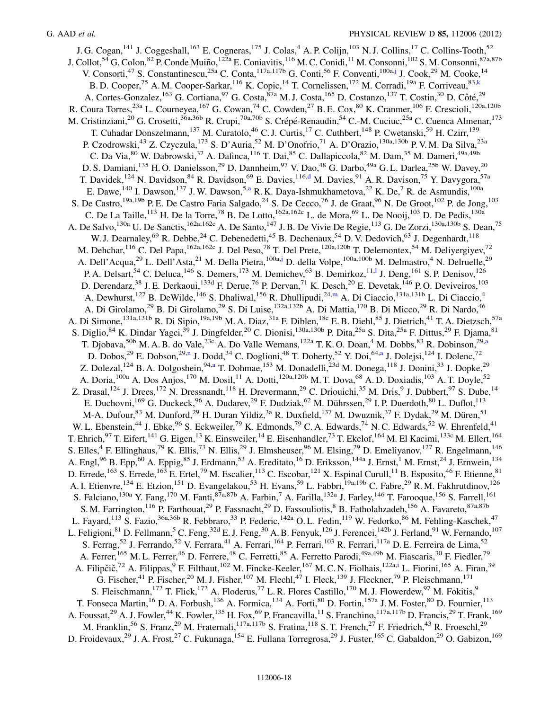<span id="page-18-2"></span><span id="page-18-1"></span><span id="page-18-0"></span>J. G. Cogan,<sup>141</sup> J. Coggeshall,<sup>163</sup> E. Cogneras,<sup>175</sup> J. Colas,<sup>4</sup> A. P. Colijn,<sup>103</sup> N. J. Collins,<sup>17</sup> C. Collins-Tooth,<sup>52</sup> J. Collot,<sup>54</sup> G. Colon,<sup>82</sup> P. Conde Muiño,<sup>122a</sup> E. Coniavitis,<sup>116</sup> M. C. Conidi,<sup>11</sup> M. Consonni,<sup>102</sup> S. M. Consonni,<sup>87a,87b</sup> V. Consorti,<sup>47</sup> S. Constantinescu,<sup>25a</sup> C. Conta,<sup>117a,117b</sup> G. Conti,<sup>56</sup> F. Conventi,<sup>100a[,j](#page-27-9)</sup> J. Cook,<sup>29</sup> M. Cooke,<sup>14</sup> B. D. Cooper,<sup>75</sup> A. M. Cooper-Sarkar, <sup>116</sup> K. Copic, <sup>14</sup> T. Cornelissen, <sup>172</sup> M. Corradi, <sup>19a</sup> F. Corriveau, <sup>83[,k](#page-28-0)</sup> A. Cortes-Gonzalez, <sup>163</sup> G. Cortiana, <sup>97</sup> G. Costa, <sup>87a</sup> M. J. Costa, <sup>165</sup> D. Costanzo, <sup>137</sup> T. Costin, <sup>30</sup> D. Côté, <sup>29</sup> R. Coura Torres,<sup>23a</sup> L. Courneyea,<sup>167</sup> G. Cowan,<sup>74</sup> C. Cowden,<sup>27</sup> B. E. Cox,<sup>80</sup> K. Cranmer,<sup>106</sup> F. Crescioli,<sup>120a,120b</sup> M. Cristinziani,<sup>20</sup> G. Crosetti,<sup>36a,36b</sup> R. Crupi,<sup>70a,70b</sup> S. Crépé-Renaudin,<sup>54</sup> C.-M. Cuciuc,<sup>25a</sup> C. Cuenca Almenar,<sup>173</sup> T. Cuhadar Donszelmann,<sup>137</sup> M. Curatolo,<sup>46</sup> C. J. Curtis,<sup>17</sup> C. Cuthbert,<sup>148</sup> P. Cwetanski,<sup>59</sup> H. Czirr,<sup>139</sup> P. Czodrowski,<sup>43</sup> Z. Czyczula,<sup>173</sup> S. D'Auria,<sup>52</sup> M. D'Onofrio,<sup>71</sup> A. D'Orazio,<sup>130a,130b</sup> P. V. M. Da Silva,<sup>23a</sup> C. Da Via,<sup>80</sup> W. Dabrowski,<sup>37</sup> A. Dafinca,<sup>116</sup> T. Dai,<sup>85</sup> C. Dallapiccola,<sup>82</sup> M. Dam,<sup>35</sup> M. Dameri,<sup>49a,49b</sup> D. S. Damiani,<sup>135</sup> H. O. Danielsson,<sup>29</sup> D. Dannheim,<sup>97</sup> V. Dao,<sup>48</sup> G. Darbo,<sup>49a</sup> G. L. Darlea,<sup>25b</sup> W. Davey,<sup>20</sup> T. Davidek,<sup>124</sup> N. Davidson,<sup>84</sup> R. Davidson,<sup>69</sup> E. Davies,<sup>116[,d](#page-27-2)</sup> M. Davies,<sup>91</sup> A. R. Davison,<sup>75</sup> Y. Davygora,<sup>57a</sup> E. D[a](#page-27-3)we, <sup>140</sup> I. Dawson, <sup>137</sup> J. W. Dawson, <sup>5,a</sup> R. K. Daya-Ishmukhametova, <sup>22</sup> K. De, <sup>7</sup> R. de Asmundis, <sup>100a</sup> S. De Castro,<sup>19a,19b</sup> P. E. De Castro Faria Salgado,<sup>24</sup> S. De Cecco,<sup>76</sup> J. de Graat,<sup>96</sup> N. De Groot,<sup>102</sup> P. de Jong,<sup>103</sup> C. De La Taille,<sup>113</sup> H. De la Torre,<sup>78</sup> B. De Lotto,<sup>162a,162c</sup> L. de Mora,<sup>69</sup> L. De Nooij,<sup>103</sup> D. De Pedis,<sup>130a</sup> A. De Salvo,<sup>130a</sup> U. De Sanctis,<sup>162a,162c</sup> A. De Santo,<sup>147</sup> J. B. De Vivie De Regie,<sup>113</sup> G. De Zorzi,<sup>130a,130b</sup> S. Dean,<sup>75</sup> W. J. Dearnaley, <sup>69</sup> R. Debbe, <sup>24</sup> C. Debenedetti, <sup>45</sup> B. Dechenaux, <sup>54</sup> D. V. Dedovich, <sup>63</sup> J. Degenhardt, <sup>118</sup> M. Dehchar,<sup>116</sup> C. Del Papa,<sup>162a,162c</sup> J. Del Peso,<sup>78</sup> T. Del Prete,<sup>120a,120b</sup> T. Delemontex,<sup>54</sup> M. Deliyergiyev,<sup>72</sup> A. Dell'Acqua,<sup>29</sup> L. Dell'Asta,<sup>21</sup> M. Della Pietra,<sup>100a,[j](#page-27-9)</sup> D. della Volpe,<sup>100a,100b</sup> M. Delmastro,<sup>4</sup> N. Delruelle,<sup>29</sup> P. A. Delsart,<sup>54</sup> C. Deluca,<sup>146</sup> S. Demers,<sup>173</sup> M. Demichev,<sup>63</sup> B. Demirkoz,<sup>11[,l](#page-28-1)</sup> J. Deng,<sup>161</sup> S. P. Denisov,<sup>126</sup> D. Derendarz,<sup>38</sup> J. E. Derkaoui,<sup>133d</sup> F. Derue,<sup>76</sup> P. Dervan,<sup>71</sup> K. Desch,<sup>20</sup> E. Devetak,<sup>146</sup> P. O. Deviveiros,<sup>103</sup> A. Dewhurst,<sup>127</sup> B. DeWilde,<sup>146</sup> S. Dhaliwal,<sup>156</sup> R. Dhullipudi,<sup>24,[m](#page-28-2)</sup> A. Di Ciaccio,<sup>131a,131b</sup> L. Di Ciaccio,<sup>4</sup> A. Di Girolamo,<sup>29</sup> B. Di Girolamo,<sup>29</sup> S. Di Luise,<sup>132a,132b</sup> A. Di Mattia,<sup>170</sup> B. Di Micco,<sup>29</sup> R. Di Nardo,<sup>46</sup> A. Di Simone,  $^{131a,131b}$  R. Di Sipio,<sup>19a,19b</sup> M. A. Diaz,<sup>31a</sup> F. Diblen,<sup>18c</sup> E. B. Diehl,<sup>85</sup> J. Dietrich,<sup>41</sup> T. A. Dietzsch,<sup>57a</sup> S. Diglio, <sup>84</sup> K. Dindar Yagci,<sup>39</sup> J. Dingfelder,<sup>20</sup> C. Dionisi,<sup>130a,130b</sup> P. Dita,<sup>25a</sup> S. Dita,<sup>25a</sup> F. Dittus,<sup>29</sup> F. Djama,<sup>81</sup> T. Djobava,<sup>50b</sup> M. A. B. do Vale,<sup>23c</sup> A. Do Valle Wemans,<sup>122a</sup> T. K. O. Doan,<sup>4</sup> M. Dobbs,<sup>83</sup> R. Dobinson,<sup>29[,a](#page-27-3)</sup> D. Dobos,<sup>29</sup> E. Dobso[n](#page-28-3),<sup>29,n</sup> J. Dodd,<sup>34</sup> C. Doglioni,<sup>48</sup> T. Doherty,<sup>52</sup> Y. Doi,<sup>64[,a](#page-27-3)</sup> J. Dolejsi,<sup>124</sup> I. Dolenc,<sup>72</sup> Z. Dolez[a](#page-27-3)l, <sup>124</sup> B. A. Dolgoshein, <sup>94,a</sup> T. Dohmae, <sup>153</sup> M. Donadelli, <sup>23d</sup> M. Donega, <sup>118</sup> J. Donini, <sup>33</sup> J. Dopke, <sup>29</sup> A. Doria, <sup>100a</sup> A. Dos Anjos, <sup>170</sup> M. Dosil, <sup>11</sup> A. Dotti, <sup>120a, 120b</sup> M. T. Dova, <sup>68</sup> A. D. Doxiadis, <sup>103</sup> A. T. Doyle, <sup>52</sup> Z. Drasal,  $^{124}$  J. Drees,  $^{172}$  N. Dressnandt,  $^{118}$  H. Drevermann,  $^{29}$  C. Driouichi,  $^{35}$  M. Dris,  $^{9}$  J. Dubbert,  $^{97}$  S. Dube,  $^{14}$ E. Duchovni,<sup>169</sup> G. Duckeck,<sup>96</sup> A. Dudarev,<sup>29</sup> F. Dudziak,<sup>62</sup> M. Dührssen,<sup>29</sup> I. P. Duerdoth,<sup>80</sup> L. Duflot,<sup>113</sup> M-A. Dufour,<sup>83</sup> M. Dunford,<sup>29</sup> H. Duran Yildiz,<sup>3a</sup> R. Duxfield,<sup>137</sup> M. Dwuznik,<sup>37</sup> F. Dydak,<sup>29</sup> M. Düren,<sup>51</sup> W. L. Ebenstein,<sup>44</sup> J. Ebke,<sup>96</sup> S. Eckweiler,<sup>79</sup> K. Edmonds,<sup>79</sup> C. A. Edwards,<sup>74</sup> N. C. Edwards,<sup>52</sup> W. Ehrenfeld,<sup>41</sup> T. Ehrich,<sup>97</sup> T. Eifert,<sup>141</sup> G. Eigen,<sup>13</sup> K. Einsweiler,<sup>14</sup> E. Eisenhandler,<sup>73</sup> T. Ekelof,<sup>164</sup> M. El Kacimi,<sup>133c</sup> M. Ellert,<sup>164</sup> S. Elles,<sup>4</sup> F. Ellinghaus,<sup>79</sup> K. Ellis,<sup>73</sup> N. Ellis,<sup>29</sup> J. Elmsheuser,<sup>96</sup> M. Elsing,<sup>29</sup> D. Emeliyanov,<sup>127</sup> R. Engelmann,<sup>146</sup> A. Engl,<sup>96</sup> B. Epp,<sup>60</sup> A. Eppig,<sup>85</sup> J. Erdmann,<sup>53</sup> A. Ereditato,<sup>16</sup> D. Eriksson,<sup>144a</sup> J. Ernst,<sup>1</sup> M. Ernst,<sup>24</sup> J. Ernwein,<sup>134</sup> D. Errede,<sup>163</sup> S. Errede,<sup>163</sup> E. Ertel,<sup>79</sup> M. Escalier,<sup>113</sup> C. Escobar,<sup>121</sup> X. Espinal Curull,<sup>11</sup> B. Esposito,<sup>46</sup> F. Etienne,<sup>81</sup> A. I. Etienvre,<sup>134</sup> E. Etzion,<sup>151</sup> D. Evangelakou,<sup>53</sup> H. Evans,<sup>59</sup> L. Fabbri,<sup>19a,19b</sup> C. Fabre,<sup>29</sup> R. M. Fakhrutdinov,<sup>126</sup> S. Falciano, <sup>130a</sup> Y. Fang, <sup>170</sup> M. Fanti, <sup>87a, 87b</sup> A. Farbin, <sup>7</sup> A. Farilla, <sup>132a</sup> J. Farley, <sup>146</sup> T. Farooque, <sup>156</sup> S. Farrell, <sup>161</sup> S. M. Farrington,<sup>116</sup> P. Farthouat,<sup>29</sup> P. Fassnacht,<sup>29</sup> D. Fassouliotis,<sup>8</sup> B. Fatholahzadeh,<sup>156</sup> A. Favareto,<sup>87a,87b</sup> L. Fayard,<sup>113</sup> S. Fazio,<sup>36a,36b</sup> R. Febbraro,<sup>33</sup> P. Federic,<sup>142a</sup> O. L. Fedin,<sup>119</sup> W. Fedorko,<sup>86</sup> M. Fehling-Kaschek,<sup>47</sup> L. Feligioni, <sup>81</sup> D. Fellmann,<sup>5</sup> C. Feng,<sup>32d</sup> E. J. Feng,<sup>30</sup> A. B. Fenyuk,<sup>126</sup> J. Ferencei,<sup>142b</sup> J. Ferland,<sup>91</sup> W. Fernando,<sup>107</sup> S. Ferrag,<sup>52</sup> J. Ferrando,<sup>52</sup> V. Ferrara,<sup>41</sup> A. Ferrari,<sup>164</sup> P. Ferrari,<sup>103</sup> R. Ferrari,<sup>117a</sup> D. E. Ferreira de Lima,<sup>52</sup> A. Ferrer,<sup>165</sup> M. L. Ferrer,<sup>46</sup> D. Ferrere,<sup>48</sup> C. Ferretti,<sup>85</sup> A. Ferretto Parodi,<sup>49a,49b</sup> M. Fiascaris,<sup>30</sup> F. Fiedler,<sup>79</sup> A. Filipčič,<sup>72</sup> A. Filippas,<sup>9</sup> F. Filthaut,<sup>102</sup> M. Fincke-Keeler,<sup>167</sup> M.C.N. Fiolhais,<sup>122a[,i](#page-27-8)</sup> L. Fiorini,<sup>165</sup> A. Firan,<sup>39</sup> G. Fischer, <sup>41</sup> P. Fischer, <sup>20</sup> M. J. Fisher, <sup>107</sup> M. Flechl, <sup>47</sup> I. Fleck, <sup>139</sup> J. Fleckner, <sup>79</sup> P. Fleischmann, <sup>171</sup> S. Fleischmann,<sup>172</sup> T. Flick,<sup>172</sup> A. Floderus,<sup>77</sup> L. R. Flores Castillo,<sup>170</sup> M. J. Flowerdew,<sup>97</sup> M. Fokitis,<sup>9</sup> T. Fonseca Martin,<sup>16</sup> D. A. Forbush,<sup>136</sup> A. Formica,<sup>134</sup> A. Forti,<sup>80</sup> D. Fortin,<sup>157a</sup> J. M. Foster,<sup>80</sup> D. Fournier,<sup>113</sup> A. Foussat,<sup>29</sup> A. J. Fowler,<sup>44</sup> K. Fowler,<sup>135</sup> H. Fox,<sup>69</sup> P. Francavilla,<sup>11</sup> S. Franchino,<sup>117a,117b</sup> D. Francis,<sup>29</sup> T. Frank,<sup>169</sup> M. Franklin,<sup>56</sup> S. Franz,<sup>29</sup> M. Fraternali,<sup>117a,117b</sup> S. Fratina,<sup>118</sup> S. T. French,<sup>27</sup> F. Friedrich,<sup>43</sup> R. Froeschl,<sup>29</sup> D. Froidevaux,<sup>29</sup> J. A. Frost,<sup>27</sup> C. Fukunaga,<sup>154</sup> E. Fullana Torregrosa,<sup>29</sup> J. Fuster,<sup>165</sup> C. Gabaldon,<sup>29</sup> O. Gabizon,<sup>169</sup>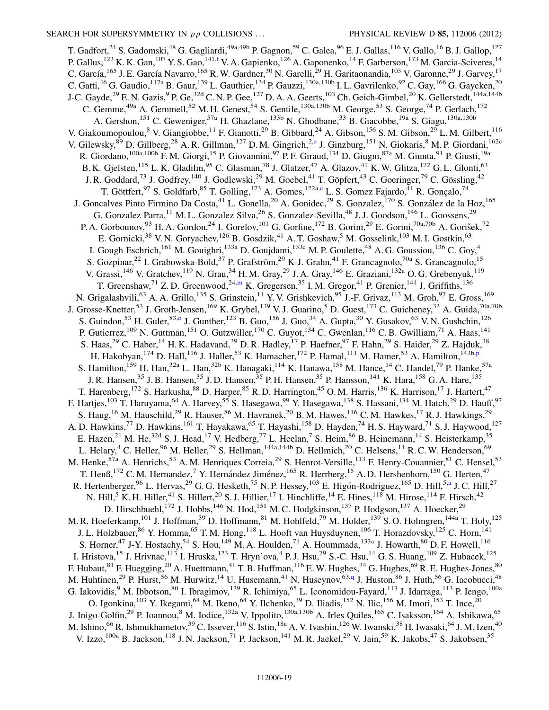<span id="page-19-2"></span><span id="page-19-1"></span><span id="page-19-0"></span>T. Gadfort,<sup>24</sup> S. Gadomski,<sup>48</sup> G. Gagliardi,<sup>49a,49b</sup> P. Gagnon,<sup>59</sup> C. Galea,<sup>96</sup> E. J. Gallas,<sup>116</sup> V. Gallo,<sup>16</sup> B. J. Gallop,<sup>127</sup> P. Gallus,<sup>123</sup> K. K. Gan,<sup>107</sup> Y. S. Gao,<sup>141,[f](#page-27-5)</sup> V. A. Gapienko,<sup>126</sup> A. Gaponenko,<sup>14</sup> F. Garberson,<sup>173</sup> M. Garcia-Sciveres,<sup>14</sup> C. García, <sup>165</sup> J. E. García Navarro, <sup>165</sup> R. W. Gardner, <sup>30</sup> N. Garelli, <sup>29</sup> H. Garitaonandia, <sup>103</sup> V. Garonne, <sup>29</sup> J. Garvey, <sup>17</sup> C. Gatti,  $^{46}$  G. Gaudio,  $^{117a}$  B. Gaur,  $^{139}$  L. Gauthier,  $^{134}$  P. Gauzzi,  $^{130a,130b}$  I. L. Gavrilenko,  $^{92}$  C. Gay,  $^{166}$  G. Gaycken,  $^{20}$ J-C. Gayde,<sup>29</sup> E. N. Gazis,<sup>9</sup> P. Ge,<sup>32d</sup> C. N. P. Gee,<sup>127</sup> D. A. A. Geerts,<sup>103</sup> Ch. Geich-Gimbel,<sup>20</sup> K. Gellerstedt,<sup>144a,144b</sup> C. Gemme,<sup>49a</sup> A. Gemmell,<sup>52</sup> M. H. Genest,<sup>54</sup> S. Gentile,<sup>130a,130b</sup> M. George,<sup>53</sup> S. George,<sup>74</sup> P. Gerlach,<sup>172</sup> A. Gershon,<sup>151</sup> C. Geweniger,<sup>57a</sup> H. Ghazlane,<sup>133b</sup> N. Ghodbane,<sup>33</sup> B. Giacobbe,<sup>19a</sup> S. Giagu,<sup>130a,130b</sup> V. Giakoumopoulou,<sup>8</sup> V. Giangiobbe,<sup>11</sup> F. Gianotti,<sup>29</sup> B. Gibbard,<sup>24</sup> A. Gibson,<sup>156</sup> S. M. Gibson,<sup>29</sup> L. M. Gilbert,<sup>116</sup> V. Gil[e](#page-27-4)wsky, <sup>89</sup> D. Gillberg, <sup>28</sup> A. R. Gillman, <sup>127</sup> D. M. Gingrich, <sup>2,e</sup> J. Ginzburg, <sup>151</sup> N. Giokaris, <sup>8</sup> M. P. Giordani, <sup>162c</sup> R. Giordano,<sup>100a,100b</sup> F. M. Giorgi,<sup>15</sup> P. Giovannini,<sup>97</sup> P. F. Giraud,<sup>134</sup> D. Giugni,<sup>87a</sup> M. Giunta,<sup>91</sup> P. Giusti,<sup>19a</sup> B. K. Gjelsten,<sup>115</sup> L. K. Gladilin,<sup>95</sup> C. Glasman,<sup>78</sup> J. Glatzer,<sup>47</sup> A. Glazov,<sup>41</sup> K. W. Glitza,<sup>172</sup> G. L. Glonti,<sup>63</sup> J. R. Goddard,<sup>73</sup> J. Godfrey,<sup>140</sup> J. Godlewski,<sup>29</sup> M. Goebel,<sup>41</sup> T. Göpfert,<sup>43</sup> C. Goeringer,<sup>79</sup> C. Gössling,<sup>42</sup> T. Göttfert,  $97$  S. Goldfarb,  $85$  T. Golling,  $173$  A. Gomes,  $122a$ , C. S. Gomez Fajardo,  $41$  R. Gonçalo,  $74$ J. Goncalves Pinto Firmino Da Costa,<sup>41</sup> L. Gonella,<sup>20</sup> A. Gonidec,<sup>29</sup> S. Gonzalez,<sup>170</sup> S. González de la Hoz,<sup>165</sup> G. Gonzalez Parra, <sup>11</sup> M. L. Gonzalez Silva, <sup>26</sup> S. Gonzalez-Sevilla, <sup>48</sup> J. J. Goodson, <sup>146</sup> L. Goossens, <sup>29</sup> P. A. Gorbounov, <sup>93</sup> H. A. Gordon, <sup>24</sup> I. Gorelov, <sup>101</sup> G. Gorfine, <sup>172</sup> B. Gorini, <sup>29</sup> E. Gorini, <sup>70a, 70b</sup> A. Gorišek, <sup>72</sup> E. Gornicki,<sup>38</sup> V. N. Goryachev,<sup>126</sup> B. Gosdzik,<sup>41</sup> A. T. Goshaw,<sup>5</sup> M. Gosselink,<sup>103</sup> M. I. Gostkin,<sup>63</sup> I. Gough Eschrich,<sup>161</sup> M. Gouighri,<sup>133a</sup> D. Goujdami,<sup>133c</sup> M. P. Goulette,<sup>48</sup> A. G. Goussiou,<sup>136</sup> C. Goy,<sup>4</sup> S. Gozpinar,<sup>22</sup> I. Grabowska-Bold,<sup>37</sup> P. Grafström,<sup>29</sup> K-J. Grahn,<sup>41</sup> F. Grancagnolo,<sup>70a</sup> S. Grancagnolo,<sup>15</sup> V. Grassi,<sup>146</sup> V. Gratchev,<sup>119</sup> N. Grau,<sup>34</sup> H. M. Gray,<sup>29</sup> J. A. Gray,<sup>146</sup> E. Graziani,<sup>132a</sup> O. G. Grebenyuk,<sup>119</sup> T. Greenshaw,<sup>71</sup> Z. D. Greenwood,<sup>24,[m](#page-28-2)</sup> K. Gregersen,<sup>35</sup> I. M. Gregor,<sup>41</sup> P. Grenier,<sup>141</sup> J. Griffiths,<sup>136</sup> N. Grigalashvili,<sup>63</sup> A. A. Grillo,<sup>135</sup> S. Grinstein,<sup>11</sup> Y. V. Grishkevich,<sup>95</sup> J.-F. Grivaz,<sup>113</sup> M. Groh,<sup>97</sup> E. Gross,<sup>169</sup> J. Grosse-Knetter,<sup>53</sup> J. Groth-Jensen,<sup>169</sup> K. Grybel,<sup>139</sup> V. J. Guarino,<sup>5</sup> D. Guest,<sup>173</sup> C. Guicheney,<sup>33</sup> A. Guida,<sup>70a,70b</sup> S. Guind[o](#page-28-4)n,<sup>53</sup> H. Guler,<sup>83,o</sup> J. Gunther,<sup>123</sup> B. Guo,<sup>156</sup> J. Guo,<sup>34</sup> A. Gupta,<sup>30</sup> Y. Gusakov,<sup>63</sup> V. N. Gushchin,<sup>126</sup> P. Gutierrez,  $^{109}$  N. Guttman,  $^{151}$  O. Gutzwiller,  $^{170}$  C. Guyot,  $^{134}$  C. Gwenlan,  $^{116}$  C. B. Gwilliam,  $^{71}$  A. Haas,  $^{141}$ S. Haas,<sup>29</sup> C. Haber,<sup>14</sup> H. K. Hadavand,<sup>39</sup> D. R. Hadley,<sup>17</sup> P. Haefner,<sup>97</sup> F. Hahn,<sup>29</sup> S. Haider,<sup>29</sup> Z. Hajduk,<sup>38</sup> H. Hakobyan,<sup>174</sup> D. Hall,<sup>116</sup> J. Haller,<sup>53</sup> K. Hamacher,<sup>172</sup> P. Hamal,<sup>111</sup> M. Hamer,<sup>53</sup> A. Hamilton,<sup>143b[,p](#page-28-5)</sup> S. Hamilton,<sup>159</sup> H. Han,<sup>32a</sup> L. Han,<sup>32b</sup> K. Hanagaki,<sup>114</sup> K. Hanawa,<sup>158</sup> M. Hance,<sup>14</sup> C. Handel,<sup>79</sup> P. Hanke,<sup>57a</sup> J. R. Hansen,<sup>35</sup> J. B. Hansen,<sup>35</sup> J. D. Hansen,<sup>35</sup> P. H. Hansen,<sup>35</sup> P. Hansson,<sup>141</sup> K. Hara,<sup>158</sup> G. A. Hare,<sup>135</sup> T. Harenberg,<sup>172</sup> S. Harkusha,<sup>88</sup> D. Harper,<sup>85</sup> R. D. Harrington,<sup>45</sup> O. M. Harris,<sup>136</sup> K. Harrison,<sup>17</sup> J. Hartert,<sup>47</sup> F. Hartjes,<sup>103</sup> T. Haruyama,<sup>64</sup> A. Harvey,<sup>55</sup> S. Hasegawa,<sup>99</sup> Y. Hasegawa,<sup>138</sup> S. Hassani,<sup>134</sup> M. Hatch,<sup>29</sup> D. Hauff,<sup>97</sup> S. Haug, <sup>16</sup> M. Hauschild, <sup>29</sup> R. Hauser, <sup>86</sup> M. Havranek, <sup>20</sup> B. M. Hawes, <sup>116</sup> C. M. Hawkes, <sup>17</sup> R. J. Hawkings, <sup>29</sup> A. D. Hawkins,<sup>77</sup> D. Hawkins,<sup>161</sup> T. Hayakawa,<sup>65</sup> T. Hayashi,<sup>158</sup> D. Hayden,<sup>74</sup> H. S. Hayward,<sup>71</sup> S. J. Haywood,<sup>127</sup> E. Hazen,<sup>21</sup> M. He,<sup>32d</sup> S. J. Head,<sup>17</sup> V. Hedberg,<sup>77</sup> L. Heelan,<sup>7</sup> S. Heim,<sup>86</sup> B. Heinemann,<sup>14</sup> S. Heisterkamp,<sup>35</sup> L. Helary, <sup>4</sup> C. Heller, <sup>96</sup> M. Heller, <sup>29</sup> S. Hellman, <sup>144a, 144b</sup> D. Hellmich, <sup>20</sup> C. Helsens, <sup>11</sup> R. C. W. Henderson, <sup>69</sup> M. Henke,<sup>57a</sup> A. Henrichs,<sup>53</sup> A. M. Henriques Correia,<sup>29</sup> S. Henrot-Versille,<sup>113</sup> F. Henry-Couannier,<sup>81</sup> C. Hensel,<sup>53</sup> T. Hen $B$ ,<sup>172</sup> C. M. Hernandez,<sup>7</sup> Y. Hernández Jiménez,<sup>165</sup> R. Herrberg,<sup>15</sup> A. D. Hershenhorn,<sup>150</sup> G. Herten,<sup>47</sup> R. Hertenberger,  $96$  L. Hervas,  $29$  G. G. Hesketh,  $75$  N. P. Hessey,  $103$  E. Higón-Rodriguez,  $165$  D. Hill,  $5,$ a J. C. Hill,  $27$ N. Hill,<sup>5</sup> K. H. Hiller,<sup>41</sup> S. Hillert,<sup>20</sup> S. J. Hillier,<sup>17</sup> I. Hinchliffe,<sup>14</sup> E. Hines,<sup>118</sup> M. Hirose,<sup>114</sup> F. Hirsch,<sup>42</sup> D. Hirschbuehl,<sup>172</sup> J. Hobbs,<sup>146</sup> N. Hod,<sup>151</sup> M. C. Hodgkinson,<sup>137</sup> P. Hodgson,<sup>137</sup> A. Hoecker,<sup>29</sup> M. R. Hoeferkamp,<sup>101</sup> J. Hoffman,<sup>39</sup> D. Hoffmann,<sup>81</sup> M. Hohlfeld,<sup>79</sup> M. Holder,<sup>139</sup> S. O. Holmgren,<sup>144a</sup> T. Holy,<sup>125</sup> J. L. Holzbauer,  $86$  Y. Homma,  $65$  T. M. Hong,  $^{118}$  L. Hooft van Huysduynen,  $^{106}$  T. Horazdovsky,  $^{125}$  C. Horn,  $^{141}$ S. Horner,<sup>47</sup> J-Y. Hostachy,<sup>54</sup> S. Hou,<sup>149</sup> M. A. Houlden,<sup>71</sup> A. Hoummada,<sup>133a</sup> J. Howarth,<sup>80</sup> D. F. Howell,<sup>116</sup> I. Hristova, <sup>15</sup> J. Hrivnac, <sup>113</sup> I. Hruska, <sup>123</sup> T. Hryn'ova, <sup>4</sup> P. J. Hsu, <sup>79</sup> S.-C. Hsu, <sup>14</sup> G. S. Huang, <sup>109</sup> Z. Hubacek, <sup>125</sup> F. Hubaut,<sup>81</sup> F. Huegging,<sup>20</sup> A. Huettmann,<sup>41</sup> T. B. Huffman,<sup>116</sup> E. W. Hughes,<sup>34</sup> G. Hughes,<sup>69</sup> R. E. Hughes-Jones,<sup>80</sup> M. Huhtinen,<sup>29</sup> P. Hurst,<sup>56</sup> M. Hurwitz,<sup>14</sup> U. Husemann,<sup>41</sup> N. Huseynov,<sup>63[,q](#page-28-6)</sup> J. Huston,<sup>86</sup> J. Huth,<sup>56</sup> G. Iacobucci,<sup>48</sup> G. Iakovidis,  $9$  M. Ibbotson,  $80$  I. Ibragimov,  $139$  R. Ichimiya,  $65$  L. Iconomidou-Fayard,  $113$  J. Idarraga,  $113$  P. Iengo,  $100a$ O. Igonkina,<sup>103</sup> Y. Ikegami,<sup>64</sup> M. Ikeno,<sup>64</sup> Y. Ilchenko,<sup>39</sup> D. Iliadis,<sup>152</sup> N. Ilic,<sup>156</sup> M. Imori,<sup>153</sup> T. Ince,<sup>20</sup> J. Inigo-Golfin,<sup>29</sup> P. Ioannou,<sup>8</sup> M. Iodice,<sup>132a</sup> V. Ippolito,<sup>130a,130b</sup> A. Irles Quiles,<sup>165</sup> C. Isaksson,<sup>164</sup> A. Ishikawa,<sup>65</sup> M. Ishino,<sup>66</sup> R. Ishmukhametov,<sup>39</sup> C. Issever,<sup>116</sup> S. Istin,<sup>18a</sup> A. V. Ivashin,<sup>126</sup> W. Iwanski,<sup>38</sup> H. Iwasaki,<sup>64</sup> J. M. Izen,<sup>40</sup> V. Izzo,<sup>100a</sup> B. Jackson,<sup>118</sup> J. N. Jackson,<sup>71</sup> P. Jackson,<sup>141</sup> M. R. Jaekel,<sup>29</sup> V. Jain,<sup>59</sup> K. Jakobs,<sup>47</sup> S. Jakobsen,<sup>35</sup>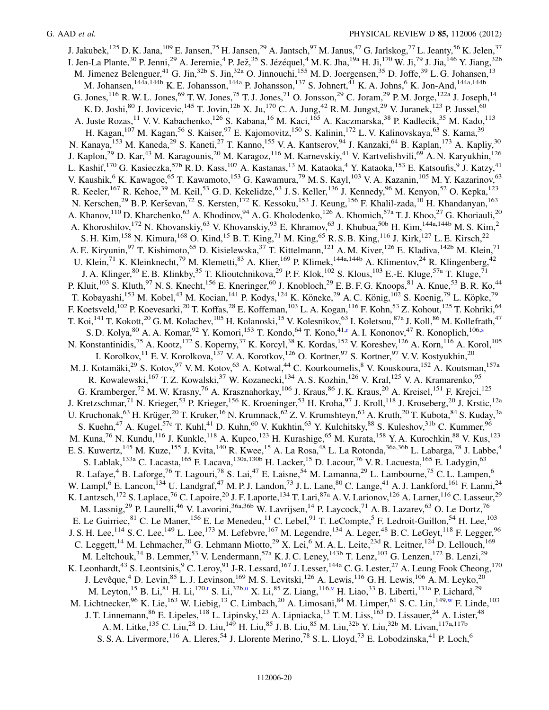<span id="page-20-1"></span><span id="page-20-0"></span>J. Jakubek,<sup>125</sup> D. K. Jana,<sup>109</sup> E. Jansen,<sup>75</sup> H. Jansen,<sup>29</sup> A. Jantsch,<sup>97</sup> M. Janus,<sup>47</sup> G. Jarlskog,<sup>77</sup> L. Jeanty,<sup>56</sup> K. Jelen,<sup>37</sup> I. Jen-La Plante, <sup>30</sup> P. Jenni, <sup>29</sup> A. Jeremie, <sup>4</sup> P. Jež, <sup>35</sup> S. Jézéquel, <sup>4</sup> M. K. Jha, <sup>19a</sup> H. Ji, <sup>170</sup> W. Ji, <sup>79</sup> J. Jia, <sup>146</sup> Y. Jiang, <sup>32b</sup> M. Jimenez Belenguer,<sup>41</sup> G. Jin,<sup>32b</sup> S. Jin,<sup>32a</sup> O. Jinnouchi,<sup>155</sup> M. D. Joergensen,<sup>35</sup> D. Joffe,<sup>39</sup> L. G. Johansen,<sup>13</sup> M. Johansen,<sup>144a,144b</sup> K. E. Johansson,<sup>144a</sup> P. Johansson,<sup>137</sup> S. Johnert,<sup>41</sup> K. A. Johns,<sup>6</sup> K. Jon-And,<sup>144a,144b</sup> G. Jones,  $^{116}$  R. W. L. Jones,  $^{69}$  T. W. Jones,  $^{75}$  T. J. Jones,  $^{71}$  O. Jonsson,  $^{29}$  C. Joram,  $^{29}$  P. M. Jorge,  $^{122a}$  J. Joseph,  $^{14}$ K. D. Joshi, <sup>80</sup> J. Jovicevic, <sup>145</sup> T. Jovin, <sup>12b</sup> X. Ju, <sup>170</sup> C. A. Jung, <sup>42</sup> R. M. Jungst, <sup>29</sup> V. Juranek, <sup>123</sup> P. Jussel, <sup>60</sup> A. Juste Rozas,<sup>11</sup> V. V. Kabachenko,<sup>126</sup> S. Kabana,<sup>16</sup> M. Kaci,<sup>165</sup> A. Kaczmarska,<sup>38</sup> P. Kadlecik,<sup>35</sup> M. Kado,<sup>113</sup> H. Kagan,<sup>107</sup> M. Kagan,<sup>56</sup> S. Kaiser,<sup>97</sup> E. Kajomovitz,<sup>150</sup> S. Kalinin,<sup>172</sup> L. V. Kalinovskaya,<sup>63</sup> S. Kama,<sup>39</sup> N. Kanaya,<sup>153</sup> M. Kaneda,<sup>29</sup> S. Kaneti,<sup>27</sup> T. Kanno,<sup>155</sup> V. A. Kantserov,<sup>94</sup> J. Kanzaki,<sup>64</sup> B. Kaplan,<sup>173</sup> A. Kapliy,<sup>30</sup> J. Kaplon,<sup>29</sup> D. Kar,<sup>43</sup> M. Karagounis,<sup>20</sup> M. Karagoz,<sup>116</sup> M. Karnevskiy,<sup>41</sup> V. Kartvelishvili,<sup>69</sup> A. N. Karyukhin,<sup>126</sup> L. Kashif, <sup>170</sup> G. Kasieczka, <sup>57b</sup> R. D. Kass, <sup>107</sup> A. Kastanas, <sup>13</sup> M. Kataoka, <sup>4</sup> Y. Kataoka, <sup>153</sup> E. Katsoufis, <sup>9</sup> J. Katzy, <sup>41</sup> V. Kaushik,<sup>6</sup> K. Kawagoe,<sup>65</sup> T. Kawamoto,<sup>153</sup> G. Kawamura,<sup>79</sup> M. S. Kayl,<sup>103</sup> V. A. Kazanin,<sup>105</sup> M. Y. Kazarinov,<sup>63</sup> R. Keeler,<sup>167</sup> R. Kehoe,<sup>39</sup> M. Keil,<sup>53</sup> G. D. Kekelidze,<sup>63</sup> J. S. Keller,<sup>136</sup> J. Kennedy,<sup>96</sup> M. Kenyon,<sup>52</sup> O. Kepka,<sup>123</sup> N. Kerschen,<sup>29</sup> B. P. Kerševan,<sup>72</sup> S. Kersten,<sup>172</sup> K. Kessoku,<sup>153</sup> J. Keung,<sup>156</sup> F. Khalil-zada,<sup>10</sup> H. Khandanyan,<sup>163</sup> A. Khanov,<sup>110</sup> D. Kharchenko,<sup>63</sup> A. Khodinov,<sup>94</sup> A. G. Kholodenko,<sup>126</sup> A. Khomich,<sup>57a</sup> T. J. Khoo,<sup>27</sup> G. Khoriauli,<sup>20</sup> A. Khoroshilov,<sup>172</sup> N. Khovanskiy,<sup>63</sup> V. Khovanskiy,<sup>93</sup> E. Khramov,<sup>63</sup> J. Khubua,<sup>50b</sup> H. Kim,<sup>144a,144b</sup> M. S. Kim,<sup>2</sup> S. H. Kim,<sup>158</sup> N. Kimura,<sup>168</sup> O. Kind,<sup>15</sup> B. T. King,<sup>71</sup> M. King,<sup>65</sup> R. S. B. King,<sup>116</sup> J. Kirk,<sup>127</sup> L. E. Kirsch,<sup>22</sup> A. E. Kiryunin,<sup>97</sup> T. Kishimoto,<sup>65</sup> D. Kisielewska,<sup>37</sup> T. Kittelmann,<sup>121</sup> A. M. Kiver,<sup>126</sup> E. Kladiva,<sup>142b</sup> M. Klein,<sup>71</sup> U. Klein,<sup>71</sup> K. Kleinknecht,<sup>79</sup> M. Klemetti,<sup>83</sup> A. Klier,<sup>169</sup> P. Klimek,<sup>144a,144b</sup> A. Klimentov,<sup>24</sup> R. Klingenberg,<sup>42</sup> J. A. Klinger, <sup>80</sup> E. B. Klinkby, <sup>35</sup> T. Klioutchnikova, <sup>29</sup> P. F. Klok, <sup>102</sup> S. Klous, <sup>103</sup> E. E. Kluge, <sup>57a</sup> T. Kluge,<sup>71</sup> P. Kluit,<sup>103</sup> S. Kluth,<sup>97</sup> N. S. Knecht,<sup>156</sup> E. Kneringer,<sup>60</sup> J. Knobloch,<sup>29</sup> E. B. F. G. Knoops,<sup>81</sup> A. Knue,<sup>53</sup> B. R. Ko,<sup>44</sup> T. Kobayashi,<sup>153</sup> M. Kobel,<sup>43</sup> M. Kocian,<sup>141</sup> P. Kodys,<sup>124</sup> K. Köneke,<sup>29</sup> A. C. König,<sup>102</sup> S. Koenig,<sup>79</sup> L. Köpke,<sup>79</sup> F. Koetsveld,<sup>102</sup> P. Koevesarki,<sup>20</sup> T. Koffas,<sup>28</sup> E. Koffeman,<sup>103</sup> L. A. Kogan,<sup>116</sup> F. Kohn,<sup>53</sup> Z. Kohout,<sup>125</sup> T. Kohriki,<sup>64</sup> T. Koi,<sup>141</sup> T. Kokott,<sup>20</sup> G. M. Kolachev,<sup>105</sup> H. Kolanoski,<sup>15</sup> V. Kolesnikov,<sup>63</sup> I. Koletsou,<sup>87a</sup> J. Koll,<sup>86</sup> M. Kollefrath,<sup>47</sup> S. D. Kolya, <sup>80</sup> A. A. Komar, <sup>92</sup> Y. Komori, <sup>153</sup> T. Kondo, <sup>64</sup> T. Kono, <sup>41[,r](#page-28-7)</[s](#page-28-8)up> A. I. Kononov, <sup>47</sup> R. Konoplich, <sup>106,s</sup> N. Konstantinidis,<sup>75</sup> A. Kootz,<sup>172</sup> S. Koperny,<sup>37</sup> K. Korcyl,<sup>38</sup> K. Kordas,<sup>152</sup> V. Koreshev,<sup>126</sup> A. Korn,<sup>116</sup> A. Korol,<sup>105</sup> I. Korolkov,<sup>11</sup> E. V. Korolkova,<sup>137</sup> V. A. Korotkov,<sup>126</sup> O. Kortner,<sup>97</sup> S. Kortner,<sup>97</sup> V. V. Kostyukhin,<sup>20</sup> M. J. Kotamäki,<sup>29</sup> S. Kotov,<sup>97</sup> V. M. Kotov,<sup>63</sup> A. Kotwal,<sup>44</sup> C. Kourkoumelis,<sup>8</sup> V. Kouskoura,<sup>152</sup> A. Koutsman,<sup>157a</sup> R. Kowalewski,<sup>167</sup> T. Z. Kowalski,<sup>37</sup> W. Kozanecki,<sup>134</sup> A. S. Kozhin,<sup>126</sup> V. Kral,<sup>125</sup> V. A. Kramarenko,<sup>95</sup> G. Kramberger,<sup>72</sup> M. W. Krasny,<sup>76</sup> A. Krasznahorkay,<sup>106</sup> J. Kraus,<sup>86</sup> J. K. Kraus,<sup>20</sup> A. Kreisel,<sup>151</sup> F. Kreici,<sup>125</sup> J. Kretzschmar,<sup>71</sup> N. Krieger,<sup>53</sup> P. Krieger,<sup>156</sup> K. Kroeninger,<sup>53</sup> H. Kroha,<sup>97</sup> J. Kroll,<sup>118</sup> J. Kroseberg,<sup>20</sup> J. Krstic,<sup>12a</sup> U. Kruchonak, <sup>63</sup> H. Krüger, <sup>20</sup> T. Kruker, <sup>16</sup> N. Krumnack, <sup>62</sup> Z. V. Krumshteyn, <sup>63</sup> A. Kruth, <sup>20</sup> T. Kubota, <sup>84</sup> S. Kuday, <sup>3a</sup> S. Kuehn,<sup>47</sup> A. Kugel,<sup>57c</sup> T. Kuhl,<sup>41</sup> D. Kuhn,<sup>60</sup> V. Kukhtin,<sup>63</sup> Y. Kulchitsky,<sup>88</sup> S. Kuleshov,<sup>31b</sup> C. Kummer,<sup>96</sup> M. Kuna,<sup>76</sup> N. Kundu,<sup>116</sup> J. Kunkle,<sup>118</sup> A. Kupco,<sup>123</sup> H. Kurashige,<sup>65</sup> M. Kurata,<sup>158</sup> Y. A. Kurochkin,<sup>88</sup> V. Kus,<sup>123</sup> E. S. Kuwertz,<sup>145</sup> M. Kuze,<sup>155</sup> J. Kvita,<sup>140</sup> R. Kwee,<sup>15</sup> A. La Rosa,<sup>48</sup> L. La Rotonda,<sup>36a,36b</sup> L. Labarga,<sup>78</sup> J. Labbe,<sup>4</sup> S. Lablak,<sup>133a</sup> C. Lacasta,<sup>165</sup> F. Lacava,<sup>130a,130b</sup> H. Lacker,<sup>15</sup> D. Lacour,<sup>76</sup> V. R. Lacuesta,<sup>165</sup> E. Ladygin,<sup>63</sup> R. Lafaye,<sup>4</sup> B. Laforge,<sup>76</sup> T. Lagouri,<sup>78</sup> S. Lai,<sup>47</sup> E. Laisne,<sup>54</sup> M. Lamanna,<sup>29</sup> L. Lambourne,<sup>75</sup> C. L. Lampen,<sup>6</sup> W. Lampl,<sup>6</sup> E. Lancon,<sup>134</sup> U. Landgraf,<sup>47</sup> M. P. J. Landon,<sup>73</sup> J. L. Lane,<sup>80</sup> C. Lange,<sup>41</sup> A. J. Lankford,<sup>161</sup> F. Lanni,<sup>24</sup> K. Lantzsch,<sup>172</sup> S. Laplace,<sup>76</sup> C. Lapoire,<sup>20</sup> J. F. Laporte,<sup>134</sup> T. Lari,<sup>87a</sup> A. V. Larionov,<sup>126</sup> A. Larner,<sup>116</sup> C. Lasseur,<sup>29</sup> M. Lassnig,<sup>29</sup> P. Laurelli,<sup>46</sup> V. Lavorini,<sup>36a,36b</sup> W. Lavrijsen,<sup>14</sup> P. Laycock,<sup>71</sup> A. B. Lazarev,<sup>63</sup> O. Le Dortz,<sup>76</sup> E. Le Guirriec, <sup>81</sup> C. Le Maner, <sup>156</sup> E. Le Menedeu, <sup>11</sup> C. Lebel, <sup>91</sup> T. LeCompte, <sup>5</sup> F. Ledroit-Guillon, <sup>54</sup> H. Lee, <sup>103</sup> J. S. H. Lee,<sup>114</sup> S. C. Lee,<sup>149</sup> L. Lee,<sup>173</sup> M. Lefebvre,<sup>167</sup> M. Legendre,<sup>134</sup> A. Leger,<sup>48</sup> B. C. LeGeyt,<sup>118</sup> F. Legger,<sup>96</sup> C. Leggett,<sup>14</sup> M. Lehmacher,<sup>20</sup> G. Lehmann Miotto,<sup>29</sup> X. Lei,<sup>6</sup> M. A. L. Leite,<sup>23d</sup> R. Leitner,<sup>124</sup> D. Lellouch,<sup>169</sup> M. Leltchouk,  $34$  B. Lemmer,  $53$  V. Lendermann,  $57a$  K. J. C. Leney,  $143b$  T. Lenz,  $103$  G. Lenzen,  $172$  B. Lenzi,  $29$ K. Leonhardt,<sup>43</sup> S. Leontsinis,<sup>9</sup> C. Leroy,<sup>91</sup> J-R. Lessard,<sup>167</sup> J. Lesser,<sup>144a</sup> C. G. Lester,<sup>27</sup> A. Leung Fook Cheong,<sup>170</sup> J. Levêque,<sup>4</sup> D. Levin,<sup>85</sup> L. J. Levinson,<sup>169</sup> M. S. Levitski,<sup>126</sup> A. Lewis,<sup>116</sup> G. H. Lewis,<sup>106</sup> A. M. Leyko,<sup>20</sup> M. Ley[t](#page-28-9)on, <sup>15</sup> B. Li, <sup>81</sup> H. Li, <sup>170,t</sup> S. Li, <sup>32b[,u](#page-28-10)</sup> X. Li, <sup>85</sup> Z. Liang, <sup>116[,v](#page-28-11)</sup> H. Liao, <sup>33</sup> B. Liberti, <sup>131a</sup> P. Lichard, <sup>29</sup> M. Lichtnecker, <sup>96</sup> K. Lie, <sup>163</sup> W. Liebig, <sup>13</sup> C. Limbach, <sup>20</sup> A. Limosani, <sup>84</sup> M. Limper, <sup>61</sup> S. C. Lin, <sup>149[,w](#page-28-12)</sup> F. Linde, <sup>103</sup> J. T. Linnemann, <sup>86</sup> E. Lipeles, <sup>118</sup> L. Lipinsky, <sup>123</sup> A. Lipniacka, <sup>13</sup> T. M. Liss, <sup>163</sup> D. Lissauer, <sup>24</sup> A. Lister, <sup>48</sup> A. M. Litke, <sup>135</sup> C. Liu, <sup>28</sup> D. Liu, <sup>149</sup> H. Liu, <sup>85</sup> J. B. Liu, <sup>85</sup> M. Liu, <sup>32b</sup> Y. Liu, <sup>32b</sup> M. Livan, <sup>117a, 117b</sup> S. S. A. Livermore, <sup>116</sup> A. Lleres, <sup>54</sup> J. Llorente Merino, <sup>78</sup> S. L. Lloyd, <sup>73</sup> E. Lobodzinska, <sup>41</sup> P. Loch, <sup>6</sup>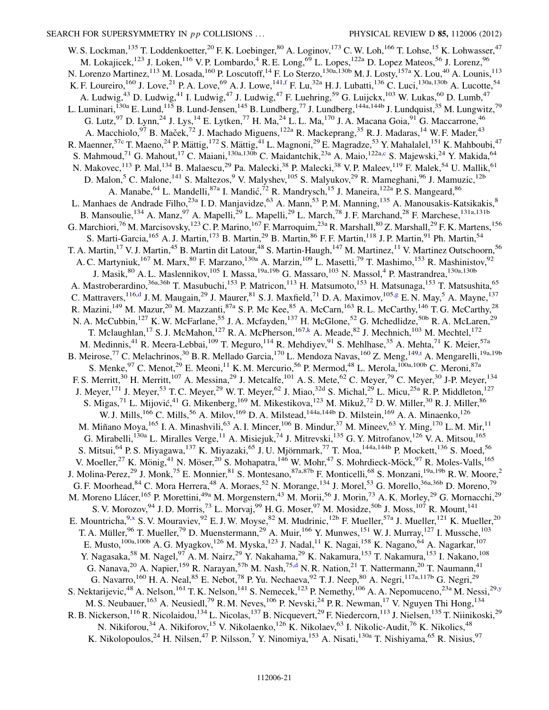<span id="page-21-5"></span><span id="page-21-4"></span><span id="page-21-3"></span><span id="page-21-2"></span><span id="page-21-1"></span><span id="page-21-0"></span>W. S. Lockman,<sup>135</sup> T. Loddenkoetter,<sup>20</sup> F. K. Loebinger,<sup>80</sup> A. Loginov,<sup>173</sup> C. W. Loh,<sup>166</sup> T. Lohse,<sup>15</sup> K. Lohwasser,<sup>47</sup> M. Lokajicek,<sup>123</sup> J. Loken,<sup>116</sup> V. P. Lombardo,<sup>4</sup> R. E. Long,<sup>69</sup> L. Lopes,<sup>122a</sup> D. Lopez Mateos,<sup>56</sup> J. Lorenz,<sup>96</sup> N. Lorenzo Martinez, <sup>113</sup> M. Losada, <sup>160</sup> P. Loscutoff, <sup>14</sup> F. Lo Sterzo, <sup>130a, 130b</sup> M. J. Losty, <sup>157a</sup> X. Lou, <sup>40</sup> A. Lounis, <sup>113</sup> K. F. Loureiro,  $^{160}$  J. Love,  $^{21}$  P. A. Love,  $^{69}$  A. J. Lowe,  $^{141,f}$  $^{141,f}$  $^{141,f}$  F. Lu,  $^{32a}$  H. J. Lubatti,  $^{136}$  C. Luci,  $^{130a,130b}$  A. Lucotte,  $^{54}$ A. Ludwig,<sup>43</sup> D. Ludwig,<sup>41</sup> I. Ludwig,<sup>47</sup> J. Ludwig,<sup>47</sup> F. Luehring,<sup>59</sup> G. Luijckx,<sup>103</sup> W. Lukas,<sup>60</sup> D. Lumb,<sup>47</sup> L. Luminari,<sup>130a</sup> E. Lund,<sup>115</sup> B. Lund-Jensen,<sup>145</sup> B. Lundberg,<sup>77</sup> J. Lundberg,<sup>144a,144b</sup> J. Lundquist,<sup>35</sup> M. Lungwitz,<sup>79</sup> G. Lutz,  $97$  D. Lynn,  $24$  J. Lys,  $14$  E. Lytken,  $77$  H. Ma,  $24$  L. L. Ma,  $170$  J. A. Macana Goia,  $91$  G. Maccarrone,  $46$ A. Macchiolo,<sup>97</sup> B. Maček,<sup>72</sup> J. Machado Miguens,<sup>122a</sup> R. Mackeprang,<sup>35</sup> R. J. Madaras,<sup>14</sup> W. F. Mader,<sup>43</sup> R. Maenner,<sup>57c</sup> T. Maeno,<sup>24</sup> P. Mättig,<sup>172</sup> S. Mättig,<sup>41</sup> L. Magnoni,<sup>29</sup> E. Magradze,<sup>53</sup> Y. Mahalalel,<sup>151</sup> K. Mahboubi,<sup>47</sup> S. Mahmoud,<sup>71</sup> G. Mahout,<sup>17</sup> C. Maiani,<sup>130a,130b</sup> C. Maidantchik,<sup>23a</sup> A. Maio,<sup>122a[,c](#page-27-1)</sup> S. Majewski,<sup>24</sup> Y. Makida,<sup>64</sup> N. Makovec,<sup>113</sup> P. Mal,<sup>134</sup> B. Malaescu,<sup>29</sup> Pa. Malecki,<sup>38</sup> P. Malecki,<sup>38</sup> V. P. Maleev,<sup>119</sup> F. Malek,<sup>54</sup> U. Mallik,<sup>61</sup> D. Malon,<sup>5</sup> C. Malone,<sup>141</sup> S. Maltezos,<sup>9</sup> V. Malyshev,<sup>105</sup> S. Malyukov,<sup>29</sup> R. Mameghani,<sup>96</sup> J. Mamuzic,<sup>12b</sup> A. Manabe, <sup>64</sup> L. Mandelli, <sup>87a</sup> I. Mandić, <sup>72</sup> R. Mandrysch, <sup>15</sup> J. Maneira, <sup>122a</sup> P. S. Mangeard, <sup>86</sup> L. Manhaes de Andrade Filho,<sup>23a</sup> I. D. Manjavidze,<sup>63</sup> A. Mann,<sup>53</sup> P. M. Manning,<sup>135</sup> A. Manousakis-Katsikakis,<sup>8</sup> B. Mansoulie, <sup>134</sup> A. Manz, <sup>97</sup> A. Mapelli, <sup>29</sup> L. Mapelli, <sup>29</sup> L. March, <sup>78</sup> J. F. Marchand, <sup>28</sup> F. Marchese, <sup>131a,131b</sup> G. Marchiori,<sup>76</sup> M. Marcisovsky,<sup>123</sup> C. P. Marino,<sup>167</sup> F. Marroquim,<sup>23a</sup> R. Marshall,<sup>80</sup> Z. Marshall,<sup>29</sup> F. K. Martens,<sup>156</sup> S. Marti-Garcia,<sup>165</sup> A. J. Martin,<sup>173</sup> B. Martin,<sup>29</sup> B. Martin,<sup>86</sup> F. F. Martin,<sup>118</sup> J. P. Martin,<sup>91</sup> Ph. Martin,<sup>54</sup> T. A. Martin,<sup>17</sup> V. J. Martin,<sup>45</sup> B. Martin dit Latour,<sup>48</sup> S. Martin-Haugh,<sup>147</sup> M. Martinez,<sup>11</sup> V. Martinez Outschoorn,<sup>56</sup> A. C. Martyniuk,<sup>167</sup> M. Marx,<sup>80</sup> F. Marzano,<sup>130a</sup> A. Marzin,<sup>109</sup> L. Masetti,<sup>79</sup> T. Mashimo,<sup>153</sup> R. Mashinistov,<sup>92</sup> J. Masik, <sup>80</sup> A. L. Maslennikov, <sup>105</sup> I. Massa, <sup>19a, 19b</sup> G. Massaro, <sup>103</sup> N. Massol, <sup>4</sup> P. Mastrandrea, <sup>130a, 130b</sup> A. Mastroberardino,<sup>36a,36b</sup> T. Masubuchi,<sup>153</sup> P. Matricon,<sup>113</sup> H. Matsumoto,<sup>153</sup> H. Matsunaga,<sup>153</sup> T. Matsushita,<sup>65</sup> C. Mattravers,  $^{116,d}$  $^{116,d}$  $^{116,d}$  J. M. Mau[g](#page-27-6)ain,  $^{29}$  J. Maurer,  $^{81}$  S. J. Maxfield,  $^{71}$  D. A. Maximov,  $^{105,g}$  E. N. May,  $^5$  A. Mayne,  $^{137}$ R. Mazini,<sup>149</sup> M. Mazur,<sup>20</sup> M. Mazzanti,<sup>87a</sup> S. P. Mc Kee,<sup>85</sup> A. McCarn,<sup>163</sup> R. L. McCarthy,<sup>146</sup> T. G. McCarthy,<sup>28</sup> N. A. McCubbin,<sup>127</sup> K. W. McFarlane,<sup>55</sup> J. A. Mcfayden,<sup>137</sup> H. McGlone,<sup>52</sup> G. Mchedlidze,<sup>50b</sup> R. A. McLaren,<sup>29</sup> T. Mclaughlan,<sup>17</sup> S. J. McMahon,<sup>127</sup> R. A. McPherson,<sup>167,[k](#page-28-0)</sup> A. Meade,<sup>82</sup> J. Mechnich,<sup>103</sup> M. Mechtel,<sup>172</sup> M. Medinnis,<sup>41</sup> R. Meera-Lebbai,<sup>109</sup> T. Meguro,<sup>114</sup> R. Mehdiyev,<sup>91</sup> S. Mehlhase,<sup>35</sup> A. Mehta,<sup>71</sup> K. Meier,<sup>57a</sup> B. Meirose,<sup>77</sup> C. Melachrinos,<sup>30</sup> B. R. Mellado Garcia,<sup>170</sup> L. Mendoza Navas,<sup>160</sup> Z. Meng,<sup>149,[t](#page-28-9)</sup> A. Mengarelli,<sup>19a,19b</sup> S. Menke,  $97$  C. Menot,  $29$  E. Meoni,  $11$  K. M. Mercurio,  $56$  P. Mermod,  $48$  L. Merola,  $100a,100b$  C. Meroni,  $87a$ F. S. Merritt,<sup>30</sup> H. Merritt,<sup>107</sup> A. Messina,<sup>29</sup> J. Metcalfe,<sup>101</sup> A. S. Mete,<sup>62</sup> C. Meyer,<sup>79</sup> C. Meyer,<sup>30</sup> J-P. Meyer,<sup>134</sup> J. Meyer,<sup>171</sup> J. Meyer,<sup>53</sup> T. C. Meyer,<sup>29</sup> W. T. Meyer,<sup>62</sup> J. Miao,<sup>32d</sup> S. Michal,<sup>29</sup> L. Micu,<sup>25a</sup> R. P. Middleton,<sup>127</sup> S. Migas,<sup>71</sup> L. Mijović,<sup>41</sup> G. Mikenberg, <sup>169</sup> M. Mikestikova, <sup>123</sup> M. Mikuž, <sup>72</sup> D. W. Miller, <sup>30</sup> R. J. Miller, <sup>86</sup> W. J. Mills,<sup>166</sup> C. Mills,<sup>56</sup> A. Milov,<sup>169</sup> D. A. Milstead,<sup>144a,144b</sup> D. Milstein,<sup>169</sup> A. A. Minaenko,<sup>126</sup> M. Miñano Moya, <sup>165</sup> I. A. Minashvili, <sup>63</sup> A. I. Mincer, <sup>106</sup> B. Mindur, <sup>37</sup> M. Mineev, <sup>63</sup> Y. Ming, <sup>170</sup> L. M. Mir, <sup>11</sup> G. Mirabelli,<sup>130a</sup> L. Miralles Verge,<sup>11</sup> A. Misiejuk,<sup>74</sup> J. Mitrevski,<sup>135</sup> G. Y. Mitrofanov,<sup>126</sup> V. A. Mitsou,<sup>165</sup> S. Mitsui,<sup>64</sup> P. S. Miyagawa,<sup>137</sup> K. Miyazaki,<sup>65</sup> J. U. Mjörnmark,<sup>77</sup> T. Moa,<sup>144a,144b</sup> P. Mockett,<sup>136</sup> S. Moed,<sup>56</sup> V. Moeller,<sup>27</sup> K. Mönig,<sup>41</sup> N. Möser,<sup>20</sup> S. Mohapatra,<sup>146</sup> W. Mohr,<sup>47</sup> S. Mohrdieck-Möck,<sup>97</sup> R. Moles-Valls,<sup>165</sup> J. Molina-Perez,<sup>29</sup> J. Monk,<sup>75</sup> E. Monnier,<sup>81</sup> S. Montesano,<sup>87a,87b</sup> F. Monticelli,<sup>68</sup> S. Monzani,<sup>19a,19b</sup> R. W. Moore,<sup>2</sup> G. F. Moorhead,  $84$  C. Mora Herrera,  $48$  A. Moraes,  $52$  N. Morange,  $134$  J. Morel,  $53$  G. Morello,  $36a,36b$  D. Moreno,  $79$ M. Moreno Llácer,<sup>165</sup> P. Morettini,<sup>49a</sup> M. Morgenstern,<sup>43</sup> M. Morii,<sup>56</sup> J. Morin,<sup>73</sup> A. K. Morley,<sup>29</sup> G. Mornacchi,<sup>29</sup> S. V. Morozov, <sup>94</sup> J. D. Morris, <sup>73</sup> L. Morvaj, <sup>99</sup> H. G. Moser, <sup>97</sup> M. Mosidze, <sup>50b</sup> J. Moss, <sup>107</sup> R. Mount, <sup>141</sup> E. Mountricha,  $9^{\text{,}x}$  $9^{\text{,}x}$  $9^{\text{,}x}$  S.V. Mouraviev,  $92$  E.J.W. Moyse,  $82$  M. Mudrinic,  $12^{\text{b}}$  F. Mueller,  $57^{\text{a}}$  J. Mueller,  $12^{\text{1}}$  K. Mueller,  $2^{\text{0}}$ T. A. Müller, <sup>96</sup> T. Mueller, <sup>79</sup> D. Muenstermann, <sup>29</sup> A. Muir, <sup>166</sup> Y. Munwes, <sup>151</sup> W. J. Murray, <sup>127</sup> I. Mussche, <sup>103</sup> E. Musto,<sup>100a,100b</sup> A. G. Myagkov,<sup>126</sup> M. Myska,<sup>123</sup> J. Nadal,<sup>11</sup> K. Nagai,<sup>158</sup> K. Nagano,<sup>64</sup> A. Nagarkar,<sup>107</sup> Y. Nagasaka,<sup>58</sup> M. Nagel,<sup>97</sup> A. M. Nairz,<sup>29</sup> Y. Nakahama,<sup>29</sup> K. Nakamura,<sup>153</sup> T. Nakamura,<sup>153</sup> I. Nakano,<sup>108</sup> G. Nanava,<sup>20</sup> A. Napier,<sup>159</sup> R. Narayan,<sup>57b</sup> M. Nash,<sup>75,[d](#page-27-2)</sup> N. R. Nation,<sup>21</sup> T. Nattermann,<sup>20</sup> T. Naumann,<sup>41</sup> G. Navarro, <sup>160</sup> H. A. Neal, <sup>85</sup> E. Nebot, <sup>78</sup> P. Yu. Nechaeva, <sup>92</sup> T. J. Neep, <sup>80</sup> A. Negri, <sup>117a,117b</sup> G. Negri, <sup>29</sup> S. Nektarijevic,  $^{48}$  A. Nelson,  $^{161}$  T. K. Nelson,  $^{141}$  S. Nemecek,  $^{123}$  P. Nemethy,  $^{106}$  A. A. Nepomuceno,  $^{23a}$  M. Nessi,  $^{29,y}$  $^{29,y}$  $^{29,y}$ M. S. Neubauer, <sup>163</sup> A. Neusiedl, <sup>79</sup> R. M. Neves, <sup>106</sup> P. Nevski, <sup>24</sup> P. R. Newman, <sup>17</sup> V. Nguyen Thi Hong, <sup>134</sup> R. B. Nickerson,<sup>116</sup> R. Nicolaidou,<sup>134</sup> L. Nicolas,<sup>137</sup> B. Nicquevert,<sup>29</sup> F. Niedercorn,<sup>113</sup> J. Nielsen,<sup>135</sup> T. Niinikoski,<sup>29</sup> N. Nikiforou,<sup>34</sup> A. Nikiforov,<sup>15</sup> V. Nikolaenko,<sup>126</sup> K. Nikolaev,<sup>63</sup> I. Nikolic-Audit,<sup>76</sup> K. Nikolics,<sup>48</sup> K. Nikolopoulos,<sup>24</sup> H. Nilsen,<sup>47</sup> P. Nilsson,<sup>7</sup> Y. Ninomiya,<sup>153</sup> A. Nisati,<sup>130a</sup> T. Nishiyama,<sup>65</sup> R. Nisius,<sup>97</sup>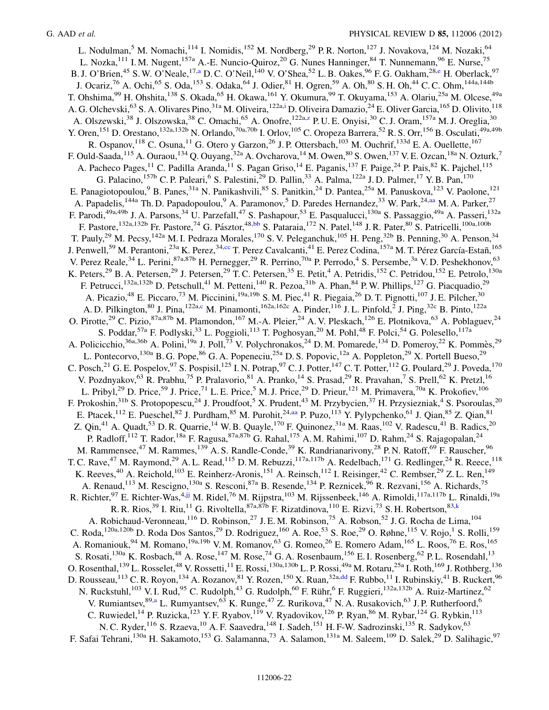L. Nodulman,<sup>5</sup> M. Nomachi,<sup>114</sup> I. Nomidis,<sup>152</sup> M. Nordberg,<sup>29</sup> P. R. Norton,<sup>127</sup> J. Novakova,<sup>124</sup> M. Nozaki,<sup>64</sup> L. Nozka,<sup>111</sup> I. M. Nugent,<sup>157a</sup> A.-E. Nuncio-Quiroz,<sup>20</sup> G. Nunes Hanninger,<sup>84</sup> T. Nunnemann,<sup>96</sup> E. Nurse,<sup>75</sup> B. J. O'Brien,<sup>45</sup> S. W. O'Ne[a](#page-27-3)le,<sup>17,a</sup> D. C. O'Neil,<sup>140</sup> V. O'Shea,<sup>52</sup> L. B. Oakes,<sup>96</sup> F. G. Oakham,<sup>28[,e](#page-27-4)</sup> H. Oberlack,<sup>97</sup> J. Ocariz,<sup>76</sup> A. Ochi,<sup>65</sup> S. Oda,<sup>153</sup> S. Odaka,<sup>64</sup> J. Odier,<sup>81</sup> H. Ogren,<sup>59</sup> A. Oh,<sup>80</sup> S. H. Oh,<sup>44</sup> C. C. Ohm,<sup>144a,144b</sup> T. Ohshima,<sup>99</sup> H. Ohshita,<sup>138</sup> S. Okada,<sup>65</sup> H. Okawa,<sup>161</sup> Y. Okumura,<sup>99</sup> T. Okuyama,<sup>153</sup> A. Olariu,<sup>25a</sup> M. Olcese,<sup>49a</sup> A. G. Olchevski,<sup>63</sup> S. A. Olivares Pino,<sup>31a</sup> M. Oliveira,<sup>122a[,i](#page-27-8)</sup> D. Oliveira Damazio,<sup>24</sup> E. Oliver Garcia,<sup>165</sup> D. Olivito,<sup>118</sup> A. Olszewski,<sup>38</sup> J. Olszowska,<sup>38</sup> C. Omachi,<sup>65</sup> A. Onofre,<sup>122a[,z](#page-28-15)</sup> P. U. E. Onyisi,<sup>30</sup> C. J. Oram,<sup>157a</sup> M. J. Oreglia,<sup>30</sup> Y. Oren,<sup>151</sup> D. Orestano,<sup>132a,132b</sup> N. Orlando,<sup>70a,70b</sup> I. Orlov,<sup>105</sup> C. Oropeza Barrera,<sup>52</sup> R. S. Orr,<sup>156</sup> B. Osculati,<sup>49a,49b</sup> R. Ospanov,<sup>118</sup> C. Osuna,<sup>11</sup> G. Otero y Garzon,<sup>26</sup> J. P. Ottersbach,<sup>103</sup> M. Ouchrif,<sup>133d</sup> E. A. Ouellette,<sup>167</sup> F. Ould-Saada,<sup>115</sup> A. Ouraou,<sup>134</sup> Q. Ouyang,<sup>32a</sup> A. Ovcharova,<sup>14</sup> M. Owen,<sup>80</sup> S. Owen,<sup>137</sup> V. E. Ozcan,<sup>18a</sup> N. Ozturk,<sup>7</sup> A. Pacheco Pages,<sup>11</sup> C. Padilla Aranda,<sup>11</sup> S. Pagan Griso,<sup>14</sup> E. Paganis,<sup>137</sup> F. Paige,<sup>24</sup> P. Pais,<sup>82</sup> K. Pajchel,<sup>115</sup> G. Palacino, <sup>157b</sup> C. P. Paleari, <sup>6</sup> S. Palestini, <sup>29</sup> D. Pallin, <sup>33</sup> A. Palma, <sup>122a</sup> J. D. Palmer, <sup>17</sup> Y. B. Pan, <sup>170</sup> E. Panagiotopoulou,<sup>9</sup> B. Panes,<sup>31a</sup> N. Panikashvili,<sup>85</sup> S. Panitkin,<sup>24</sup> D. Pantea,<sup>25a</sup> M. Panuskova,<sup>123</sup> V. Paolone,<sup>121</sup> A. Papadelis,<sup>144a</sup> Th. D. Papadopoulou,<sup>9</sup> A. Paramonov,<sup>5</sup> D. Paredes Hernandez,<sup>33</sup> W. Park,<sup>24,[aa](#page-28-16)</sup> M. A. Parker,<sup>27</sup> F. Parodi,<sup>49a,49b</sup> J. A. Parsons,<sup>34</sup> U. Parzefall,<sup>47</sup> S. Pashapour,<sup>53</sup> E. Pasqualucci,<sup>130a</sup> S. Passaggio,<sup>49a</sup> A. Passeri,<sup>132a</sup> F. Pastore,<sup>132a,132b</sup> Fr. Pastore,<sup>74</sup> G. Pásztor,<sup>48,[bb](#page-28-17)</sup> S. Pataraia,<sup>172</sup> N. Patel,<sup>148</sup> J. R. Pater,<sup>80</sup> S. Patricelli,<sup>100a,100b</sup> T. Pauly,<sup>29</sup> M. Pecsy,<sup>142a</sup> M. I. Pedraza Morales,<sup>170</sup> S. V. Peleganchuk,<sup>105</sup> H. Peng,<sup>32b</sup> B. Penning,<sup>30</sup> A. Penson,<sup>34</sup> J. Penwell,<sup>59</sup> M. Perantoni,<sup>23a</sup> K. Perez,<sup>34[,cc](#page-28-18)</sup> T. Perez Cavalcanti,<sup>41</sup> E. Perez Codina,<sup>157a</sup> M. T. Pérez García-Estañ,<sup>165</sup> V. Perez Reale,<sup>34</sup> L. Perini,<sup>87a,87b</sup> H. Pernegger,<sup>29</sup> R. Perrino,<sup>70a</sup> P. Perrodo,<sup>4</sup> S. Persembe,<sup>3a</sup> V.D. Peshekhonov,<sup>63</sup> K. Peters,<sup>29</sup> B. A. Petersen,<sup>29</sup> J. Petersen,<sup>29</sup> T. C. Petersen,<sup>35</sup> E. Petit,<sup>4</sup> A. Petridis,<sup>152</sup> C. Petridou,<sup>152</sup> E. Petrolo,<sup>130a</sup> F. Petrucci,<sup>132a,132b</sup> D. Petschull,<sup>41</sup> M. Petteni,<sup>140</sup> R. Pezoa,<sup>31b</sup> A. Phan,<sup>84</sup> P. W. Phillips,<sup>127</sup> G. Piacquadio,<sup>29</sup> A. Picazio.<sup>48</sup> E. Piccaro,<sup>73</sup> M. Piccinini,<sup>19a,19b</sup> S. M. Piec,<sup>41</sup> R. Piegaia,<sup>26</sup> D. T. Pignotti,<sup>107</sup> J. E. Pilcher,<sup>30</sup> A. D. Pilkington, <sup>80</sup> J. Pina, <sup>122a[,c](#page-27-1)</sup> M. Pinamonti, <sup>162a, 162c</sup> A. Pinder, <sup>116</sup> J. L. Pinfold, <sup>2</sup> J. Ping, <sup>32c</sup> B. Pinto, <sup>122a</sup> O. Pirotte,<sup>29</sup> C. Pizio,<sup>87a,87b</sup> M. Plamondon,<sup>167</sup> M.-A. Pleier,<sup>24</sup> A. V. Pleskach,<sup>126</sup> E. Plotnikova,<sup>63</sup> A. Poblaguev,<sup>24</sup> S. Poddar,<sup>57a</sup> F. Podlyski,<sup>33</sup> L. Poggioli,<sup>113</sup> T. Poghosyan,<sup>20</sup> M. Pohl,<sup>48</sup> F. Polci,<sup>54</sup> G. Polesello,<sup>117a</sup> A. Policicchio,<sup>36a,36b</sup> A. Polini,<sup>19a</sup> J. Poll,<sup>73</sup> V. Polychronakos,<sup>24</sup> D. M. Pomarede,<sup>134</sup> D. Pomeroy,<sup>22</sup> K. Pommès,<sup>29</sup> L. Pontecorvo,<sup>130a</sup> B. G. Pope,<sup>86</sup> G. A. Popeneciu,<sup>25a</sup> D. S. Popovic,<sup>12a</sup> A. Poppleton,<sup>29</sup> X. Portell Bueso,<sup>29</sup> C. Posch,<sup>21</sup> G. E. Pospelov,<sup>97</sup> S. Pospisil,<sup>125</sup> I. N. Potrap,<sup>97</sup> C. J. Potter,<sup>147</sup> C. T. Potter,<sup>112</sup> G. Poulard,<sup>29</sup> J. Poveda,<sup>170</sup> V. Pozdnyakov,<sup>63</sup> R. Prabhu,<sup>75</sup> P. Pralavorio,<sup>81</sup> A. Pranko,<sup>14</sup> S. Prasad,<sup>29</sup> R. Pravahan,<sup>7</sup> S. Prell,<sup>62</sup> K. Pretzl,<sup>16</sup> L. Pribyl,<sup>29</sup> D. Price,<sup>59</sup> J. Price,<sup>71</sup> L. E. Price,<sup>5</sup> M. J. Price,<sup>29</sup> D. Prieur,<sup>121</sup> M. Primavera,<sup>70a</sup> K. Prokofiev,<sup>106</sup> F. Prokoshin,<sup>31b</sup> S. Protopopescu,<sup>24</sup> J. Proudfoot,<sup>5</sup> X. Prudent,<sup>43</sup> M. Przybycien,<sup>37</sup> H. Przysiezniak,<sup>4</sup> S. Psoroulas,<sup>20</sup> E. Ptacek,<sup>112</sup> E. Pueschel,<sup>82</sup> J. Purdham,<sup>85</sup> M. Purohit,<sup>24[,aa](#page-28-16)</sup> P. Puzo,<sup>113</sup> Y. Pylypchenko,<sup>61</sup> J. Qian,<sup>85</sup> Z. Qian,<sup>81</sup> Z. Qin,<sup>41</sup> A. Quadt,<sup>53</sup> D. R. Quarrie,<sup>14</sup> W. B. Quayle,<sup>170</sup> F. Quinonez,<sup>31a</sup> M. Raas,<sup>102</sup> V. Radescu,<sup>41</sup> B. Radics,<sup>20</sup> P. Radloff,<sup>112</sup> T. Rador,<sup>18a</sup> F. Ragusa,<sup>87a,87b</sup> G. Rahal,<sup>175</sup> A. M. Rahimi,<sup>107</sup> D. Rahm,<sup>24</sup> S. Rajagopalan,<sup>24</sup> M. Rammensee,<sup>47</sup> M. Rammes,<sup>139</sup> A. S. Randle-Conde,<sup>39</sup> K. Randrianarivony,<sup>28</sup> P. N. Ratoff,<sup>69</sup> F. Rauscher,<sup>96</sup> T. C. Rave,<sup>47</sup> M. Raymond,<sup>29</sup> A. L. Read,<sup>115</sup> D. M. Rebuzzi,<sup>117a,117b</sup> A. Redelbach,<sup>171</sup> G. Redlinger,<sup>24</sup> R. Reece,<sup>118</sup> K. Reeves,<sup>40</sup> A. Reichold,<sup>103</sup> E. Reinherz-Aronis,<sup>151</sup> A. Reinsch,<sup>112</sup> I. Reisinger,<sup>42</sup> C. Rembser,<sup>29</sup> Z. L. Ren,<sup>149</sup> A. Renaud,<sup>113</sup> M. Rescigno,<sup>130a</sup> S. Resconi,<sup>87a</sup> B. Resende,<sup>134</sup> P. Reznicek,<sup>96</sup> R. Rezvani,<sup>156</sup> A. Richards,<sup>75</sup> R. Richter,<sup>97</sup> E. Richter-Was,<sup>4,[jj](#page-28-19)</sup> M. Ridel,<sup>76</sup> M. Rijpstra,<sup>103</sup> M. Rijssenbeek,<sup>146</sup> A. Rimoldi,<sup>117a,117b</sup> L. Rinaldi,<sup>19a</sup> R. R. Rios,<sup>39</sup> I. Riu,<sup>11</sup> G. Rivoltella, <sup>87a, 87b</sup> F. Rizatdinova, <sup>110</sup> E. Rizvi, <sup>73</sup> S. H. Robertson, <sup>83[,k](#page-28-0)</sup> A. Robichaud-Veronneau,<sup>116</sup> D. Robinson,<sup>27</sup> J. E. M. Robinson,<sup>75</sup> A. Robson,<sup>52</sup> J. G. Rocha de Lima,<sup>104</sup> C. Roda,<sup>120a,120b</sup> D. Roda Dos Santos,<sup>29</sup> D. Rodriguez,<sup>160</sup> A. Roe,<sup>53</sup> S. Roe,<sup>29</sup> O. Røhne,<sup>115</sup> V. Rojo,<sup>1</sup> S. Rolli,<sup>159</sup> A. Romaniouk, <sup>94</sup> M. Romano, <sup>19a, 19b</sup> V. M. Romanov, <sup>63</sup> G. Romeo, <sup>26</sup> E. Romero Adam, <sup>165</sup> L. Roos, <sup>76</sup> E. Ros, <sup>165</sup> S. Rosati,<sup>130a</sup> K. Rosbach,<sup>48</sup> A. Rose,<sup>147</sup> M. Rose,<sup>74</sup> G. A. Rosenbaum,<sup>156</sup> E. I. Rosenberg,<sup>62</sup> P. L. Rosendahl,<sup>13</sup> O. Rosenthal,<sup>139</sup> L. Rosselet,<sup>48</sup> V. Rossetti,<sup>11</sup> E. Rossi,<sup>130a,130b</sup> L. P. Rossi,<sup>49a</sup> M. Rotaru,<sup>25a</sup> I. Roth,<sup>169</sup> J. Rothberg,<sup>136</sup> D. Rousseau,  $^{113}$  C. R. Royon,  $^{134}$  A. Rozanov,  $^{81}$  Y. Rozen,  $^{150}$  X. Ruan,  $^{32a,dd}$  $^{32a,dd}$  $^{32a,dd}$  F. Rubbo,  $^{11}$  I. Rubinskiy,  $^{41}$  B. Ruckert,  $^{96}$ N. Ruckstuhl,<sup>103</sup> V. I. Rud,<sup>95</sup> C. Rudolph,<sup>43</sup> G. Rudolph,<sup>60</sup> F. Rühr,<sup>6</sup> F. Ruggieri,<sup>132a,132b</sup> A. Ruiz-Martinez,<sup>62</sup> V. Rumi[a](#page-27-3)ntsev, <sup>89,a</sup> L. Rumyantsev, <sup>63</sup> K. Runge, <sup>47</sup> Z. Rurikova, <sup>47</sup> N. A. Rusakovich, <sup>63</sup> J. P. Rutherfoord, <sup>6</sup> C. Ruwiedel,<sup>14</sup> P. Ruzicka,<sup>123</sup> Y. F. Ryabov,<sup>119</sup> V. Ryadovikov,<sup>126</sup> P. Ryan,<sup>86</sup> M. Rybar,<sup>124</sup> G. Rybkin,<sup>113</sup> N. C. Ryder, <sup>116</sup> S. Rzaeva, <sup>10</sup> A. F. Saavedra, <sup>148</sup> I. Sadeh, <sup>151</sup> H. F-W. Sadrozinski, <sup>135</sup> R. Sadykov, <sup>63</sup> F. Safai Tehrani,<sup>130a</sup> H. Sakamoto,<sup>153</sup> G. Salamanna,<sup>73</sup> A. Salamon,<sup>131a</sup> M. Saleem,<sup>109</sup> D. Salek,<sup>29</sup> D. Salihagic,<sup>97</sup>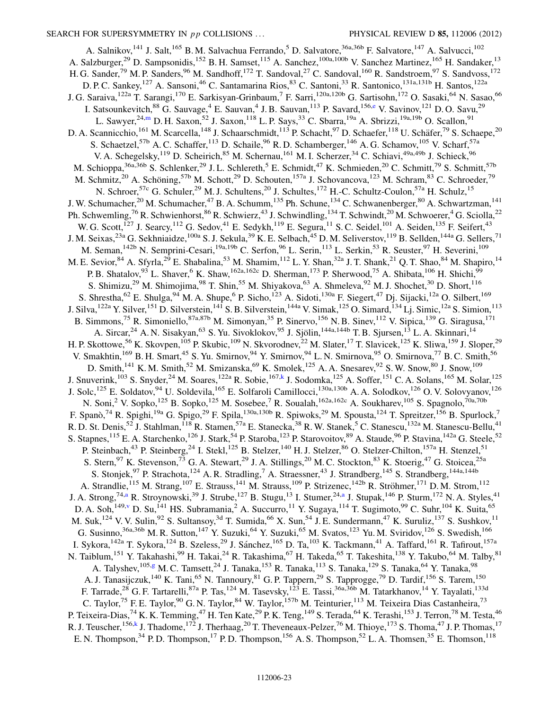<span id="page-23-4"></span><span id="page-23-3"></span><span id="page-23-2"></span><span id="page-23-1"></span><span id="page-23-0"></span>A. Salnikov,<sup>141</sup> J. Salt,<sup>165</sup> B. M. Salvachua Ferrando,<sup>5</sup> D. Salvatore,<sup>36a,36b</sup> F. Salvatore,<sup>147</sup> A. Salvucci,<sup>102</sup> A. Salzburger,<sup>29</sup> D. Sampsonidis,<sup>152</sup> B. H. Samset,<sup>115</sup> A. Sanchez,<sup>100a,100b</sup> V. Sanchez Martinez,<sup>165</sup> H. Sandaker,<sup>13</sup> H. G. Sander,<sup>79</sup> M. P. Sanders,<sup>96</sup> M. Sandhoff,<sup>172</sup> T. Sandoval,<sup>27</sup> C. Sandoval,<sup>160</sup> R. Sandstroem,<sup>97</sup> S. Sandvoss,<sup>172</sup> D. P. C. Sankey, <sup>127</sup> A. Sansoni, <sup>46</sup> C. Santamarina Rios, <sup>83</sup> C. Santoni, <sup>33</sup> R. Santonico, <sup>131a, 131b</sup> H. Santos, <sup>122a</sup> J. G. Saraiva, <sup>122a</sup> T. Sarangi, <sup>170</sup> E. Sarkisyan-Grinbaum, <sup>7</sup> F. Sarri, <sup>120a, 120b</sup> G. Sartisohn, <sup>172</sup> O. Sasaki, <sup>64</sup> N. Sasao, <sup>66</sup> I. Satsounk[e](#page-27-4)vitch, <sup>88</sup> G. Sauvage, <sup>4</sup> E. Sauvan, <sup>4</sup> J. B. Sauvan, <sup>113</sup> P. Savard, <sup>156,e</sup> V. Savinov, <sup>121</sup> D. O. Savu, <sup>29</sup> L. Sawyer, <sup>24[,m](#page-28-2)</sup> D. H. Saxon, <sup>52</sup> J. Saxon, <sup>118</sup> L. P. Says, <sup>33</sup> C. Sbarra, <sup>19a</sup> A. Sbrizzi, <sup>19a, 19b</sup> O. Scallon, <sup>91</sup> D. A. Scannicchio,<sup>161</sup> M. Scarcella,<sup>148</sup> J. Schaarschmidt,<sup>113</sup> P. Schacht,<sup>97</sup> D. Schaefer,<sup>118</sup> U. Schäfer,<sup>79</sup> S. Schaepe,<sup>20</sup> S. Schaetzel,<sup>57b</sup> A. C. Schaffer,<sup>113</sup> D. Schaile,<sup>96</sup> R. D. Schamberger,<sup>146</sup> A. G. Schamov,<sup>105</sup> V. Scharf,<sup>57a</sup> V. A. Schegelsky,<sup>119</sup> D. Scheirich,<sup>85</sup> M. Schernau,<sup>161</sup> M. I. Scherzer,<sup>34</sup> C. Schiavi,<sup>49a,49b</sup> J. Schieck,<sup>96</sup> M. Schioppa,<sup>36a,36b</sup> S. Schlenker,<sup>29</sup> J.L. Schlereth,<sup>5</sup> E. Schmidt,<sup>47</sup> K. Schmieden,<sup>20</sup> C. Schmitt,<sup>79</sup> S. Schmitt,<sup>57b</sup> M. Schmitz,<sup>20</sup> A. Schöning,<sup>57b</sup> M. Schott,<sup>29</sup> D. Schouten,<sup>157a</sup> J. Schovancova,<sup>123</sup> M. Schram,<sup>83</sup> C. Schroeder,<sup>79</sup> N. Schroer,<sup>57c</sup> G. Schuler,<sup>29</sup> M. J. Schultens,<sup>20</sup> J. Schultes,<sup>172</sup> H.-C. Schultz-Coulon,<sup>57a</sup> H. Schulz,<sup>15</sup> J. W. Schumacher,<sup>20</sup> M. Schumacher,<sup>47</sup> B. A. Schumm,<sup>135</sup> Ph. Schune,<sup>134</sup> C. Schwanenberger,<sup>80</sup> A. Schwartzman,<sup>141</sup> Ph. Schwemling,<sup>76</sup> R. Schwienhorst,<sup>86</sup> R. Schwierz,<sup>43</sup> J. Schwindling,<sup>134</sup> T. Schwindt,<sup>20</sup> M. Schwoerer,<sup>4</sup> G. Sciolla,<sup>22</sup> W. G. Scott,<sup>127</sup> J. Searcy,<sup>112</sup> G. Sedov,<sup>41</sup> E. Sedykh,<sup>119</sup> E. Segura,<sup>11</sup> S. C. Seidel,<sup>101</sup> A. Seiden,<sup>135</sup> F. Seifert,<sup>43</sup> J. M. Seixas,<sup>23a</sup> G. Sekhniaidze,<sup>100a</sup> S. J. Sekula,<sup>39</sup> K. E. Selbach,<sup>45</sup> D. M. Seliverstov,<sup>119</sup> B. Sellden,<sup>144a</sup> G. Sellers,<sup>71</sup> M. Seman,<sup>142b</sup> N. Semprini-Cesari,<sup>19a,19b</sup> C. Serfon,<sup>96</sup> L. Serin,<sup>113</sup> L. Serkin,<sup>53</sup> R. Seuster,<sup>97</sup> H. Severini,<sup>109</sup> M. E. Sevior,  $84$  A. Sfyrla,  $29$  E. Shabalina,  $53$  M. Shamim,  $112$  L. Y. Shan,  $32a$  J. T. Shank,  $21$  Q. T. Shao,  $84$  M. Shapiro,  $14$ P. B. Shatalov,  $93$  L. Shaver,  $6$  K. Shaw,  $162a,162c$  D. Sherman,  $173$  P. Sherwood,  $75$  A. Shibata,  $106$  H. Shichi,  $99$ S. Shimizu,<sup>29</sup> M. Shimojima,<sup>98</sup> T. Shin,<sup>55</sup> M. Shiyakova,<sup>63</sup> A. Shmeleva,<sup>92</sup> M. J. Shochet,<sup>30</sup> D. Short,<sup>116</sup> S. Shrestha, <sup>62</sup> E. Shulga, <sup>94</sup> M. A. Shupe, <sup>6</sup> P. Sicho, <sup>123</sup> A. Sidoti, <sup>130a</sup> F. Siegert, <sup>47</sup> Dj. Sijacki, <sup>12a</sup> O. Silbert, <sup>169</sup> J. Silva,<sup>122a</sup> Y. Silver,<sup>151</sup> D. Silverstein,<sup>141</sup> S. B. Silverstein,<sup>144a</sup> V. Simak,<sup>125</sup> O. Simard,<sup>134</sup> Lj. Simic,<sup>12a</sup> S. Simion,<sup>113</sup> B. Simmons,<sup>75</sup> R. Simoniello,<sup>87a,87b</sup> M. Simonyan,<sup>35</sup> P. Sinervo,<sup>156</sup> N. B. Sinev,<sup>112</sup> V. Sipica,<sup>139</sup> G. Siragusa,<sup>171</sup> A. Sircar,<sup>24</sup> A. N. Sisakyan,<sup>63</sup> S. Yu. Sivoklokov,<sup>95</sup> J. Sjölin,<sup>144a,144b</sup> T. B. Sjursen,<sup>13</sup> L. A. Skinnari,<sup>14</sup> H. P. Skottowe,<sup>56</sup> K. Skovpen,<sup>105</sup> P. Skubic,<sup>109</sup> N. Skvorodnev,<sup>22</sup> M. Slater,<sup>17</sup> T. Slavicek,<sup>125</sup> K. Sliwa,<sup>159</sup> J. Sloper,<sup>29</sup> V. Smakhtin,<sup>169</sup> B. H. Smart,<sup>45</sup> S. Yu. Smirnov,<sup>94</sup> Y. Smirnov,<sup>94</sup> L. N. Smirnova,<sup>95</sup> O. Smirnova,<sup>77</sup> B. C. Smith,<sup>56</sup> D. Smith,<sup>141</sup> K. M. Smith,<sup>52</sup> M. Smizanska,<sup>69</sup> K. Smolek,<sup>125</sup> A. A. Snesarev,<sup>92</sup> S. W. Snow,<sup>80</sup> J. Snow,<sup>109</sup> J. Snuverink,<sup>103</sup> S. Snyder,<sup>24</sup> M. Soares,<sup>122a</sup> R. Sobie,<sup>167[,k](#page-28-0)</sup> J. Sodomka,<sup>125</sup> A. Soffer,<sup>151</sup> C. A. Solans,<sup>165</sup> M. Solar,<sup>125</sup> J. Solc,<sup>125</sup> E. Soldatov,<sup>94</sup> U. Soldevila,<sup>165</sup> E. Solfaroli Camillocci,<sup>130a,130b</sup> A. A. Solodkov,<sup>126</sup> O. V. Solovyanov,<sup>126</sup> N. Soni,<sup>2</sup> V. Sopko,<sup>125</sup> B. Sopko,<sup>125</sup> M. Sosebee,<sup>7</sup> R. Soualah,<sup>162a,162c</sup> A. Soukharev,<sup>105</sup> S. Spagnolo,<sup>70a,70b</sup> F. Spanò,<sup>74</sup> R. Spighi,<sup>19a</sup> G. Spigo,<sup>29</sup> F. Spila,<sup>130a,130b</sup> R. Spiwoks,<sup>29</sup> M. Spousta,<sup>124</sup> T. Spreitzer,<sup>156</sup> B. Spurlock,<sup>7</sup> R. D. St. Denis,<sup>52</sup> J. Stahlman,<sup>118</sup> R. Stamen,<sup>57a</sup> E. Stanecka,<sup>38</sup> R. W. Stanek,<sup>5</sup> C. Stanescu,<sup>132a</sup> M. Stanescu-Bellu,<sup>41</sup> S. Stapnes, <sup>115</sup> E. A. Starchenko, <sup>126</sup> J. Stark, <sup>54</sup> P. Staroba, <sup>123</sup> P. Starovoitov, <sup>89</sup> A. Staude, <sup>96</sup> P. Stavina, <sup>142a</sup> G. Steele, <sup>52</sup> P. Steinbach,<sup>43</sup> P. Steinberg,<sup>24</sup> I. Stekl,<sup>125</sup> B. Stelzer,<sup>140</sup> H. J. Stelzer,<sup>86</sup> O. Stelzer-Chilton,<sup>157a</sup> H. Stenzel,<sup>51</sup> S. Stern, <sup>97</sup> K. Stevenson, <sup>73</sup> G. A. Stewart, <sup>29</sup> J. A. Stillings, <sup>20</sup> M. C. Stockton, <sup>83</sup> K. Stoerig, <sup>47</sup> G. Stoicea, <sup>25a</sup> S. Stonjek,<sup>97</sup> P. Strachota,<sup>124</sup> A. R. Stradling,<sup>7</sup> A. Straessner,<sup>43</sup> J. Strandberg,<sup>145</sup> S. Strandberg,<sup>144a,144b</sup> A. Strandlie,<sup>115</sup> M. Strang,<sup>107</sup> E. Strauss,<sup>141</sup> M. Strauss,<sup>109</sup> P. Strizenec,<sup>142b</sup> R. Ströhmer,<sup>171</sup> D. M. Strom,<sup>112</sup> J. A. Strong,<sup>74,[a](#page-27-3)</sup> R. Stroynowski,<sup>39</sup> J. Strube,<sup>127</sup> B. Stugu,<sup>13</sup> I. Stumer,<sup>24[,a](#page-27-3)</sup> J. Stupak,<sup>146</sup> P. Sturm,<sup>172</sup> N. A. Styles,<sup>41</sup> D. A. Soh,<sup>149,[v](#page-28-11)</sup> D. Su,<sup>141</sup> HS. Subramania,<sup>2</sup> A. Succurro,<sup>11</sup> Y. Sugaya,<sup>114</sup> T. Sugimoto,<sup>99</sup> C. Suhr,<sup>104</sup> K. Suita,<sup>65</sup> M. Suk,<sup>124</sup> V. V. Sulin,<sup>92</sup> S. Sultansoy,<sup>3d</sup> T. Sumida,<sup>66</sup> X. Sun,<sup>54</sup> J. E. Sundermann,<sup>47</sup> K. Suruliz,<sup>137</sup> S. Sushkov,<sup>11</sup> G. Susinno,  $36a,36b$  M. R. Sutton,  $147$  Y. Suzuki,  $64$  Y. Suzuki,  $65$  M. Svatos,  $123$  Yu. M. Sviridov,  $126$  S. Swedish,  $166$ I. Sykora,<sup>142a</sup> T. Sykora,<sup>124</sup> B. Szeless,<sup>29</sup> J. Sánchez,<sup>165</sup> D. Ta,<sup>103</sup> K. Tackmann,<sup>41</sup> A. Taffard,<sup>161</sup> R. Tafirout,<sup>157a</sup> N. Taiblum,<sup>151</sup> Y. Takahashi,<sup>99</sup> H. Takai,<sup>24</sup> R. Takashima,<sup>67</sup> H. Takeda,<sup>65</sup> T. Takeshita,<sup>138</sup> Y. Takubo,<sup>64</sup> M. Talby,<sup>81</sup> A. Talyshev,<sup>105[,g](#page-27-6)</sup> M. C. Tamsett,<sup>24</sup> J. Tanaka,<sup>153</sup> R. Tanaka,<sup>113</sup> S. Tanaka,<sup>129</sup> S. Tanaka,<sup>64</sup> Y. Tanaka,<sup>98</sup> A. J. Tanasijczuk,<sup>140</sup> K. Tani,<sup>65</sup> N. Tannoury,<sup>81</sup> G. P. Tappern,<sup>29</sup> S. Tapprogge,<sup>79</sup> D. Tardif,<sup>156</sup> S. Tarem,<sup>150</sup> F. Tarrade,<sup>28</sup> G. F. Tartarelli,<sup>87a</sup> P. Tas,<sup>124</sup> M. Tasevsky,<sup>123</sup> E. Tassi,<sup>36a,36b</sup> M. Tatarkhanov,<sup>14</sup> Y. Tayalati,<sup>133d</sup> C. Taylor,<sup>75</sup> F. E. Taylor,<sup>90</sup> G. N. Taylor,<sup>84</sup> W. Taylor,<sup>157b</sup> M. Teinturier,<sup>113</sup> M. Teixeira Dias Castanheira,<sup>73</sup> P. Teixeira-Dias,<sup>74</sup> K. K. Temming,<sup>47</sup> H. Ten Kate,<sup>29</sup> P. K. Teng,<sup>149</sup> S. Terada,<sup>64</sup> K. Terashi,<sup>153</sup> J. Terron,<sup>78</sup> M. Testa,<sup>46</sup> R. J. Teuscher, <sup>156,[k](#page-28-0)</sup> J. Thadome, <sup>172</sup> J. Therhaag, <sup>20</sup> T. Theveneaux-Pelzer, <sup>76</sup> M. Thioye, <sup>173</sup> S. Thoma, <sup>47</sup> J. P. Thomas, <sup>17</sup> E. N. Thompson,  $34$  P. D. Thompson,  $17$  P. D. Thompson,  $156$  A. S. Thompson,  $52$  L. A. Thomsen,  $35$  E. Thomson,  $118$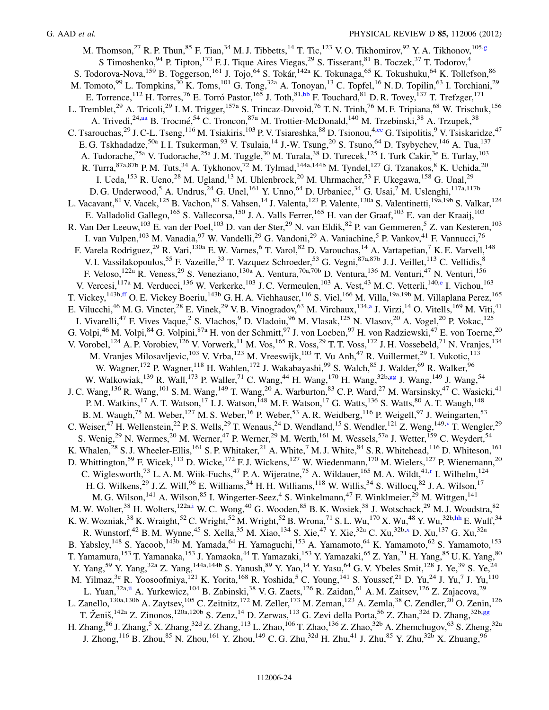M. Thomson,<sup>27</sup> R. P. Thun,<sup>85</sup> F. Tian,<sup>34</sup> M. J. Tibbetts,<sup>14</sup> T. Tic,<sup>123</sup> V. O. Tikhomirov,<sup>92</sup> Y. A. Tikhonov,<sup>105,[g](#page-27-6)</sup> S Timoshenko,  $94$  P. Tipton,  $173$  F. J. Tique Aires Viegas,  $29$  S. Tisserant,  $81$  B. Toczek,  $37$  T. Todorov,  $4$ S. Todorova-Nova, <sup>159</sup> B. Toggerson, <sup>161</sup> J. Tojo, <sup>64</sup> S. Tokár, <sup>142a</sup> K. Tokunaga, <sup>65</sup> K. Tokushuku, <sup>64</sup> K. Tollefson, <sup>86</sup> M. Tomoto,<sup>99</sup> L. Tompkins,<sup>30</sup> K. Toms,<sup>101</sup> G. Tong,<sup>32a</sup> A. Tonoyan,<sup>13</sup> C. Topfel,<sup>16</sup> N. D. Topilin,<sup>63</sup> I. Torchiani,<sup>29</sup> E. Torrence,<sup>112</sup> H. Torres,<sup>76</sup> E. Torró Pastor,<sup>165</sup> J. Toth,<sup>81,[bb](#page-28-17)</sup> F. Touchard,<sup>81</sup> D. R. Tovey,<sup>137</sup> T. Trefzger,<sup>171</sup> L. Tremblet,<sup>29</sup> A. Tricoli,<sup>29</sup> I. M. Trigger,<sup>157a</sup> S. Trincaz-Duvoid,<sup>76</sup> T. N. Trinh,<sup>76</sup> M. F. Tripiana,<sup>68</sup> W. Trischuk,<sup>156</sup> A. Trivedi,<sup>24,[aa](#page-28-16)</sup> B. Trocmé,<sup>54</sup> C. Troncon,<sup>87a</sup> M. Trottier-McDonald,<sup>140</sup> M. Trzebinski,<sup>38</sup> A. Trzupek,<sup>38</sup> C. Tsarouchas,<sup>29</sup> J. C-L. Tseng,<sup>116</sup> M. Tsiakiris,<sup>103</sup> P. V. Tsiareshka,<sup>88</sup> D. Tsionou,<sup>4[,ee](#page-28-21)</sup> G. Tsipolitis,<sup>9</sup> V. Tsiskaridze,<sup>47</sup> E. G. Tskhadadze,<sup>50a</sup> I. I. Tsukerman,<sup>93</sup> V. Tsulaia,<sup>14</sup> J.-W. Tsung,<sup>20</sup> S. Tsuno,<sup>64</sup> D. Tsybychev,<sup>146</sup> A. Tua,<sup>137</sup> A. Tudorache,<sup>25a</sup> V. Tudorache,<sup>25a</sup> J. M. Tuggle,<sup>30</sup> M. Turala,<sup>38</sup> D. Turecek,<sup>125</sup> I. Turk Cakir,<sup>3e</sup> E. Turlay,<sup>103</sup> R. Turra,  $87a,87b$  P. M. Tuts,  $34$  A. Tykhonov,  $72$  M. Tylmad,  $144a,144b$  M. Tyndel,  $127$  G. Tzanakos,  $8$  K. Uchida,  $20$ I. Ueda,<sup>153</sup> R. Ueno,<sup>28</sup> M. Ugland,<sup>13</sup> M. Uhlenbrock,<sup>20</sup> M. Uhrmacher,<sup>53</sup> F. Ukegawa,<sup>158</sup> G. Unal,<sup>29</sup> D. G. Underwood,<sup>5</sup> A. Undrus,<sup>24</sup> G. Unel,<sup>161</sup> Y. Unno,<sup>64</sup> D. Urbaniec,<sup>34</sup> G. Usai,<sup>7</sup> M. Uslenghi,<sup>117a,117b</sup> L. Vacavant, <sup>81</sup> V. Vacek, <sup>125</sup> B. Vachon, <sup>83</sup> S. Vahsen, <sup>14</sup> J. Valenta, <sup>123</sup> P. Valente, <sup>130a</sup> S. Valentinetti, <sup>19a, 19b</sup> S. Valkar, <sup>124</sup> E. Valladolid Gallego,<sup>165</sup> S. Vallecorsa,<sup>150</sup> J. A. Valls Ferrer,<sup>165</sup> H. van der Graaf,<sup>103</sup> E. van der Kraaij,<sup>103</sup> R. Van Der Leeuw,<sup>103</sup> E. van der Poel,<sup>103</sup> D. van der Ster,<sup>29</sup> N. van Eldik,<sup>82</sup> P. van Gemmeren,<sup>5</sup> Z. van Kesteren,<sup>103</sup> I. van Vulpen, <sup>103</sup> M. Vanadia, <sup>97</sup> W. Vandelli, <sup>29</sup> G. Vandoni, <sup>29</sup> A. Vaniachine, <sup>5</sup> P. Vankov, <sup>41</sup> F. Vannucci, <sup>76</sup> F. Varela Rodriguez,<sup>29</sup> R. Vari,<sup>130a</sup> E.W. Varnes, <sup>6</sup> T. Varol, <sup>82</sup> D. Varouchas, <sup>14</sup> A. Vartapetian, <sup>7</sup> K. E. Varvell, <sup>148</sup> V. I. Vassilakopoulos,<sup>55</sup> F. Vazeille,<sup>33</sup> T. Vazquez Schroeder,<sup>53</sup> G. Vegni,<sup>87a,87b</sup> J. J. Veillet,<sup>113</sup> C. Vellidis,<sup>8</sup> F. Veloso, <sup>122a</sup> R. Veness, <sup>29</sup> S. Veneziano, <sup>130a</sup> A. Ventura, <sup>70a, 70b</sup> D. Ventura, <sup>136</sup> M. Venturi, <sup>47</sup> N. Venturi, <sup>156</sup> V. V[e](#page-27-4)rcesi, <sup>117a</sup> M. Verducci, <sup>136</sup> W. Verkerke, <sup>103</sup> J.C. Vermeulen, <sup>103</sup> A. Vest, <sup>43</sup> M.C. Vetterli, <sup>140,e</sup> I. Vichou, <sup>163</sup> T. Vickey,<sup>143b[,ff](#page-28-22)</sup> O. E. Vickey Boeriu,<sup>143b</sup> G. H. A. Viehhauser,<sup>116</sup> S. Viel,<sup>166</sup> M. Villa,<sup>19a,19b</sup> M. Villaplana Perez,<sup>165</sup> E. Vilucchi, <sup>46</sup> M. G. Vincter, <sup>28</sup> E. Vinek, <sup>29</sup> V. B. Vinogradov, <sup>63</sup> M. Virchaux, <sup>134[,a](#page-27-3)</sup> J. Virzi, <sup>14</sup> O. Vitells, <sup>169</sup> M. Viti, <sup>41</sup> I. Vivarelli,<sup>47</sup> F. Vives Vaque,<sup>2</sup> S. Vlachos,<sup>9</sup> D. Vladoiu,<sup>96</sup> M. Vlasak,<sup>125</sup> N. Vlasov,<sup>20</sup> A. Vogel,<sup>20</sup> P. Vokac,<sup>125</sup> G. Volpi,  $^{46}$  M. Volpi,  $^{84}$  G. Volpini,  $^{87a}$  H. von der Schmitt,  $^{97}$  J. von Loeben,  $^{97}$  H. von Radziewski,  $^{47}$  E. von Toerne,  $^{20}$ V. Vorobel,<sup>124</sup> A. P. Vorobiev,<sup>126</sup> V. Vorwerk,<sup>11</sup> M. Vos,<sup>165</sup> R. Voss,<sup>29</sup> T. T. Voss,<sup>172</sup> J. H. Vossebeld,<sup>71</sup> N. Vranjes,<sup>134</sup> M. Vranjes Milosavljevic,<sup>103</sup> V. Vrba,<sup>123</sup> M. Vreeswijk,<sup>103</sup> T. Vu Anh,<sup>47</sup> R. Vuillermet,<sup>29</sup> I. Vukotic,<sup>113</sup> W. Wagner, <sup>172</sup> P. Wagner, <sup>118</sup> H. Wahlen, <sup>172</sup> J. Wakabayashi, <sup>99</sup> S. Walch, <sup>85</sup> J. Walder, <sup>69</sup> R. Walker, <sup>96</sup> W. Walkowiak,<sup>139</sup> R. Wall,<sup>173</sup> P. Waller,<sup>71</sup> C. Wang,<sup>44</sup> H. Wang,<sup>170</sup> H. Wang,<sup>32b[,gg](#page-28-23)</sup> J. Wang,<sup>149</sup> J. Wang,<sup>54</sup> J. C. Wang,<sup>136</sup> R. Wang,<sup>101</sup> S. M. Wang,<sup>149</sup> T. Wang,<sup>20</sup> A. Warburton,<sup>83</sup> C. P. Ward,<sup>27</sup> M. Warsinsky,<sup>47</sup> C. Wasicki,<sup>41</sup> P. M. Watkins,<sup>17</sup> A. T. Watson,<sup>17</sup> I. J. Watson,<sup>148</sup> M. F. Watson,<sup>17</sup> G. Watts,<sup>136</sup> S. Watts,<sup>80</sup> A. T. Waugh,<sup>148</sup> B. M. Waugh,<sup>75</sup> M. Weber,<sup>127</sup> M. S. Weber,<sup>16</sup> P. Weber,<sup>53</sup> A. R. Weidberg,<sup>116</sup> P. Weigell,<sup>97</sup> J. Weingarten,<sup>53</sup> C. Weiser,<sup>47</sup> H. Wellenstein,<sup>22</sup> P. S. Wells,<sup>29</sup> T. Wenaus,<sup>24</sup> D. Wendland,<sup>15</sup> S. Wendler,<sup>121</sup> Z. Weng,<sup>149,[v](#page-28-11)</sup> T. Wengler,<sup>29</sup> S. Wenig,<sup>29</sup> N. Wermes,<sup>20</sup> M. Werner,<sup>47</sup> P. Werner,<sup>29</sup> M. Werth,<sup>161</sup> M. Wessels,<sup>57a</sup> J. Wetter,<sup>159</sup> C. Weydert,<sup>54</sup> K. Whalen,<sup>28</sup> S. J. Wheeler-Ellis,<sup>161</sup> S. P. Whitaker,<sup>21</sup> A. White,<sup>7</sup> M. J. White,<sup>84</sup> S. R. Whitehead,<sup>116</sup> D. Whiteson,<sup>161</sup> D. Whittington,<sup>59</sup> F. Wicek,<sup>113</sup> D. Wicke,<sup>172</sup> F. J. Wickens,<sup>127</sup> W. Wiedenmann,<sup>170</sup> M. Wielers,<sup>127</sup> P. Wienemann,<sup>20</sup> C. Wiglesworth,<sup>73</sup> L. A. M. Wiik-Fuchs,<sup>47</sup> P. A. Wijeratne,<sup>75</sup> A. Wildauer,<sup>165</sup> M. A. Wildt,<sup>41[,r](#page-28-7)</sup> I. Wilhelm,<sup>124</sup> H. G. Wilkens,<sup>29</sup> J. Z. Will,<sup>96</sup> E. Williams,<sup>34</sup> H. H. Williams,<sup>118</sup> W. Willis,<sup>34</sup> S. Willocq,<sup>82</sup> J. A. Wilson,<sup>17</sup> M. G. Wilson, <sup>141</sup> A. Wilson, <sup>85</sup> I. Wingerter-Seez, <sup>4</sup> S. Winkelmann, <sup>47</sup> F. Winklmeier, <sup>29</sup> M. Wittgen, <sup>141</sup> M. W. Wolter,<sup>38</sup> H. Wolters,<sup>122a[,i](#page-27-8)</sup> W. C. Wong,<sup>40</sup> G. Wooden,<sup>85</sup> B. K. Wosiek,<sup>38</sup> J. Wotschack,<sup>29</sup> M. J. Woudstra,<sup>82</sup> K. W. Wozniak,<sup>38</sup> K. Wraight,<sup>52</sup> C. Wright,<sup>52</sup> M. Wright,<sup>52</sup> B. Wrona,<sup>71</sup> S. L. Wu,<sup>170</sup> X. Wu,<sup>48</sup> Y. Wu,<sup>32b[,hh](#page-28-24)</sup> E. Wulf,<sup>34</sup> R. Wunstorf,<sup>42</sup> B. M. Wynne,<sup>45</sup> S. Xella,<sup>35</sup> M. Xiao,<sup>134</sup> S. Xie,<sup>47</sup> Y. Xie,<sup>32a</sup> C. Xu,<sup>32b[,x](#page-28-13)</sup> D. Xu,<sup>137</sup> G. Xu,<sup>32a</sup> B. Yabsley,<sup>148</sup> S. Yacoob,<sup>143b</sup> M. Yamada,<sup>64</sup> H. Yamaguchi,<sup>153</sup> A. Yamamoto,<sup>64</sup> K. Yamamoto,<sup>62</sup> S. Yamamoto,<sup>153</sup> T. Yamamura,<sup>153</sup> T. Yamanaka,<sup>153</sup> J. Yamaoka,<sup>44</sup> T. Yamazaki,<sup>153</sup> Y. Yamazaki,<sup>65</sup> Z. Yan,<sup>21</sup> H. Yang,<sup>85</sup> U. K. Yang,<sup>80</sup> Y. Yang,<sup>59</sup> Y. Yang,<sup>32a</sup> Z. Yang,<sup>144a,144b</sup> S. Yanush,<sup>89</sup> Y. Yao,<sup>14</sup> Y. Yasu,<sup>64</sup> G. V. Ybeles Smit,<sup>128</sup> J. Ye,<sup>39</sup> S. Ye,<sup>24</sup> M. Yilmaz,<sup>3c</sup> R. Yoosoofmiya,<sup>121</sup> K. Yorita,<sup>168</sup> R. Yoshida,<sup>5</sup> C. Young,<sup>141</sup> S. Youssef,<sup>21</sup> D. Yu,<sup>24</sup> J. Yu,<sup>7</sup> J. Yu,<sup>110</sup> L. Yuan,<sup>32a,[ii](#page-28-25)</sup> A. Yurkewicz,<sup>104</sup> B. Zabinski,<sup>38</sup> V. G. Zaets,<sup>126</sup> R. Zaidan,<sup>61</sup> A. M. Zaitsev,<sup>126</sup> Z. Zajacova,<sup>29</sup> L. Zanello,<sup>130a,130b</sup> A. Zaytsev,<sup>105</sup> C. Zeitnitz,<sup>172</sup> M. Zeller,<sup>173</sup> M. Zeman,<sup>123</sup> A. Zemla,<sup>38</sup> C. Zendler,<sup>20</sup> O. Zenin,<sup>126</sup> T. Ženiš, <sup>142a</sup> Z. Zinonos, <sup>120a,120b</sup> S. Zenz, <sup>14</sup> D. Zerwas, <sup>113</sup> G. Zevi della Porta, <sup>56</sup> Z. Zhan, <sup>32d</sup> D. Zhang, <sup>32b,[gg](#page-28-23)</sup> H. Zhang,  ${}^{86}$  J. Zhang,  ${}^{5}$  X. Zhang,  ${}^{32d}$  Z. Zhang,  ${}^{113}$  L. Zhao,  ${}^{106}$  T. Zhao,  ${}^{136}$  Z. Zhao,  ${}^{32b}$  A. Zhemchugov,  ${}^{63}$  S. Zheng,  ${}^{32a}$ J. Zhong,<sup>116</sup> B. Zhou,<sup>85</sup> N. Zhou,<sup>161</sup> Y. Zhou,<sup>149</sup> C. G. Zhu,<sup>32d</sup> H. Zhu,<sup>41</sup> J. Zhu,<sup>85</sup> Y. Zhu,<sup>32b</sup> X. Zhuang,<sup>96</sup>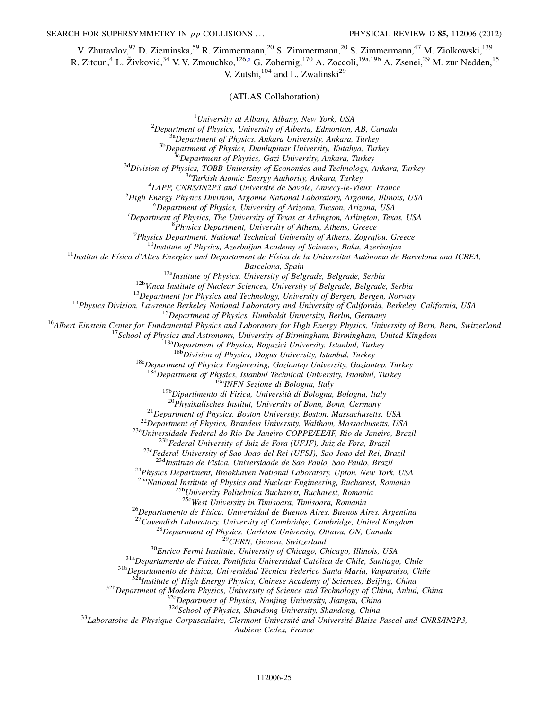V. Zhuravlov,<sup>97</sup> D. Zieminska,<sup>59</sup> R. Zimmermann,<sup>20</sup> S. Zimmermann,<sup>20</sup> S. Zimmermann,<sup>47</sup> M. Ziolkowski,<sup>139</sup>

R. Zitoun,<sup>4</sup> L. Živković,<sup>34</sup> V. V. Zmouchko,<sup>126[,a](#page-27-3)</sup> G. Zobernig,<sup>170</sup> A. Zoccoli,<sup>19a,19b</sup> A. Zsenei,<sup>29</sup> M. zur Nedden,<sup>15</sup>

V. Zutshi, $104$  and L. Zwalinski<sup>29</sup>

(ATLAS Collaboration)

<sup>1</sup>*University at Albany, Albany, New York, USA* <sup>2</sup>*Department of Physics, University of Alberta, Edmonton, AB, Canada* 3a*Department of Physics, Ankara University, Ankara, Turkey* 3b*Department of Physics, Dumlupinar University, Kutahya, Turkey* 3c*Department of Physics, Gazi University, Ankara, Turkey* 3d*Division of Physics, TOBB University of Economics and Technology, Ankara, Turkey* 3e*Turkish Atomic Energy Authority, Ankara, Turkey* 4 *LAPP, CNRS/IN2P3 and Universite´ de Savoie, Annecy-le-Vieux, France* <sup>5</sup>*High Energy Physics Division, Argonne National Laboratory, Argonne, Illinois, USA* <sup>6</sup>*Department of Physics, University of Arizona, Tucson, Arizona, USA* <sup>7</sup>*Department of Physics, The University of Texas at Arlington, Arlington, Texas, USA* 8 *Physics Department, University of Athens, Athens, Greece* 9 *Physics Department, National Technical University of Athens, Zografou, Greece* <sup>10</sup>*Institute of Physics, Azerbaijan Academy of Sciences, Baku, Azerbaijan* <sup>11</sup>Institut de Física d'Altes Energies and Departament de Física de la Universitat Autònoma de Barcelona and ICREA, *Barcelona, Spain* 12a*Institute of Physics, University of Belgrade, Belgrade, Serbia* 12b*Vinca Institute of Nuclear Sciences, University of Belgrade, Belgrade, Serbia* <sup>13</sup>*Department for Physics and Technology, University of Bergen, Bergen, Norway* <sup>14</sup>*Physics Division, Lawrence Berkeley National Laboratory and University of California, Berkeley, California, USA* <sup>15</sup>*Department of Physics, Humboldt University, Berlin, Germany* <sup>16</sup>*Albert Einstein Center for Fundamental Physics and Laboratory for High Energy Physics, University of Bern, Bern, Switzerland* <sup>17</sup>*School of Physics and Astronomy, University of Birmingham, Birmingham, United Kingdom* 18a*Department of Physics, Bogazici University, Istanbul, Turkey* 18b*Division of Physics, Dogus University, Istanbul, Turkey* 18c*Department of Physics Engineering, Gaziantep University, Gaziantep, Turkey* 18d*Department of Physics, Istanbul Technical University, Istanbul, Turkey* 19a*INFN Sezione di Bologna, Italy* 19b*Dipartimento di Fisica, Universita` di Bologna, Bologna, Italy* <sup>20</sup>*Physikalisches Institut, University of Bonn, Bonn, Germany* <sup>21</sup>*Department of Physics, Boston University, Boston, Massachusetts, USA* <sup>22</sup>*Department of Physics, Brandeis University, Waltham, Massachusetts, USA* 23a*Universidade Federal do Rio De Janeiro COPPE/EE/IF, Rio de Janeiro, Brazil* 23b*Federal University of Juiz de Fora (UFJF), Juiz de Fora, Brazil* 23c*Federal University of Sao Joao del Rei (UFSJ), Sao Joao del Rei, Brazil* 23d*Instituto de Fisica, Universidade de Sao Paulo, Sao Paulo, Brazil* <sup>24</sup>*Physics Department, Brookhaven National Laboratory, Upton, New York, USA* 25a*National Institute of Physics and Nuclear Engineering, Bucharest, Romania* 25b*University Politehnica Bucharest, Bucharest, Romania* 25c*West University in Timisoara, Timisoara, Romania* <sup>26</sup>*Departamento de Fı´sica, Universidad de Buenos Aires, Buenos Aires, Argentina* <sup>27</sup>*Cavendish Laboratory, University of Cambridge, Cambridge, United Kingdom* <sup>28</sup>*Department of Physics, Carleton University, Ottawa, ON, Canada* <sup>29</sup>*CERN, Geneva, Switzerland* <sup>30</sup>*Enrico Fermi Institute, University of Chicago, Chicago, Illinois, USA* <sup>31a</sup>Departamento de Fisica, Pontificia Universidad Católica de Chile, Santiago, Chile <sup>31b</sup>Departamento de Física, Universidad Técnica Federico Santa María, Valparaíso, Chile 32a*Institute of High Energy Physics, Chinese Academy of Sciences, Beijing, China* 32b*Department of Modern Physics, University of Science and Technology of China, Anhui, China* 32c*Department of Physics, Nanjing University, Jiangsu, China* 32d*School of Physics, Shandong University, Shandong, China* <sup>33</sup>*Laboratoire de Physique Corpusculaire, Clermont Universite´ and Universite´ Blaise Pascal and CNRS/IN2P3,*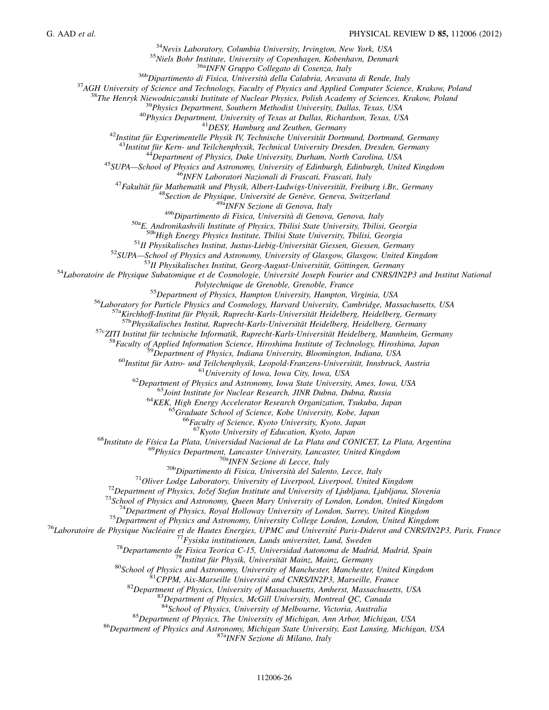*Nevis Laboratory, Columbia University, Irvington, New York, USA*

*Niels Bohr Institute, University of Copenhagen, Kobenhavn, Denmark*

36a*INFN Gruppo Collegato di Cosenza, Italy*

36b*Dipartimento di Fisica, Universita` della Calabria, Arcavata di Rende, Italy*

*AGH University of Science and Technology, Faculty of Physics and Applied Computer Science, Krakow, Poland*

*The Henryk Niewodniczanski Institute of Nuclear Physics, Polish Academy of Sciences, Krakow, Poland*

*Physics Department, Southern Methodist University, Dallas, Texas, USA*

*Physics Department, University of Texas at Dallas, Richardson, Texas, USA*

*DESY, Hamburg and Zeuthen, Germany*

<sup>42</sup>Institut für Experimentelle Physik IV, Technische Universität Dortmund, Dortmund, Germany

<sup>43</sup>Institut für Kern- und Teilchenphysik, Technical University Dresden, Dresden, Germany

*Department of Physics, Duke University, Durham, North Carolina, USA*

*SUPA—School of Physics and Astronomy, University of Edinburgh, Edinburgh, United Kingdom*

*INFN Laboratori Nazionali di Frascati, Frascati, Italy*

<sup>47</sup> Fakultät für Mathematik und Physik, Albert-Ludwigs-Universität, Freiburg i.Br., Germany

<sup>48</sup> Section de Physique, Université de Genève, Geneva, Switzerland

49a*INFN Sezione di Genova, Italy*

49b*Dipartimento di Fisica, Universita` di Genova, Genova, Italy*

50a*E. Andronikashvili Institute of Physics, Tbilisi State University, Tbilisi, Georgia*

50b*High Energy Physics Institute, Tbilisi State University, Tbilisi, Georgia*

<sup>51</sup>II Physikalisches Institut, Justus-Liebig-Universität Giessen, Giessen, Germany

*SUPA—School of Physics and Astronomy, University of Glasgow, Glasgow, United Kingdom*

<sup>53</sup>II Physikalisches Institut, Georg-August-Universität, Göttingen, Germany

*Laboratoire de Physique Subatomique et de Cosmologie, Universite´ Joseph Fourier and CNRS/IN2P3 and Institut National*

*Polytechnique de Grenoble, Grenoble, France*

*Department of Physics, Hampton University, Hampton, Virginia, USA*

*Laboratory for Particle Physics and Cosmology, Harvard University, Cambridge, Massachusetts, USA*

<sup>57a</sup>Kirchhoff-Institut für Physik, Ruprecht-Karls-Universität Heidelberg, Heidelberg, Germany

<sup>57b</sup>Physikalisches Institut, Ruprecht-Karls-Universität Heidelberg, Heidelberg, Germany

<sup>57c</sup>ZITI Institut für technische Informatik, Ruprecht-Karls-Universität Heidelberg, Mannheim, Germany

*Faculty of Applied Information Science, Hiroshima Institute of Technology, Hiroshima, Japan*

*Department of Physics, Indiana University, Bloomington, Indiana, USA*

*Institut fu¨r Astro- und Teilchenphysik, Leopold-Franzens-Universita¨t, Innsbruck, Austria*

*University of Iowa, Iowa City, Iowa, USA*

*Department of Physics and Astronomy, Iowa State University, Ames, Iowa, USA*

*Joint Institute for Nuclear Research, JINR Dubna, Dubna, Russia*

*KEK, High Energy Accelerator Research Organization, Tsukuba, Japan*

*Graduate School of Science, Kobe University, Kobe, Japan*

*Faculty of Science, Kyoto University, Kyoto, Japan*

*Kyoto University of Education, Kyoto, Japan*

*Instituto de Fı´sica La Plata, Universidad Nacional de La Plata and CONICET, La Plata, Argentina*

*Physics Department, Lancaster University, Lancaster, United Kingdom*

70a*INFN Sezione di Lecce, Italy*

70b*Dipartimento di Fisica, Universita` del Salento, Lecce, Italy*

*Oliver Lodge Laboratory, University of Liverpool, Liverpool, United Kingdom*

<sup>72</sup>Department of Physics, Jožef Stefan Institute and University of Ljubljana, Ljubljana, Slovenia

*School of Physics and Astronomy, Queen Mary University of London, London, United Kingdom*

*Department of Physics, Royal Holloway University of London, Surrey, United Kingdom*

*Department of Physics and Astronomy, University College London, London, United Kingdom*

<sup>76</sup>Laboratoire de Physique Nucléaire et de Hautes Energies, UPMC and Université Paris-Diderot and CNRS/IN2P3, Paris, France

*Fysiska institutionen, Lunds universitet, Lund, Sweden*

*Departamento de Fisica Teorica C-15, Universidad Autonoma de Madrid, Madrid, Spain*

<sup>9</sup>Institut für Physik, Universität Mainz, Mainz, Germany

*School of Physics and Astronomy, University of Manchester, Manchester, United Kingdom*

*CPPM, Aix-Marseille Universite´ and CNRS/IN2P3, Marseille, France*

*Department of Physics, University of Massachusetts, Amherst, Massachusetts, USA*

*Department of Physics, McGill University, Montreal QC, Canada*

*School of Physics, University of Melbourne, Victoria, Australia*

*Department of Physics, The University of Michigan, Ann Arbor, Michigan, USA*

*Department of Physics and Astronomy, Michigan State University, East Lansing, Michigan, USA*

87a*INFN Sezione di Milano, Italy*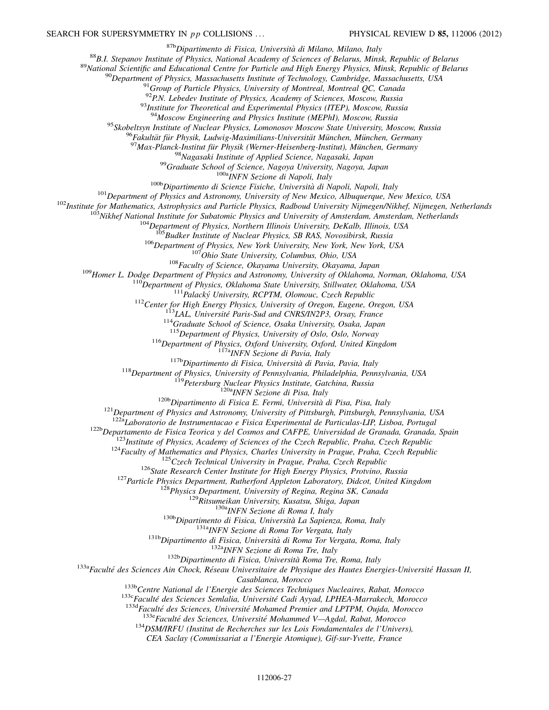87b*Dipartimento di Fisica, Universita` di Milano, Milano, Italy*

<sup>88</sup>*B.I. Stepanov Institute of Physics, National Academy of Sciences of Belarus, Minsk, Republic of Belarus*

<sup>89</sup>*National Scientific and Educational Centre for Particle and High Energy Physics, Minsk, Republic of Belarus*

<sup>90</sup>*Department of Physics, Massachusetts Institute of Technology, Cambridge, Massachusetts, USA*

<sup>91</sup>*Group of Particle Physics, University of Montreal, Montreal QC, Canada*

<sup>92</sup>*P.N. Lebedev Institute of Physics, Academy of Sciences, Moscow, Russia*

<sup>93</sup>*Institute for Theoretical and Experimental Physics (ITEP), Moscow, Russia*

<sup>94</sup>*Moscow Engineering and Physics Institute (MEPhI), Moscow, Russia*

<sup>95</sup>*Skobeltsyn Institute of Nuclear Physics, Lomonosov Moscow State University, Moscow, Russia*

<sup>6</sup>Fakultät für Physik, Ludwig-Maximilians-Universität München, München, Germany

<sup>97</sup> Max-Planck-Institut für Physik (Werner-Heisenberg-Institut), München, Germany

<sup>98</sup>*Nagasaki Institute of Applied Science, Nagasaki, Japan*

<sup>99</sup>*Graduate School of Science, Nagoya University, Nagoya, Japan*

100a*INFN Sezione di Napoli, Italy*

100b*Dipartimento di Scienze Fisiche, Universita` di Napoli, Napoli, Italy*

<sup>101</sup>*Department of Physics and Astronomy, University of New Mexico, Albuquerque, New Mexico, USA*

<sup>102</sup>*Institute for Mathematics, Astrophysics and Particle Physics, Radboud University Nijmegen/Nikhef, Nijmegen, Netherlands*

<sup>103</sup>*Nikhef National Institute for Subatomic Physics and University of Amsterdam, Amsterdam, Netherlands*

<sup>104</sup>*Department of Physics, Northern Illinois University, DeKalb, Illinois, USA*

<sup>105</sup>*Budker Institute of Nuclear Physics, SB RAS, Novosibirsk, Russia*

<sup>106</sup>*Department of Physics, New York University, New York, New York, USA*

<sup>107</sup>*Ohio State University, Columbus, Ohio, USA*

<sup>108</sup>*Faculty of Science, Okayama University, Okayama, Japan*

<sup>109</sup>*Homer L. Dodge Department of Physics and Astronomy, University of Oklahoma, Norman, Oklahoma, USA*

<sup>110</sup>*Department of Physics, Oklahoma State University, Stillwater, Oklahoma, USA*

<sup>111</sup>*Palacky´ University, RCPTM, Olomouc, Czech Republic*

<sup>112</sup>*Center for High Energy Physics, University of Oregon, Eugene, Oregon, USA*

<sup>113</sup>*LAL, Universite´ Paris-Sud and CNRS/IN2P3, Orsay, France*

<sup>114</sup>*Graduate School of Science, Osaka University, Osaka, Japan*

<sup>115</sup>*Department of Physics, University of Oslo, Oslo, Norway*

<sup>116</sup>*Department of Physics, Oxford University, Oxford, United Kingdom*

117a*INFN Sezione di Pavia, Italy*

117b*Dipartimento di Fisica, Universita` di Pavia, Pavia, Italy*

<sup>118</sup>*Department of Physics, University of Pennsylvania, Philadelphia, Pennsylvania, USA*

<sup>119</sup>*Petersburg Nuclear Physics Institute, Gatchina, Russia*

120a*INFN Sezione di Pisa, Italy*

120b*Dipartimento di Fisica E. Fermi, Universita` di Pisa, Pisa, Italy*

<sup>121</sup>*Department of Physics and Astronomy, University of Pittsburgh, Pittsburgh, Pennsylvania, USA*

122a*Laboratorio de Instrumentacao e Fisica Experimental de Particulas-LIP, Lisboa, Portugal*

122b*Departamento de Fisica Teorica y del Cosmos and CAFPE, Universidad de Granada, Granada, Spain*

<sup>123</sup>*Institute of Physics, Academy of Sciences of the Czech Republic, Praha, Czech Republic*

<sup>124</sup>*Faculty of Mathematics and Physics, Charles University in Prague, Praha, Czech Republic*

<sup>125</sup>*Czech Technical University in Prague, Praha, Czech Republic*

<sup>126</sup>*State Research Center Institute for High Energy Physics, Protvino, Russia*

<sup>127</sup>*Particle Physics Department, Rutherford Appleton Laboratory, Didcot, United Kingdom*

<sup>128</sup>*Physics Department, University of Regina, Regina SK, Canada*

<sup>129</sup>*Ritsumeikan University, Kusatsu, Shiga, Japan*

130a*INFN Sezione di Roma I, Italy*

130b*Dipartimento di Fisica, Universita` La Sapienza, Roma, Italy*

131a*INFN Sezione di Roma Tor Vergata, Italy*

131b*Dipartimento di Fisica, Universita` di Roma Tor Vergata, Roma, Italy*

132a*INFN Sezione di Roma Tre, Italy*

132b*Dipartimento di Fisica, Universita` Roma Tre, Roma, Italy*

<span id="page-27-9"></span><span id="page-27-8"></span><span id="page-27-7"></span><span id="page-27-6"></span><span id="page-27-5"></span><span id="page-27-4"></span><span id="page-27-3"></span><span id="page-27-2"></span><span id="page-27-1"></span><span id="page-27-0"></span>133a*Faculte´ des Sciences Ain Chock, Re´seau Universitaire de Physique des Hautes Energies-Universite´ Hassan II,*

*Casablanca, Morocco*

133b*Centre National de l'Energie des Sciences Techniques Nucleaires, Rabat, Morocco*

133c*Faculte´ des Sciences Semlalia, Universite´ Cadi Ayyad, LPHEA-Marrakech, Morocco*

133d*Faculte´ des Sciences, Universite´ Mohamed Premier and LPTPM, Oujda, Morocco*

133e*Faculte´ des Sciences, Universite´ Mohammed V—Agdal, Rabat, Morocco*

<sup>134</sup>*DSM/IRFU (Institut de Recherches sur les Lois Fondamentales de l'Univers),*

*CEA Saclay (Commissariat a l'Energie Atomique), Gif-sur-Yvette, France*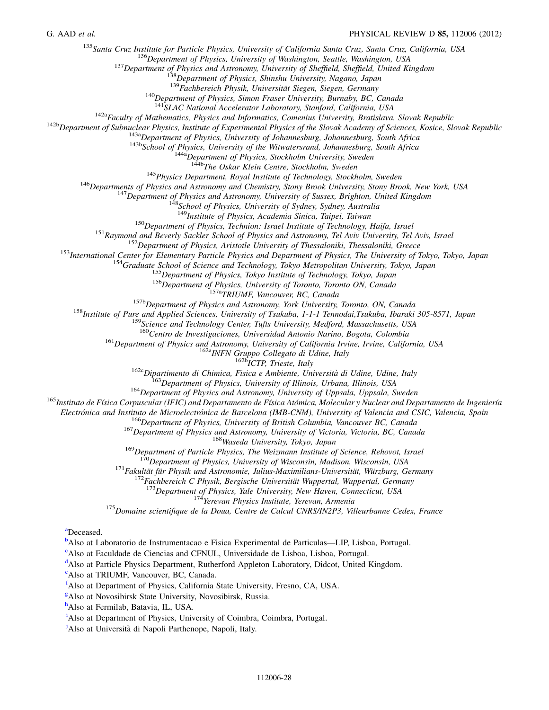<span id="page-28-3"></span><span id="page-28-2"></span><span id="page-28-1"></span><span id="page-28-0"></span><sup>135</sup>*Santa Cruz Institute for Particle Physics, University of California Santa Cruz, Santa Cruz, California, USA*

<sup>136</sup>*Department of Physics, University of Washington, Seattle, Washington, USA*

<sup>137</sup>*Department of Physics and Astronomy, University of Sheffield, Sheffield, United Kingdom*

<sup>138</sup>*Department of Physics, Shinshu University, Nagano, Japan*

<sup>139</sup> Fachbereich Physik, Universität Siegen, Siegen, Germany

<sup>140</sup>*Department of Physics, Simon Fraser University, Burnaby, BC, Canada*

<sup>141</sup>*SLAC National Accelerator Laboratory, Stanford, California, USA*

142a*Faculty of Mathematics, Physics and Informatics, Comenius University, Bratislava, Slovak Republic*

<span id="page-28-11"></span><span id="page-28-10"></span><span id="page-28-9"></span><span id="page-28-8"></span><span id="page-28-7"></span><span id="page-28-6"></span><span id="page-28-5"></span><span id="page-28-4"></span>142b*Department of Subnuclear Physics, Institute of Experimental Physics of the Slovak Academy of Sciences, Kosice, Slovak Republic*

143a*Department of Physics, University of Johannesburg, Johannesburg, South Africa*

143b*School of Physics, University of the Witwatersrand, Johannesburg, South Africa*

144a*Department of Physics, Stockholm University, Sweden*

144b*The Oskar Klein Centre, Stockholm, Sweden*

<sup>145</sup>*Physics Department, Royal Institute of Technology, Stockholm, Sweden*

<span id="page-28-14"></span><span id="page-28-13"></span><span id="page-28-12"></span><sup>146</sup>*Departments of Physics and Astronomy and Chemistry, Stony Brook University, Stony Brook, New York, USA*

<sup>147</sup>*Department of Physics and Astronomy, University of Sussex, Brighton, United Kingdom*

<sup>148</sup>*School of Physics, University of Sydney, Sydney, Australia*

<sup>149</sup>*Institute of Physics, Academia Sinica, Taipei, Taiwan*

<sup>150</sup>*Department of Physics, Technion: Israel Institute of Technology, Haifa, Israel*

<sup>151</sup>*Raymond and Beverly Sackler School of Physics and Astronomy, Tel Aviv University, Tel Aviv, Israel*

<sup>152</sup>*Department of Physics, Aristotle University of Thessaloniki, Thessaloniki, Greece*

<span id="page-28-22"></span><span id="page-28-21"></span><span id="page-28-20"></span><span id="page-28-18"></span><span id="page-28-17"></span><span id="page-28-16"></span><span id="page-28-15"></span><sup>153</sup>*International Center for Elementary Particle Physics and Department of Physics, The University of Tokyo, Tokyo, Japan*

<sup>154</sup>*Graduate School of Science and Technology, Tokyo Metropolitan University, Tokyo, Japan*

<sup>155</sup>*Department of Physics, Tokyo Institute of Technology, Tokyo, Japan*

<sup>156</sup>*Department of Physics, University of Toronto, Toronto ON, Canada*

157a*TRIUMF, Vancouver, BC, Canada*

157b*Department of Physics and Astronomy, York University, Toronto, ON, Canada*

<span id="page-28-25"></span><span id="page-28-24"></span><span id="page-28-23"></span><span id="page-28-19"></span><sup>158</sup>*Institute of Pure and Applied Sciences, University of Tsukuba, 1-1-1 Tennodai,Tsukuba, Ibaraki 305-8571, Japan*

<sup>159</sup>*Science and Technology Center, Tufts University, Medford, Massachusetts, USA*

<sup>160</sup>*Centro de Investigaciones, Universidad Antonio Narino, Bogota, Colombia*

<sup>161</sup>*Department of Physics and Astronomy, University of California Irvine, Irvine, California, USA*

162a*INFN Gruppo Collegato di Udine, Italy*

162b*ICTP, Trieste, Italy*

162c*Dipartimento di Chimica, Fisica e Ambiente, Universita` di Udine, Udine, Italy*

<sup>163</sup>*Department of Physics, University of Illinois, Urbana, Illinois, USA*

<sup>164</sup>*Department of Physics and Astronomy, University of Uppsala, Uppsala, Sweden*

<sup>165</sup>Instituto de Física Corpuscular (IFIC) and Departamento de Física Atómica, Molecular y Nuclear and Departamento de Ingeniería

*Electro´nica and Instituto de Microelectro´nica de Barcelona (IMB-CNM), University of Valencia and CSIC, Valencia, Spain*

<sup>166</sup>*Department of Physics, University of British Columbia, Vancouver BC, Canada*

<sup>167</sup>*Department of Physics and Astronomy, University of Victoria, Victoria, BC, Canada*

<sup>168</sup>*Waseda University, Tokyo, Japan*

<sup>169</sup>*Department of Particle Physics, The Weizmann Institute of Science, Rehovot, Israel*

<sup>170</sup>*Department of Physics, University of Wisconsin, Madison, Wisconsin, USA*

<sup>171</sup> Fakultät für Physik und Astronomie, Julius-Maximilians-Universität, Würzburg, Germany

<sup>172</sup>Fachbereich C Physik, Bergische Universität Wuppertal, Wuppertal, Germany

<sup>173</sup>*Department of Physics, Yale University, New Haven, Connecticut, USA*

<sup>174</sup>*Yerevan Physics Institute, Yerevan, Armenia*

<sup>175</sup>*Domaine scientifique de la Doua, Centre de Calcul CNRS/IN2P3, Villeurbanne Cedex, France*

[a](#page-15-32)Deceased.

[b](#page-15-33)Also at Laboratorio de Instrumentacao e Fisica Experimental de Particulas—LIP, Lisboa, Portugal.

[c](#page-15-34)Also at Faculdade de Ciencias and CFNUL, Universidade de Lisboa, Lisboa, Portugal.

<sup>[d](#page-15-32)</sup>Also at Particle Physics Department, Rutherford Appleton Laboratory, Didcot, United Kingdom.

[e](#page-15-35)Also at TRIUMF, Vancouver, BC, Canada.

[f](#page-16-0)Also at Department of Physics, California State University, Fresno, CA, USA.

 $\frac{g}{g}$  $\frac{g}{g}$  $\frac{g}{g}$ Also at Novosibirsk State University, Novosibirsk, Russia.

[h](#page-16-2)also at Fermilab, Batavia, IL, USA.

<sup>[i](#page-16-3)</sup>Also at Department of Physics, University of Coimbra, Coimbra, Portugal.

<sup>[j](#page-17-0)</sup>Also at Università di Napoli Parthenope, Napoli, Italy.